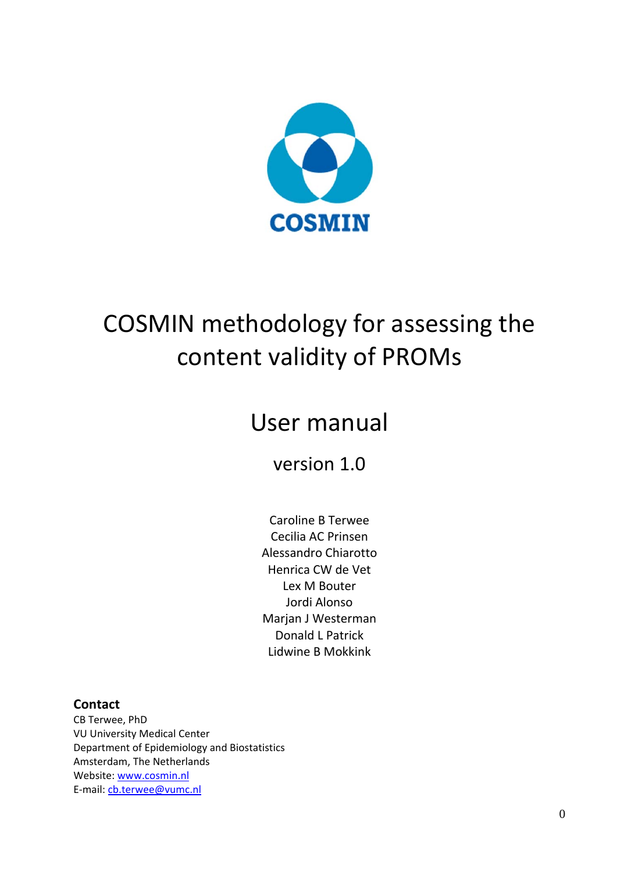

# COSMIN methodology for assessing the content validity of PROMs

## User manual

version 1.0

Caroline B Terwee Cecilia AC Prinsen Alessandro Chiarotto Henrica CW de Vet Lex M Bouter Jordi Alonso Marian J Westerman Donald L Patrick Lidwine B Mokkink

## **Contact**

CB Terwee, PhD VU University Medical Center Department of Epidemiology and Biostatistics Amsterdam, The Netherlands Website: www.cosmin.nl E‐mail: cb.terwee@vumc.nl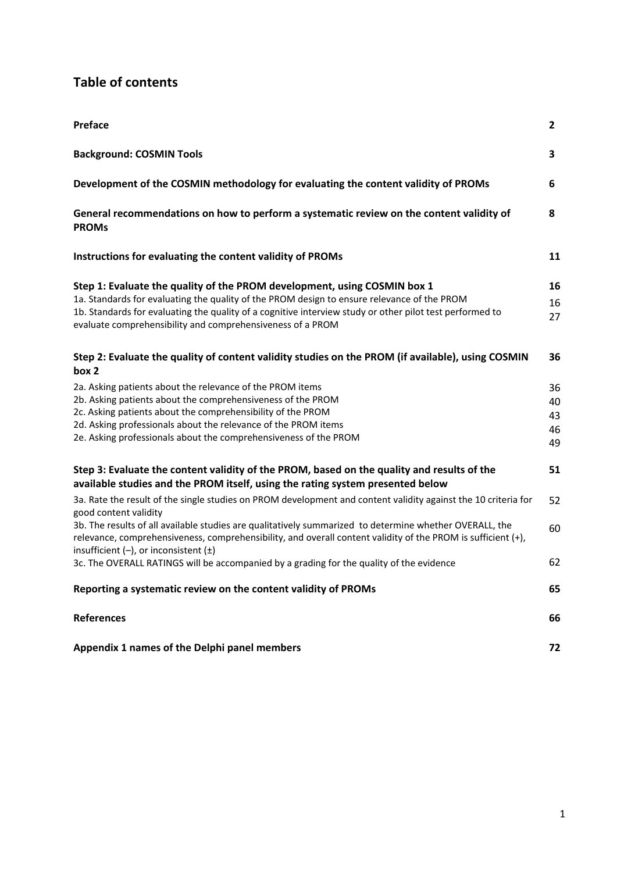## **Table of contents**

| Preface                                                                                                                                                                                                                                                                                                                                                            | $\mathbf{2}$               |
|--------------------------------------------------------------------------------------------------------------------------------------------------------------------------------------------------------------------------------------------------------------------------------------------------------------------------------------------------------------------|----------------------------|
| <b>Background: COSMIN Tools</b>                                                                                                                                                                                                                                                                                                                                    | 3                          |
| Development of the COSMIN methodology for evaluating the content validity of PROMs                                                                                                                                                                                                                                                                                 | 6                          |
| General recommendations on how to perform a systematic review on the content validity of<br><b>PROMs</b>                                                                                                                                                                                                                                                           | 8                          |
| Instructions for evaluating the content validity of PROMs                                                                                                                                                                                                                                                                                                          | 11                         |
| Step 1: Evaluate the quality of the PROM development, using COSMIN box 1<br>1a. Standards for evaluating the quality of the PROM design to ensure relevance of the PROM<br>1b. Standards for evaluating the quality of a cognitive interview study or other pilot test performed to<br>evaluate comprehensibility and comprehensiveness of a PROM                  | 16<br>16<br>27             |
| Step 2: Evaluate the quality of content validity studies on the PROM (if available), using COSMIN<br>box 2                                                                                                                                                                                                                                                         | 36                         |
| 2a. Asking patients about the relevance of the PROM items<br>2b. Asking patients about the comprehensiveness of the PROM<br>2c. Asking patients about the comprehensibility of the PROM<br>2d. Asking professionals about the relevance of the PROM items<br>2e. Asking professionals about the comprehensiveness of the PROM                                      | 36<br>40<br>43<br>46<br>49 |
| Step 3: Evaluate the content validity of the PROM, based on the quality and results of the<br>available studies and the PROM itself, using the rating system presented below                                                                                                                                                                                       | 51                         |
| 3a. Rate the result of the single studies on PROM development and content validity against the 10 criteria for<br>good content validity<br>3b. The results of all available studies are qualitatively summarized to determine whether OVERALL, the<br>relevance, comprehensiveness, comprehensibility, and overall content validity of the PROM is sufficient (+), | 52<br>60                   |
| insufficient $(-)$ , or inconsistent $(\pm)$<br>3c. The OVERALL RATINGS will be accompanied by a grading for the quality of the evidence                                                                                                                                                                                                                           | 62                         |
| Reporting a systematic review on the content validity of PROMs                                                                                                                                                                                                                                                                                                     | 65                         |
| <b>References</b>                                                                                                                                                                                                                                                                                                                                                  | 66                         |
| Appendix 1 names of the Delphi panel members                                                                                                                                                                                                                                                                                                                       | 72                         |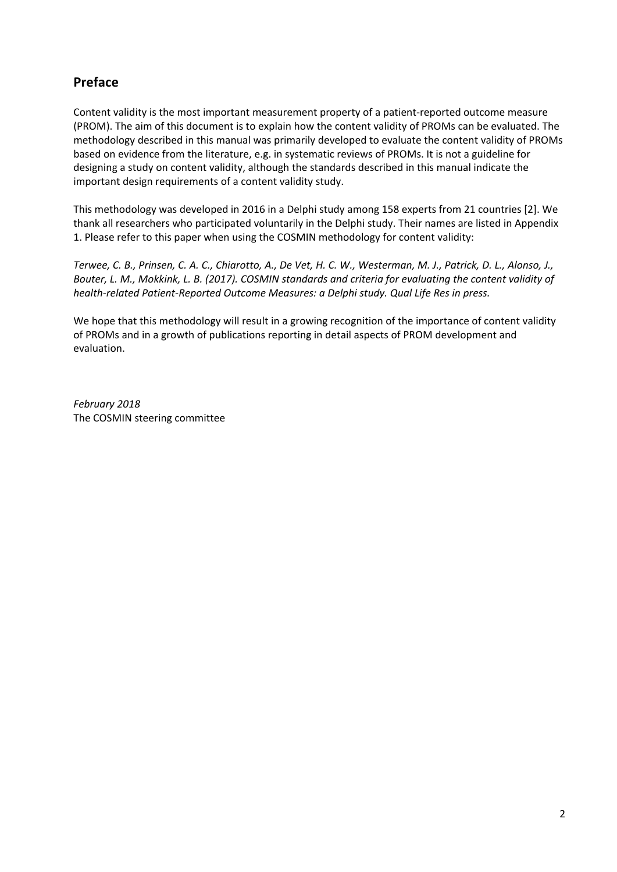## **Preface**

Content validity is the most important measurement property of a patient‐reported outcome measure (PROM). The aim of this document is to explain how the content validity of PROMs can be evaluated. The methodology described in this manual was primarily developed to evaluate the content validity of PROMs based on evidence from the literature, e.g. in systematic reviews of PROMs. It is not a guideline for designing a study on content validity, although the standards described in this manual indicate the important design requirements of a content validity study.

This methodology was developed in 2016 in a Delphi study among 158 experts from 21 countries [2]. We thank all researchers who participated voluntarily in the Delphi study. Their names are listed in Appendix 1. Please refer to this paper when using the COSMIN methodology for content validity:

Terwee, C. B., Prinsen, C. A. C., Chiarotto, A., De Vet, H. C. W., Westerman, M. J., Patrick, D. L., Alonso, J., Bouter, L. M., Mokkink, L. B. (2017). COSMIN standards and criteria for evaluating the content validity of *health‐related Patient‐Reported Outcome Measures: a Delphi study. Qual Life Res in press.*

We hope that this methodology will result in a growing recognition of the importance of content validity of PROMs and in a growth of publications reporting in detail aspects of PROM development and evaluation.

*February 2018* The COSMIN steering committee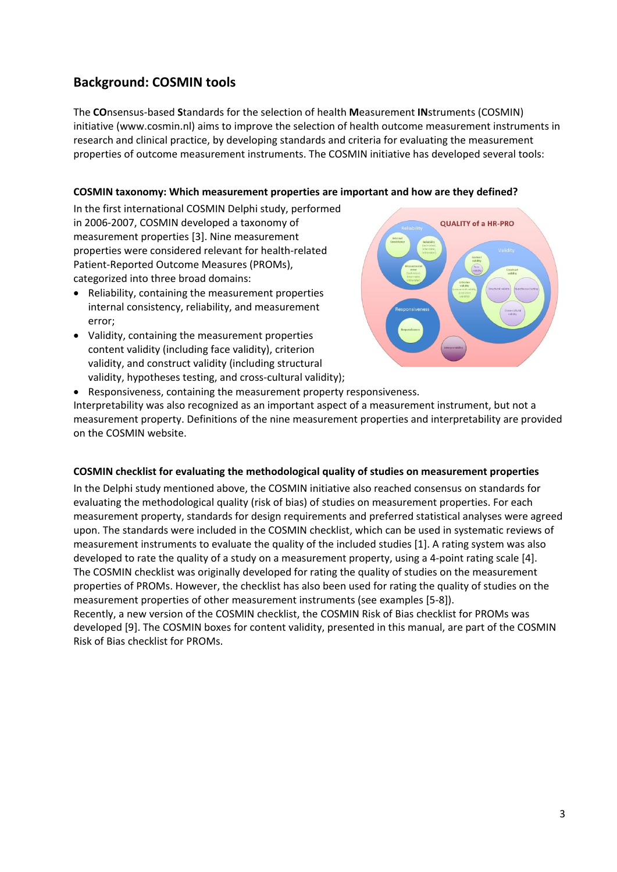## **Background: COSMIN tools**

The **CO**nsensus‐based **S**tandards for the selection of health **M**easurement **IN**struments (COSMIN) initiative (www.cosmin.nl) aims to improve the selection of health outcome measurement instruments in research and clinical practice, by developing standards and criteria for evaluating the measurement properties of outcome measurement instruments. The COSMIN initiative has developed several tools:

#### **COSMIN taxonomy: Which measurement properties are important and how are they defined?**

In the first international COSMIN Delphi study, performed in 2006‐2007, COSMIN developed a taxonomy of measurement properties [3]. Nine measurement properties were considered relevant for health‐related Patient‐Reported Outcome Measures (PROMs), categorized into three broad domains:

- Reliability, containing the measurement properties internal consistency, reliability, and measurement error;
- Validity, containing the measurement properties content validity (including face validity), criterion validity, and construct validity (including structural validity, hypotheses testing, and cross-cultural validity);



Responsiveness, containing the measurement property responsiveness.

Interpretability was also recognized as an important aspect of a measurement instrument, but not a measurement property. Definitions of the nine measurement properties and interpretability are provided on the COSMIN website.

#### **COSMIN checklist for evaluating the methodological quality of studies on measurement properties**

In the Delphi study mentioned above, the COSMIN initiative also reached consensus on standards for evaluating the methodological quality (risk of bias) of studies on measurement properties. For each measurement property, standards for design requirements and preferred statistical analyses were agreed upon. The standards were included in the COSMIN checklist, which can be used in systematic reviews of measurement instruments to evaluate the quality of the included studies [1]. A rating system was also developed to rate the quality of a study on a measurement property, using a 4‐point rating scale [4]. The COSMIN checklist was originally developed for rating the quality of studies on the measurement properties of PROMs. However, the checklist has also been used for rating the quality of studies on the measurement properties of other measurement instruments (see examples [5‐8]).

Recently, a new version of the COSMIN checklist, the COSMIN Risk of Bias checklist for PROMs was developed [9]. The COSMIN boxes for content validity, presented in this manual, are part of the COSMIN Risk of Bias checklist for PROMs.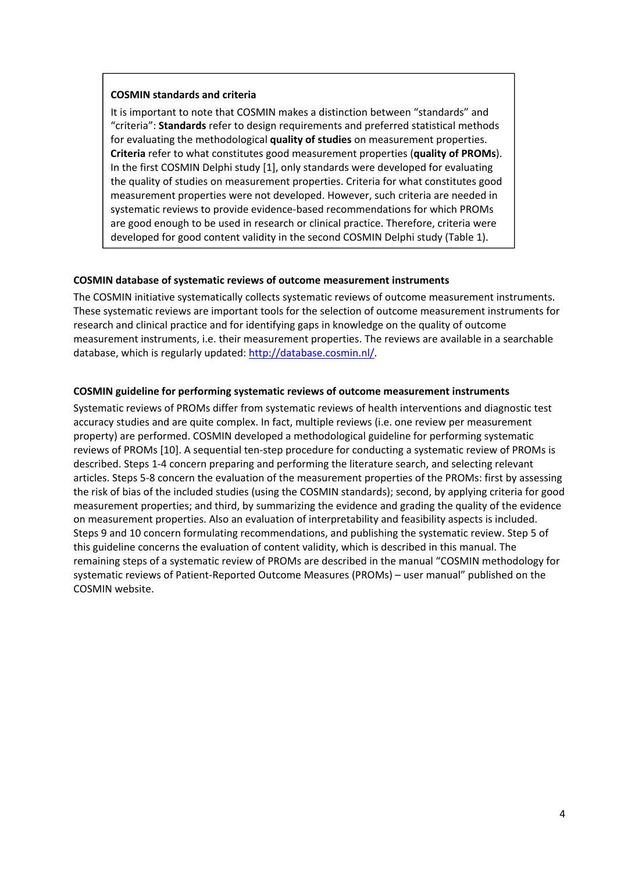#### **COSMIN standards and criteria**

It is important to note that COSMIN makes a distinction between "standards" and "criteria": **Standards** refer to design requirements and preferred statistical methods for evaluating the methodological **quality of studies** on measurement properties. **Criteria** refer to what constitutes good measurement properties (**quality of PROMs**). In the first COSMIN Delphi study [1], only standards were developed for evaluating the quality of studies on measurement properties. Criteria for what constitutes good measurement properties were not developed. However, such criteria are needed in systematic reviews to provide evidence‐based recommendations for which PROMs are good enough to be used in research or clinical practice. Therefore, criteria were developed for good content validity in the second COSMIN Delphi study (Table 1).

#### **COSMIN database of systematic reviews of outcome measurement instruments**

The COSMIN initiative systematically collects systematic reviews of outcome measurement instruments. These systematic reviews are important tools for the selection of outcome measurement instruments for research and clinical practice and for identifying gaps in knowledge on the quality of outcome measurement instruments, i.e. their measurement properties. The reviews are available in a searchable database, which is regularly updated: http://database.cosmin.nl/.

#### **COSMIN guideline for performing systematic reviews of outcome measurement instruments**

Systematic reviews of PROMs differ from systematic reviews of health interventions and diagnostic test accuracy studies and are quite complex. In fact, multiple reviews (i.e. one review per measurement property) are performed. COSMIN developed a methodological guideline for performing systematic reviews of PROMs [10]. A sequential ten-step procedure for conducting a systematic review of PROMs is described. Steps 1‐4 concern preparing and performing the literature search, and selecting relevant articles. Steps 5‐8 concern the evaluation of the measurement properties of the PROMs: first by assessing the risk of bias of the included studies (using the COSMIN standards); second, by applying criteria for good measurement properties; and third, by summarizing the evidence and grading the quality of the evidence on measurement properties. Also an evaluation of interpretability and feasibility aspects is included. Steps 9 and 10 concern formulating recommendations, and publishing the systematic review. Step 5 of this guideline concerns the evaluation of content validity, which is described in this manual. The remaining steps of a systematic review of PROMs are described in the manual "COSMIN methodology for systematic reviews of Patient‐Reported Outcome Measures (PROMs) – user manual" published on the COSMIN website.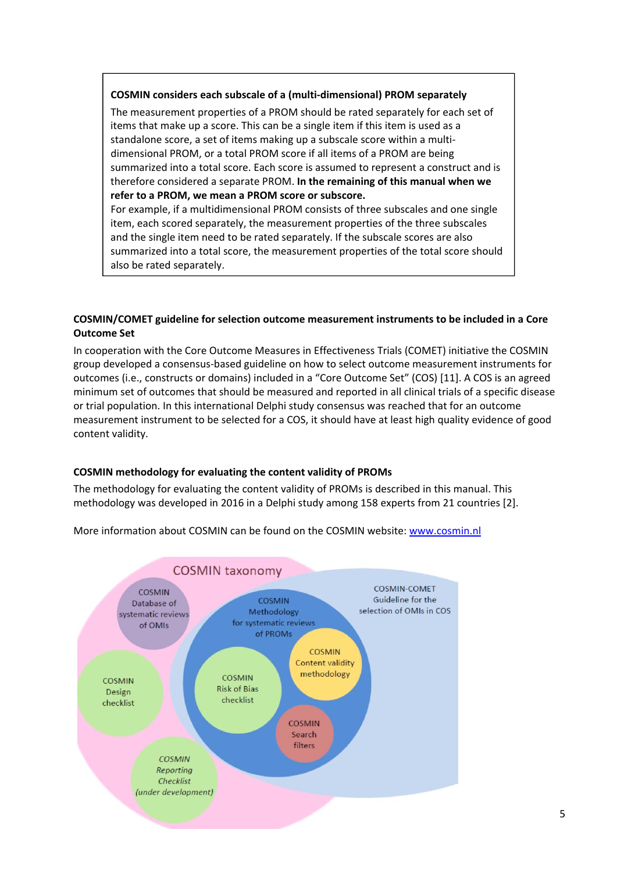#### **COSMIN considers each subscale of a (multi‐dimensional) PROM separately**

The measurement properties of a PROM should be rated separately for each set of items that make up a score. This can be a single item if this item is used as a standalone score, a set of items making up a subscale score within a multi‐ dimensional PROM, or a total PROM score if all items of a PROM are being summarized into a total score. Each score is assumed to represent a construct and is therefore considered a separate PROM. **In the remaining of this manual when we refer to a PROM, we mean a PROM score or subscore.**

For example, if a multidimensional PROM consists of three subscales and one single item, each scored separately, the measurement properties of the three subscales and the single item need to be rated separately. If the subscale scores are also summarized into a total score, the measurement properties of the total score should also be rated separately.

#### **COSMIN/COMET guideline for selection outcome measurement instruments to be included in a Core Outcome Set**

In cooperation with the Core Outcome Measures in Effectiveness Trials (COMET) initiative the COSMIN group developed a consensus‐based guideline on how to select outcome measurement instruments for outcomes (i.e., constructs or domains) included in a "Core Outcome Set" (COS) [11]. A COS is an agreed minimum set of outcomes that should be measured and reported in all clinical trials of a specific disease or trial population. In this international Delphi study consensus was reached that for an outcome measurement instrument to be selected for a COS, it should have at least high quality evidence of good content validity.

#### **COSMIN methodology for evaluating the content validity of PROMs**

The methodology for evaluating the content validity of PROMs is described in this manual. This methodology was developed in 2016 in a Delphi study among 158 experts from 21 countries [2].



More information about COSMIN can be found on the COSMIN website: www.cosmin.nl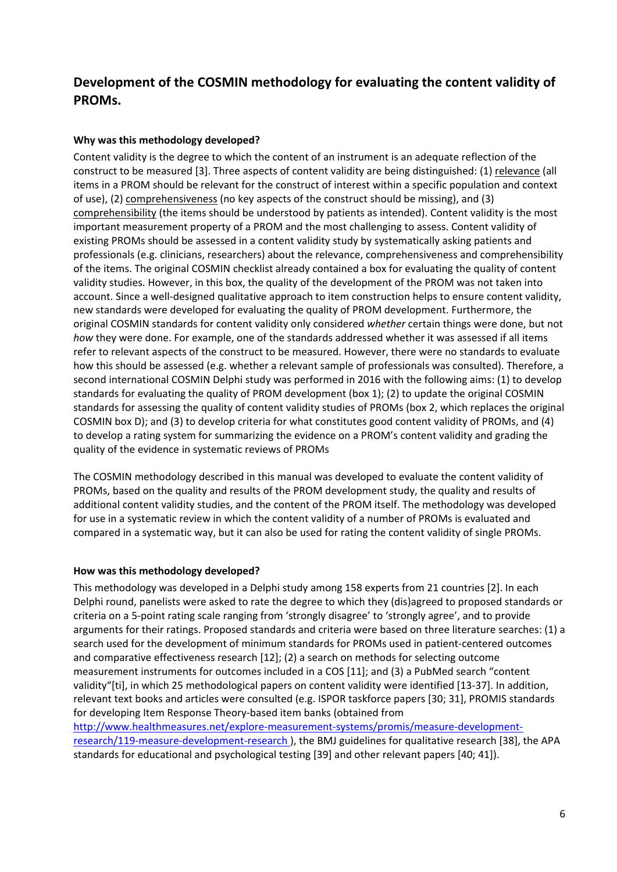## **Development of the COSMIN methodology for evaluating the content validity of PROMs.**

#### **Why was this methodology developed?**

Content validity is the degree to which the content of an instrument is an adequate reflection of the construct to be measured [3]. Three aspects of content validity are being distinguished: (1) relevance (all items in a PROM should be relevant for the construct of interest within a specific population and context of use), (2) comprehensiveness (no key aspects of the construct should be missing), and (3) comprehensibility (the items should be understood by patients as intended). Content validity is the most important measurement property of a PROM and the most challenging to assess. Content validity of existing PROMs should be assessed in a content validity study by systematically asking patients and professionals (e.g. clinicians, researchers) about the relevance, comprehensiveness and comprehensibility of the items. The original COSMIN checklist already contained a box for evaluating the quality of content validity studies. However, in this box, the quality of the development of the PROM was not taken into account. Since a well-designed qualitative approach to item construction helps to ensure content validity, new standards were developed for evaluating the quality of PROM development. Furthermore, the original COSMIN standards for content validity only considered *whether* certain things were done, but not *how* they were done. For example, one of the standards addressed whether it was assessed if all items refer to relevant aspects of the construct to be measured. However, there were no standards to evaluate how this should be assessed (e.g. whether a relevant sample of professionals was consulted). Therefore, a second international COSMIN Delphi study was performed in 2016 with the following aims: (1) to develop standards for evaluating the quality of PROM development (box 1); (2) to update the original COSMIN standards for assessing the quality of content validity studies of PROMs (box 2, which replaces the original COSMIN box D); and (3) to develop criteria for what constitutes good content validity of PROMs, and (4) to develop a rating system for summarizing the evidence on a PROM's content validity and grading the quality of the evidence in systematic reviews of PROMs

The COSMIN methodology described in this manual was developed to evaluate the content validity of PROMs, based on the quality and results of the PROM development study, the quality and results of additional content validity studies, and the content of the PROM itself. The methodology was developed for use in a systematic review in which the content validity of a number of PROMs is evaluated and compared in a systematic way, but it can also be used for rating the content validity of single PROMs.

#### **How was this methodology developed?**

This methodology was developed in a Delphi study among 158 experts from 21 countries [2]. In each Delphi round, panelists were asked to rate the degree to which they (dis)agreed to proposed standards or criteria on a 5‐point rating scale ranging from 'strongly disagree' to 'strongly agree', and to provide arguments for their ratings. Proposed standards and criteria were based on three literature searches: (1) a search used for the development of minimum standards for PROMs used in patient-centered outcomes and comparative effectiveness research [12]; (2) a search on methods for selecting outcome measurement instruments for outcomes included in a COS [11]; and (3) a PubMed search "content validity"[ti], in which 25 methodological papers on content validity were identified [13‐37]. In addition, relevant text books and articles were consulted (e.g. ISPOR taskforce papers [30; 31], PROMIS standards for developing Item Response Theory‐based item banks (obtained from http://www.healthmeasures.net/explore‐measurement‐systems/promis/measure‐development‐ research/119‐measure‐development‐research ), the BMJ guidelines for qualitative research [38], the APA standards for educational and psychological testing [39] and other relevant papers [40; 41]).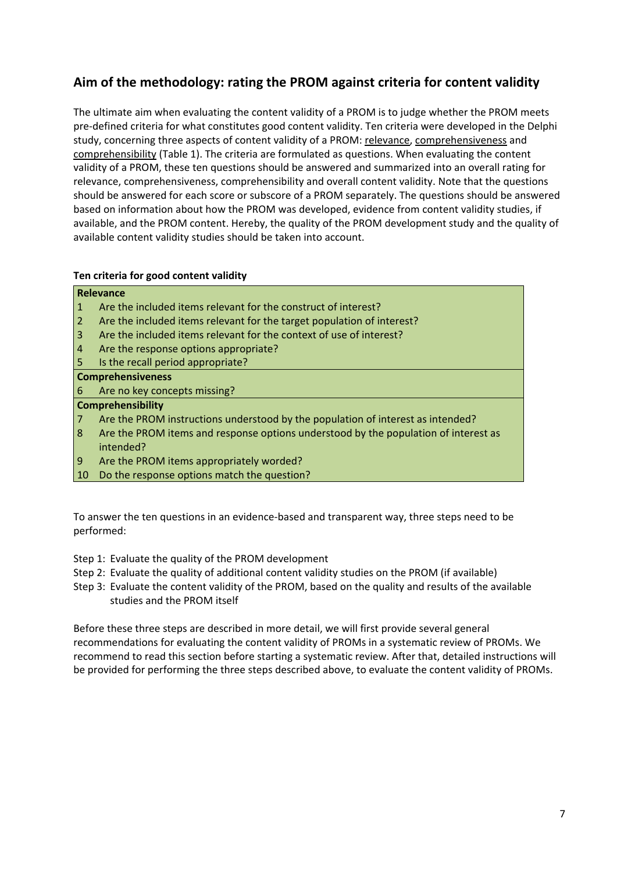## **Aim of the methodology: rating the PROM against criteria for content validity**

The ultimate aim when evaluating the content validity of a PROM is to judge whether the PROM meets pre‐defined criteria for what constitutes good content validity. Ten criteria were developed in the Delphi study, concerning three aspects of content validity of a PROM: relevance, comprehensiveness and comprehensibility (Table 1). The criteria are formulated as questions. When evaluating the content validity of a PROM, these ten questions should be answered and summarized into an overall rating for relevance, comprehensiveness, comprehensibility and overall content validity. Note that the questions should be answered for each score or subscore of a PROM separately. The questions should be answered based on information about how the PROM was developed, evidence from content validity studies, if available, and the PROM content. Hereby, the quality of the PROM development study and the quality of available content validity studies should be taken into account.

#### **Ten criteria for good content validity**

**Relevance**

|                | ncicvalite                                                                          |
|----------------|-------------------------------------------------------------------------------------|
| $\mathbf{1}$   | Are the included items relevant for the construct of interest?                      |
| $\mathbf{2}$   | Are the included items relevant for the target population of interest?              |
| $\overline{3}$ | Are the included items relevant for the context of use of interest?                 |
| 4              | Are the response options appropriate?                                               |
| 5              | Is the recall period appropriate?                                                   |
|                | <b>Comprehensiveness</b>                                                            |
| 6.             | Are no key concepts missing?                                                        |
|                | <b>Comprehensibility</b>                                                            |
| 7 <sup>1</sup> | Are the PROM instructions understood by the population of interest as intended?     |
| 8              | Are the PROM items and response options understood by the population of interest as |
|                | intended?                                                                           |
| 9              | Are the PROM items appropriately worded?                                            |
| 10             | Do the response options match the question?                                         |
|                |                                                                                     |

To answer the ten questions in an evidence‐based and transparent way, three steps need to be performed:

- Step 1: Evaluate the quality of the PROM development
- Step 2: Evaluate the quality of additional content validity studies on the PROM (if available)
- Step 3: Evaluate the content validity of the PROM, based on the quality and results of the available studies and the PROM itself

Before these three steps are described in more detail, we will first provide several general recommendations for evaluating the content validity of PROMs in a systematic review of PROMs. We recommend to read this section before starting a systematic review. After that, detailed instructions will be provided for performing the three steps described above, to evaluate the content validity of PROMs.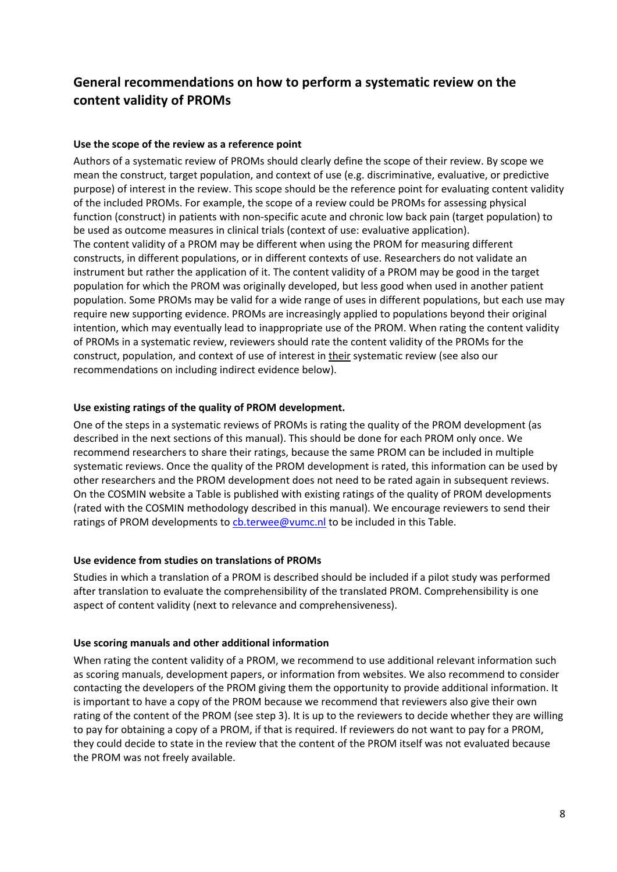## **General recommendations on how to perform a systematic review on the content validity of PROMs**

#### **Use the scope of the review as a reference point**

Authors of a systematic review of PROMs should clearly define the scope of their review. By scope we mean the construct, target population, and context of use (e.g. discriminative, evaluative, or predictive purpose) of interest in the review. This scope should be the reference point for evaluating content validity of the included PROMs. For example, the scope of a review could be PROMs for assessing physical function (construct) in patients with non-specific acute and chronic low back pain (target population) to be used as outcome measures in clinical trials (context of use: evaluative application). The content validity of a PROM may be different when using the PROM for measuring different constructs, in different populations, or in different contexts of use. Researchers do not validate an instrument but rather the application of it. The content validity of a PROM may be good in the target population for which the PROM was originally developed, but less good when used in another patient population. Some PROMs may be valid for a wide range of uses in different populations, but each use may require new supporting evidence. PROMs are increasingly applied to populations beyond their original intention, which may eventually lead to inappropriate use of the PROM. When rating the content validity of PROMs in a systematic review, reviewers should rate the content validity of the PROMs for the construct, population, and context of use of interest in their systematic review (see also our recommendations on including indirect evidence below).

#### **Use existing ratings of the quality of PROM development.**

One of the steps in a systematic reviews of PROMs is rating the quality of the PROM development (as described in the next sections of this manual). This should be done for each PROM only once. We recommend researchers to share their ratings, because the same PROM can be included in multiple systematic reviews. Once the quality of the PROM development is rated, this information can be used by other researchers and the PROM development does not need to be rated again in subsequent reviews. On the COSMIN website a Table is published with existing ratings of the quality of PROM developments (rated with the COSMIN methodology described in this manual). We encourage reviewers to send their ratings of PROM developments to cb.terwee@vumc.nl to be included in this Table.

#### **Use evidence from studies on translations of PROMs**

Studies in which a translation of a PROM is described should be included if a pilot study was performed after translation to evaluate the comprehensibility of the translated PROM. Comprehensibility is one aspect of content validity (next to relevance and comprehensiveness).

#### **Use scoring manuals and other additional information**

When rating the content validity of a PROM, we recommend to use additional relevant information such as scoring manuals, development papers, or information from websites. We also recommend to consider contacting the developers of the PROM giving them the opportunity to provide additional information. It is important to have a copy of the PROM because we recommend that reviewers also give their own rating of the content of the PROM (see step 3). It is up to the reviewers to decide whether they are willing to pay for obtaining a copy of a PROM, if that is required. If reviewers do not want to pay for a PROM, they could decide to state in the review that the content of the PROM itself was not evaluated because the PROM was not freely available.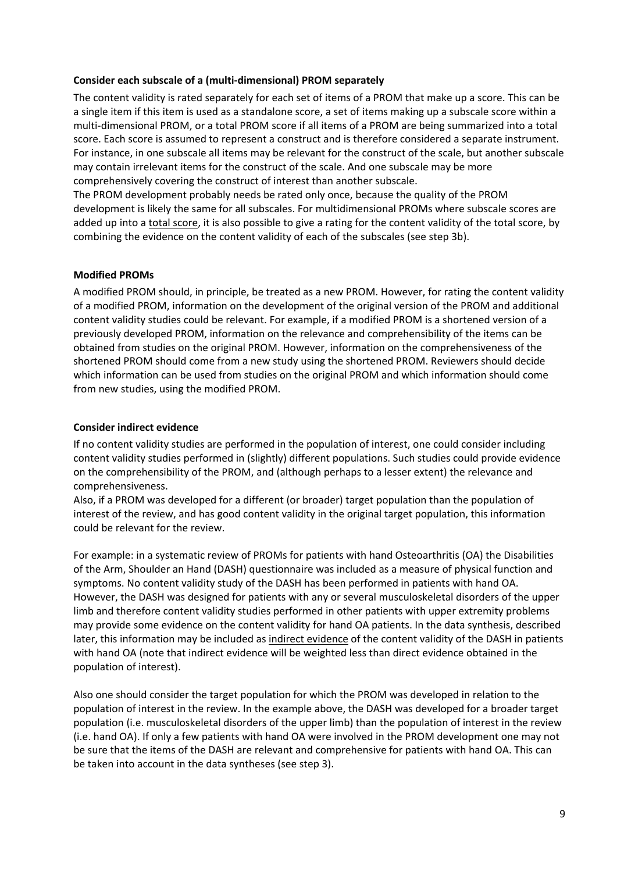#### **Consider each subscale of a (multi‐dimensional) PROM separately**

The content validity is rated separately for each set of items of a PROM that make up a score. This can be a single item if this item is used as a standalone score, a set of items making up a subscale score within a multi‐dimensional PROM, or a total PROM score if all items of a PROM are being summarized into a total score. Each score is assumed to represent a construct and is therefore considered a separate instrument. For instance, in one subscale all items may be relevant for the construct of the scale, but another subscale may contain irrelevant items for the construct of the scale. And one subscale may be more comprehensively covering the construct of interest than another subscale.

The PROM development probably needs be rated only once, because the quality of the PROM development is likely the same for all subscales. For multidimensional PROMs where subscale scores are added up into a total score, it is also possible to give a rating for the content validity of the total score, by combining the evidence on the content validity of each of the subscales (see step 3b).

#### **Modified PROMs**

A modified PROM should, in principle, be treated as a new PROM. However, for rating the content validity of a modified PROM, information on the development of the original version of the PROM and additional content validity studies could be relevant. For example, if a modified PROM is a shortened version of a previously developed PROM, information on the relevance and comprehensibility of the items can be obtained from studies on the original PROM. However, information on the comprehensiveness of the shortened PROM should come from a new study using the shortened PROM. Reviewers should decide which information can be used from studies on the original PROM and which information should come from new studies, using the modified PROM.

#### **Consider indirect evidence**

If no content validity studies are performed in the population of interest, one could consider including content validity studies performed in (slightly) different populations. Such studies could provide evidence on the comprehensibility of the PROM, and (although perhaps to a lesser extent) the relevance and comprehensiveness.

Also, if a PROM was developed for a different (or broader) target population than the population of interest of the review, and has good content validity in the original target population, this information could be relevant for the review.

For example: in a systematic review of PROMs for patients with hand Osteoarthritis (OA) the Disabilities of the Arm, Shoulder an Hand (DASH) questionnaire was included as a measure of physical function and symptoms. No content validity study of the DASH has been performed in patients with hand OA. However, the DASH was designed for patients with any or several musculoskeletal disorders of the upper limb and therefore content validity studies performed in other patients with upper extremity problems may provide some evidence on the content validity for hand OA patients. In the data synthesis, described later, this information may be included as indirect evidence of the content validity of the DASH in patients with hand OA (note that indirect evidence will be weighted less than direct evidence obtained in the population of interest).

Also one should consider the target population for which the PROM was developed in relation to the population of interest in the review. In the example above, the DASH was developed for a broader target population (i.e. musculoskeletal disorders of the upper limb) than the population of interest in the review (i.e. hand OA). If only a few patients with hand OA were involved in the PROM development one may not be sure that the items of the DASH are relevant and comprehensive for patients with hand OA. This can be taken into account in the data syntheses (see step 3).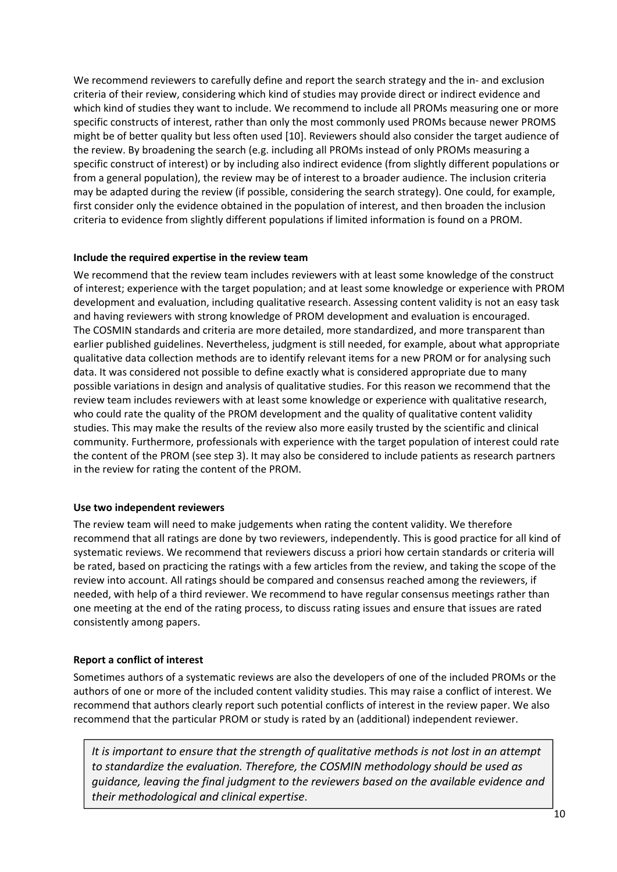We recommend reviewers to carefully define and report the search strategy and the in- and exclusion criteria of their review, considering which kind of studies may provide direct or indirect evidence and which kind of studies they want to include. We recommend to include all PROMs measuring one or more specific constructs of interest, rather than only the most commonly used PROMs because newer PROMS might be of better quality but less often used [10]. Reviewers should also consider the target audience of the review. By broadening the search (e.g. including all PROMs instead of only PROMs measuring a specific construct of interest) or by including also indirect evidence (from slightly different populations or from a general population), the review may be of interest to a broader audience. The inclusion criteria may be adapted during the review (if possible, considering the search strategy). One could, for example, first consider only the evidence obtained in the population of interest, and then broaden the inclusion criteria to evidence from slightly different populations if limited information is found on a PROM.

#### **Include the required expertise in the review team**

We recommend that the review team includes reviewers with at least some knowledge of the construct of interest; experience with the target population; and at least some knowledge or experience with PROM development and evaluation, including qualitative research. Assessing content validity is not an easy task and having reviewers with strong knowledge of PROM development and evaluation is encouraged. The COSMIN standards and criteria are more detailed, more standardized, and more transparent than earlier published guidelines. Nevertheless, judgment is still needed, for example, about what appropriate qualitative data collection methods are to identify relevant items for a new PROM or for analysing such data. It was considered not possible to define exactly what is considered appropriate due to many possible variations in design and analysis of qualitative studies. For this reason we recommend that the review team includes reviewers with at least some knowledge or experience with qualitative research, who could rate the quality of the PROM development and the quality of qualitative content validity studies. This may make the results of the review also more easily trusted by the scientific and clinical community. Furthermore, professionals with experience with the target population of interest could rate the content of the PROM (see step 3). It may also be considered to include patients as research partners in the review for rating the content of the PROM.

#### **Use two independent reviewers**

The review team will need to make judgements when rating the content validity. We therefore recommend that all ratings are done by two reviewers, independently. This is good practice for all kind of systematic reviews. We recommend that reviewers discuss a priori how certain standards or criteria will be rated, based on practicing the ratings with a few articles from the review, and taking the scope of the review into account. All ratings should be compared and consensus reached among the reviewers, if needed, with help of a third reviewer. We recommend to have regular consensus meetings rather than one meeting at the end of the rating process, to discuss rating issues and ensure that issues are rated consistently among papers.

#### **Report a conflict of interest**

Sometimes authors of a systematic reviews are also the developers of one of the included PROMs or the authors of one or more of the included content validity studies. This may raise a conflict of interest. We recommend that authors clearly report such potential conflicts of interest in the review paper. We also recommend that the particular PROM or study is rated by an (additional) independent reviewer.

*It is important to ensure that the strength of qualitative methods is not lost in an attempt to standardize the evaluation. Therefore, the COSMIN methodology should be used as guidance, leaving the final judgment to the reviewers based on the available evidence and their methodological and clinical expertise*.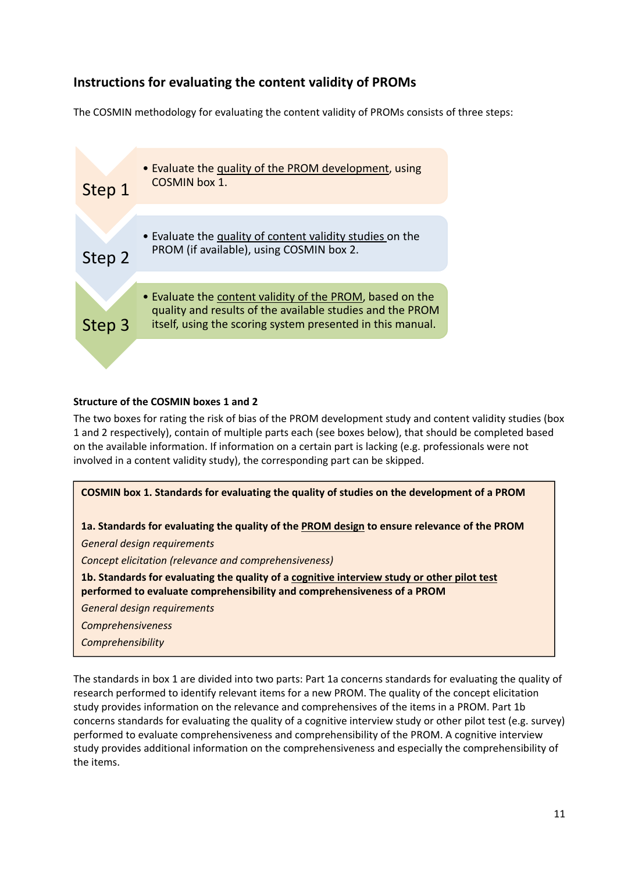## **Instructions for evaluating the content validity of PROMs**

The COSMIN methodology for evaluating the content validity of PROMs consists of three steps:



#### **Structure of the COSMIN boxes 1 and 2**

The two boxes for rating the risk of bias of the PROM development study and content validity studies (box 1 and 2 respectively), contain of multiple parts each (see boxes below), that should be completed based on the available information. If information on a certain part is lacking (e.g. professionals were not involved in a content validity study), the corresponding part can be skipped.



The standards in box 1 are divided into two parts: Part 1a concerns standards for evaluating the quality of research performed to identify relevant items for a new PROM. The quality of the concept elicitation study provides information on the relevance and comprehensives of the items in a PROM. Part 1b concerns standards for evaluating the quality of a cognitive interview study or other pilot test (e.g. survey) performed to evaluate comprehensiveness and comprehensibility of the PROM. A cognitive interview study provides additional information on the comprehensiveness and especially the comprehensibility of the items.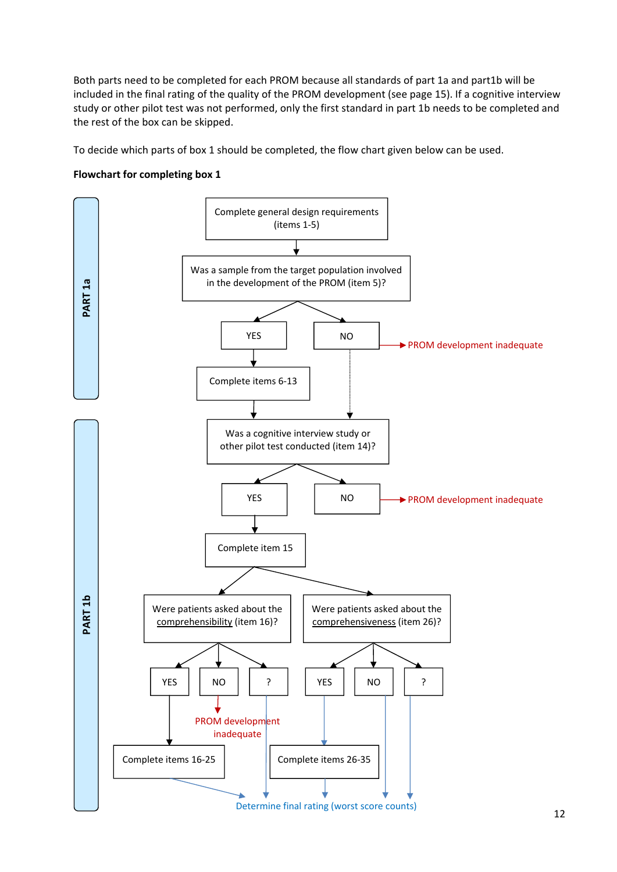Both parts need to be completed for each PROM because all standards of part 1a and part1b will be included in the final rating of the quality of the PROM development (see page 15). If a cognitive interview study or other pilot test was not performed, only the first standard in part 1b needs to be completed and the rest of the box can be skipped.

To decide which parts of box 1 should be completed, the flow chart given below can be used.

#### **Flowchart for completing box 1**

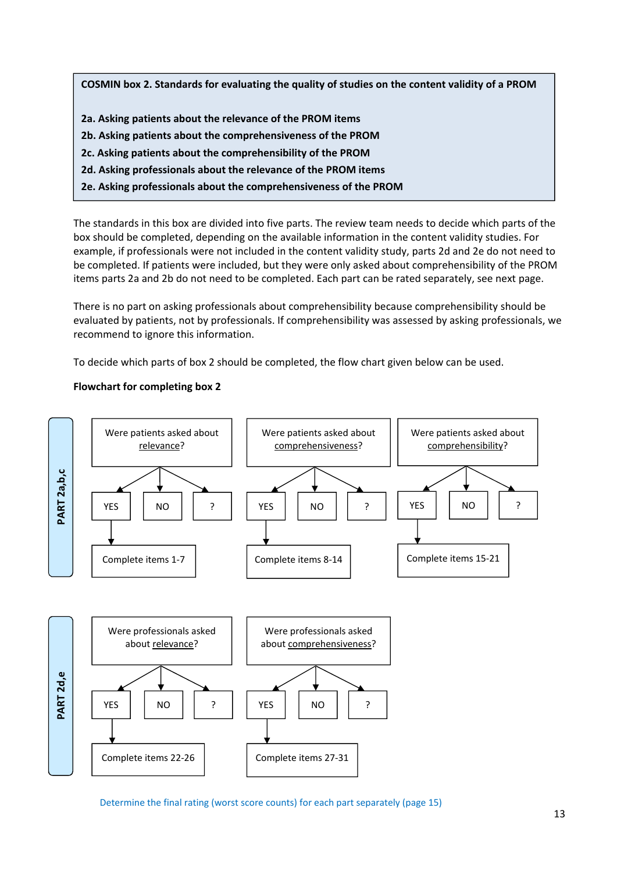**COSMIN box 2. Standards for evaluating the quality of studies on the content validity of a PROM**

- **2a. Asking patients about the relevance of the PROM items**
- **2b. Asking patients about the comprehensiveness of the PROM**
- **2c. Asking patients about the comprehensibility of the PROM**
- **2d. Asking professionals about the relevance of the PROM items**
- **2e. Asking professionals about the comprehensiveness of the PROM**

The standards in this box are divided into five parts. The review team needs to decide which parts of the box should be completed, depending on the available information in the content validity studies. For example, if professionals were not included in the content validity study, parts 2d and 2e do not need to be completed. If patients were included, but they were only asked about comprehensibility of the PROM items parts 2a and 2b do not need to be completed. Each part can be rated separately, see next page.

There is no part on asking professionals about comprehensibility because comprehensibility should be evaluated by patients, not by professionals. If comprehensibility was assessed by asking professionals, we recommend to ignore this information.

To decide which parts of box 2 should be completed, the flow chart given below can be used.

#### **Flowchart for completing box 2**



Determine the final rating (worst score counts) for each part separately (page 15)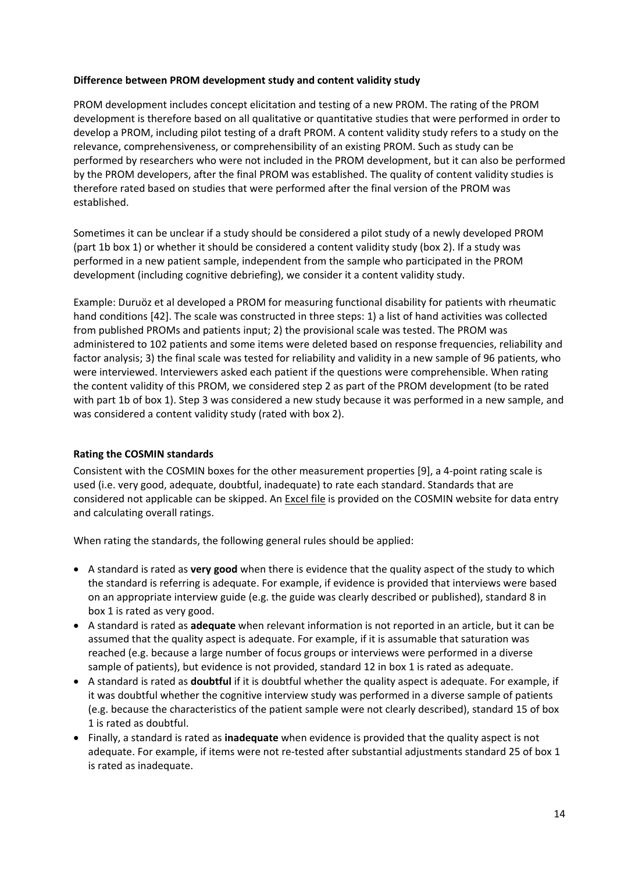#### **Difference between PROM development study and content validity study**

PROM development includes concept elicitation and testing of a new PROM. The rating of the PROM development is therefore based on all qualitative or quantitative studies that were performed in order to develop a PROM, including pilot testing of a draft PROM. A content validity study refers to a study on the relevance, comprehensiveness, or comprehensibility of an existing PROM. Such as study can be performed by researchers who were not included in the PROM development, but it can also be performed by the PROM developers, after the final PROM was established. The quality of content validity studies is therefore rated based on studies that were performed after the final version of the PROM was established.

Sometimes it can be unclear if a study should be considered a pilot study of a newly developed PROM (part 1b box 1) or whether it should be considered a content validity study (box 2). If a study was performed in a new patient sample, independent from the sample who participated in the PROM development (including cognitive debriefing), we consider it a content validity study.

Example: Duruöz et al developed a PROM for measuring functional disability for patients with rheumatic hand conditions [42]. The scale was constructed in three steps: 1) a list of hand activities was collected from published PROMs and patients input; 2) the provisional scale was tested. The PROM was administered to 102 patients and some items were deleted based on response frequencies, reliability and factor analysis; 3) the final scale was tested for reliability and validity in a new sample of 96 patients, who were interviewed. Interviewers asked each patient if the questions were comprehensible. When rating the content validity of this PROM, we considered step 2 as part of the PROM development (to be rated with part 1b of box 1). Step 3 was considered a new study because it was performed in a new sample, and was considered a content validity study (rated with box 2).

#### **Rating the COSMIN standards**

Consistent with the COSMIN boxes for the other measurement properties [9], a 4‐point rating scale is used (i.e. very good, adequate, doubtful, inadequate) to rate each standard. Standards that are considered not applicable can be skipped. An Excel file is provided on the COSMIN website for data entry and calculating overall ratings.

When rating the standards, the following general rules should be applied:

- A standard is rated as **very good** when there is evidence that the quality aspect of the study to which the standard is referring is adequate. For example, if evidence is provided that interviews were based on an appropriate interview guide (e.g. the guide was clearly described or published), standard 8 in box 1 is rated as very good.
- A standard is rated as **adequate** when relevant information is not reported in an article, but it can be assumed that the quality aspect is adequate. For example, if it is assumable that saturation was reached (e.g. because a large number of focus groups or interviews were performed in a diverse sample of patients), but evidence is not provided, standard 12 in box 1 is rated as adequate.
- A standard is rated as **doubtful** if it is doubtful whether the quality aspect is adequate. For example, if it was doubtful whether the cognitive interview study was performed in a diverse sample of patients (e.g. because the characteristics of the patient sample were not clearly described), standard 15 of box 1 is rated as doubtful.
- Finally, a standard is rated as **inadequate** when evidence is provided that the quality aspect is not adequate. For example, if items were not re-tested after substantial adjustments standard 25 of box 1 is rated as inadequate.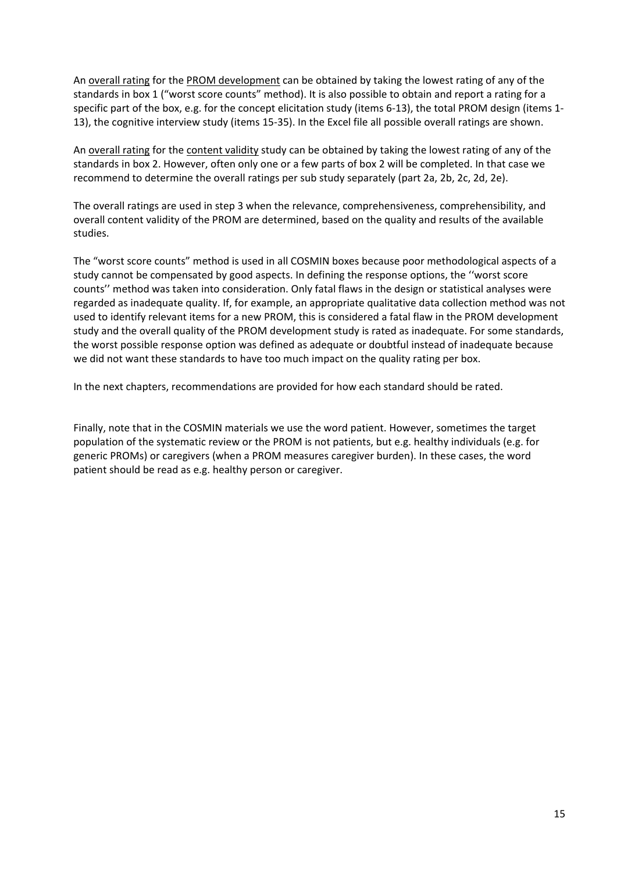An overall rating for the PROM development can be obtained by taking the lowest rating of any of the standards in box 1 ("worst score counts" method). It is also possible to obtain and report a rating for a specific part of the box, e.g. for the concept elicitation study (items 6-13), the total PROM design (items 1-13), the cognitive interview study (items 15‐35). In the Excel file all possible overall ratings are shown.

An overall rating for the content validity study can be obtained by taking the lowest rating of any of the standards in box 2. However, often only one or a few parts of box 2 will be completed. In that case we recommend to determine the overall ratings per sub study separately (part 2a, 2b, 2c, 2d, 2e).

The overall ratings are used in step 3 when the relevance, comprehensiveness, comprehensibility, and overall content validity of the PROM are determined, based on the quality and results of the available studies.

The "worst score counts" method is used in all COSMIN boxes because poor methodological aspects of a study cannot be compensated by good aspects. In defining the response options, the ''worst score counts'' method was taken into consideration. Only fatal flaws in the design or statistical analyses were regarded as inadequate quality. If, for example, an appropriate qualitative data collection method was not used to identify relevant items for a new PROM, this is considered a fatal flaw in the PROM development study and the overall quality of the PROM development study is rated as inadequate. For some standards, the worst possible response option was defined as adequate or doubtful instead of inadequate because we did not want these standards to have too much impact on the quality rating per box.

In the next chapters, recommendations are provided for how each standard should be rated.

Finally, note that in the COSMIN materials we use the word patient. However, sometimes the target population of the systematic review or the PROM is not patients, but e.g. healthy individuals (e.g. for generic PROMs) or caregivers (when a PROM measures caregiver burden). In these cases, the word patient should be read as e.g. healthy person or caregiver.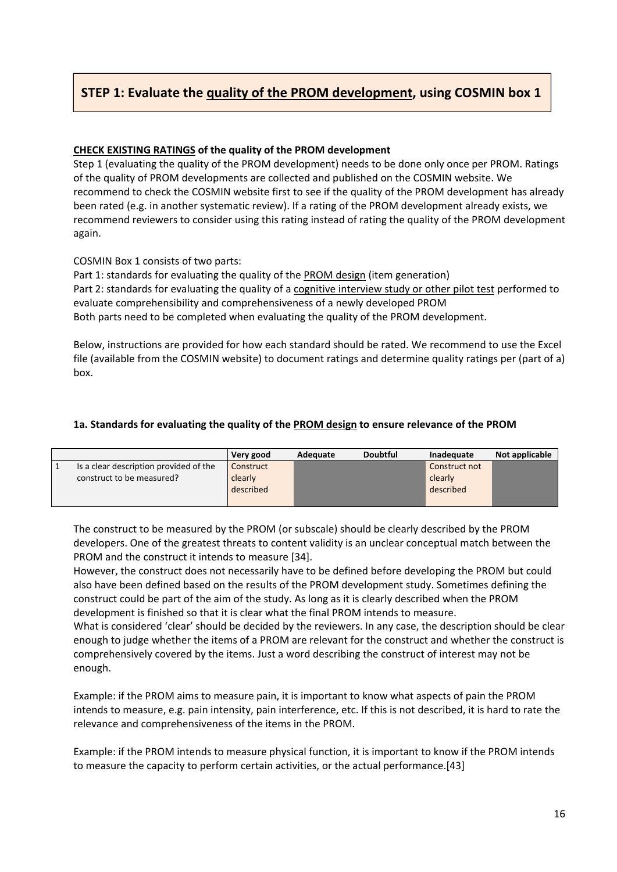## **STEP 1: Evaluate the quality of the PROM development, using COSMIN box 1**

#### **CHECK EXISTING RATINGS of the quality of the PROM development**

Step 1 (evaluating the quality of the PROM development) needs to be done only once per PROM. Ratings of the quality of PROM developments are collected and published on the COSMIN website. We recommend to check the COSMIN website first to see if the quality of the PROM development has already been rated (e.g. in another systematic review). If a rating of the PROM development already exists, we recommend reviewers to consider using this rating instead of rating the quality of the PROM development again.

COSMIN Box 1 consists of two parts:

Part 1: standards for evaluating the quality of the PROM design (item generation) Part 2: standards for evaluating the quality of a cognitive interview study or other pilot test performed to evaluate comprehensibility and comprehensiveness of a newly developed PROM Both parts need to be completed when evaluating the quality of the PROM development.

Below, instructions are provided for how each standard should be rated. We recommend to use the Excel file (available from the COSMIN website) to document ratings and determine quality ratings per (part of a) box.

#### **1a. Standards for evaluating the quality of the PROM design to ensure relevance of the PROM**

|                                        | Very good            | Adequate | <b>Doubtful</b> | Inadequate           | Not applicable |
|----------------------------------------|----------------------|----------|-----------------|----------------------|----------------|
| Is a clear description provided of the | Construct            |          |                 | Construct not        |                |
| construct to be measured?              | clearly<br>described |          |                 | clearly<br>described |                |
|                                        |                      |          |                 |                      |                |

The construct to be measured by the PROM (or subscale) should be clearly described by the PROM developers. One of the greatest threats to content validity is an unclear conceptual match between the PROM and the construct it intends to measure [34].

However, the construct does not necessarily have to be defined before developing the PROM but could also have been defined based on the results of the PROM development study. Sometimes defining the construct could be part of the aim of the study. As long as it is clearly described when the PROM development is finished so that it is clear what the final PROM intends to measure.

What is considered 'clear' should be decided by the reviewers. In any case, the description should be clear enough to judge whether the items of a PROM are relevant for the construct and whether the construct is comprehensively covered by the items. Just a word describing the construct of interest may not be enough.

Example: if the PROM aims to measure pain, it is important to know what aspects of pain the PROM intends to measure, e.g. pain intensity, pain interference, etc. If this is not described, it is hard to rate the relevance and comprehensiveness of the items in the PROM.

Example: if the PROM intends to measure physical function, it is important to know if the PROM intends to measure the capacity to perform certain activities, or the actual performance.[43]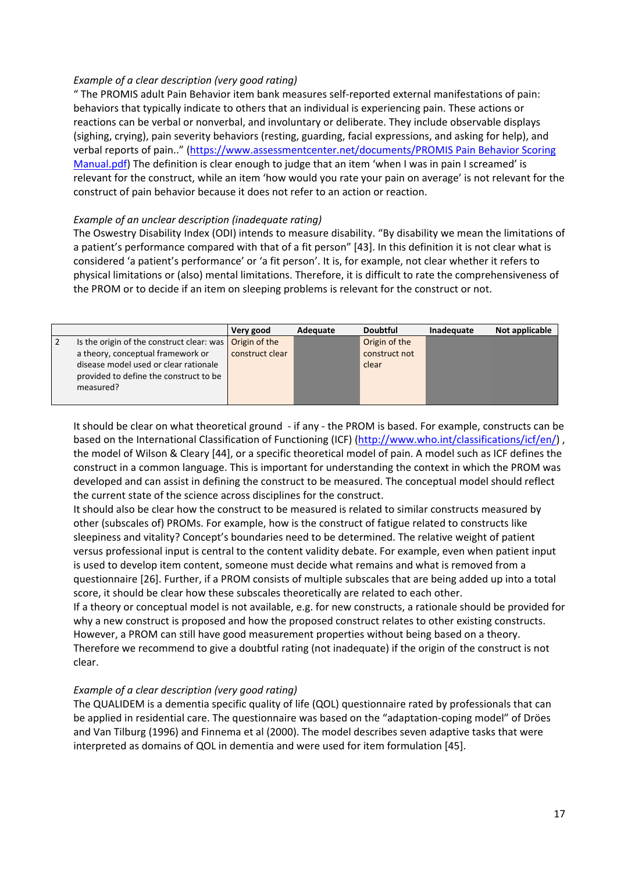#### *Example of a clear description (very good rating)*

" The PROMIS adult Pain Behavior item bank measures self‐reported external manifestations of pain: behaviors that typically indicate to others that an individual is experiencing pain. These actions or reactions can be verbal or nonverbal, and involuntary or deliberate. They include observable displays (sighing, crying), pain severity behaviors (resting, guarding, facial expressions, and asking for help), and verbal reports of pain.." (https://www.assessmentcenter.net/documents/PROMIS Pain Behavior Scoring Manual.pdf) The definition is clear enough to judge that an item 'when I was in pain I screamed' is relevant for the construct, while an item 'how would you rate your pain on average' is not relevant for the construct of pain behavior because it does not refer to an action or reaction.

#### *Example of an unclear description (inadequate rating)*

The Oswestry Disability Index (ODI) intends to measure disability. "By disability we mean the limitations of a patient's performance compared with that of a fit person" [43]. In this definition it is not clear what is considered 'a patient's performance' or 'a fit person'. It is, for example, not clear whether it refers to physical limitations or (also) mental limitations. Therefore, it is difficult to rate the comprehensiveness of the PROM or to decide if an item on sleeping problems is relevant for the construct or not.

|   |                                                                                              | Very good       | Adequate | <b>Doubtful</b> | Inadequate | Not applicable |
|---|----------------------------------------------------------------------------------------------|-----------------|----------|-----------------|------------|----------------|
| 2 | Is the origin of the construct clear: was                                                    | Origin of the   |          | Origin of the   |            |                |
|   | a theory, conceptual framework or                                                            | construct clear |          | construct not   |            |                |
|   | disease model used or clear rationale<br>provided to define the construct to be<br>measured? |                 |          | clear           |            |                |

It should be clear on what theoretical ground ‐ if any ‐ the PROM is based. For example, constructs can be based on the International Classification of Functioning (ICF) (http://www.who.int/classifications/icf/en/) , the model of Wilson & Cleary [44], or a specific theoretical model of pain. A model such as ICF defines the construct in a common language. This is important for understanding the context in which the PROM was developed and can assist in defining the construct to be measured. The conceptual model should reflect the current state of the science across disciplines for the construct.

It should also be clear how the construct to be measured is related to similar constructs measured by other (subscales of) PROMs. For example, how is the construct of fatigue related to constructs like sleepiness and vitality? Concept's boundaries need to be determined. The relative weight of patient versus professional input is central to the content validity debate. For example, even when patient input is used to develop item content, someone must decide what remains and what is removed from a questionnaire [26]. Further, if a PROM consists of multiple subscales that are being added up into a total score, it should be clear how these subscales theoretically are related to each other.

If a theory or conceptual model is not available, e.g. for new constructs, a rationale should be provided for why a new construct is proposed and how the proposed construct relates to other existing constructs. However, a PROM can still have good measurement properties without being based on a theory. Therefore we recommend to give a doubtful rating (not inadequate) if the origin of the construct is not clear.

#### *Example of a clear description (very good rating)*

The QUALIDEM is a dementia specific quality of life (QOL) questionnaire rated by professionals that can be applied in residential care. The questionnaire was based on the "adaptation-coping model" of Dröes and Van Tilburg (1996) and Finnema et al (2000). The model describes seven adaptive tasks that were interpreted as domains of QOL in dementia and were used for item formulation [45].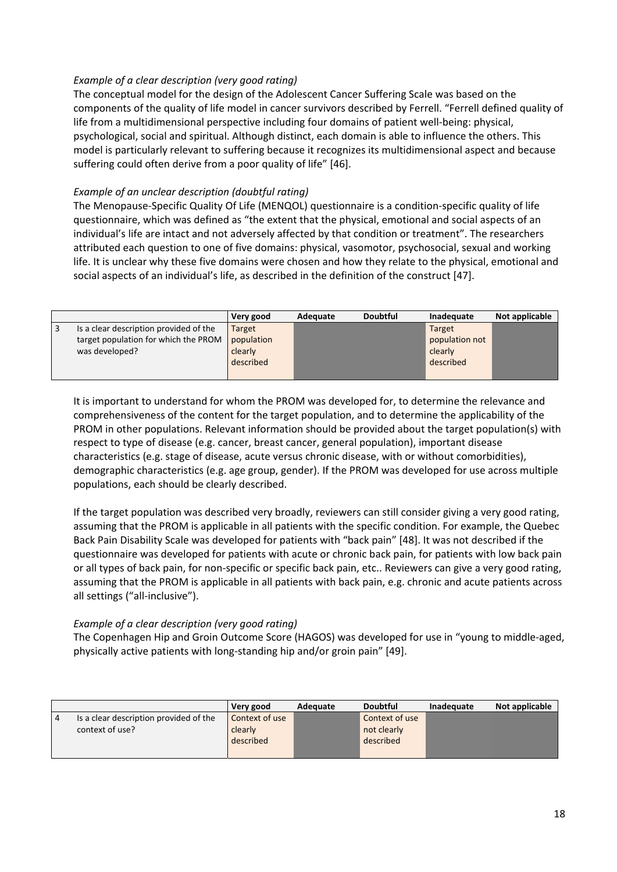#### *Example of a clear description (very good rating)*

The conceptual model for the design of the Adolescent Cancer Suffering Scale was based on the components of the quality of life model in cancer survivors described by Ferrell. "Ferrell defined quality of life from a multidimensional perspective including four domains of patient well-being: physical, psychological, social and spiritual. Although distinct, each domain is able to influence the others. This model is particularly relevant to suffering because it recognizes its multidimensional aspect and because suffering could often derive from a poor quality of life" [46].

#### *Example of an unclear description (doubtful rating)*

The Menopause‐Specific Quality Of Life (MENQOL) questionnaire is a condition‐specific quality of life questionnaire, which was defined as "the extent that the physical, emotional and social aspects of an individual's life are intact and not adversely affected by that condition or treatment". The researchers attributed each question to one of five domains: physical, vasomotor, psychosocial, sexual and working life. It is unclear why these five domains were chosen and how they relate to the physical, emotional and social aspects of an individual's life, as described in the definition of the construct [47].

|     |                                        | Very good     | Adequate | <b>Doubtful</b> | Inadequate     | Not applicable |
|-----|----------------------------------------|---------------|----------|-----------------|----------------|----------------|
| l 3 | Is a clear description provided of the | <b>Target</b> |          |                 | Target         |                |
|     | target population for which the PROM   | population    |          |                 | population not |                |
|     | was developed?                         | clearly       |          |                 | clearly        |                |
|     |                                        | described     |          |                 | described      |                |
|     |                                        |               |          |                 |                |                |

It is important to understand for whom the PROM was developed for, to determine the relevance and comprehensiveness of the content for the target population, and to determine the applicability of the PROM in other populations. Relevant information should be provided about the target population(s) with respect to type of disease (e.g. cancer, breast cancer, general population), important disease characteristics (e.g. stage of disease, acute versus chronic disease, with or without comorbidities), demographic characteristics (e.g. age group, gender). If the PROM was developed for use across multiple populations, each should be clearly described.

If the target population was described very broadly, reviewers can still consider giving a very good rating, assuming that the PROM is applicable in all patients with the specific condition. For example, the Quebec Back Pain Disability Scale was developed for patients with "back pain" [48]. It was not described if the questionnaire was developed for patients with acute or chronic back pain, for patients with low back pain or all types of back pain, for non‐specific or specific back pain, etc.. Reviewers can give a very good rating, assuming that the PROM is applicable in all patients with back pain, e.g. chronic and acute patients across all settings ("all‐inclusive").

#### *Example of a clear description (very good rating)*

The Copenhagen Hip and Groin Outcome Score (HAGOS) was developed for use in "young to middle‐aged, physically active patients with long‐standing hip and/or groin pain" [49].

|   |                                        | Very good      | Adequate | <b>Doubtful</b> | Inadequate | Not applicable |
|---|----------------------------------------|----------------|----------|-----------------|------------|----------------|
| 4 | Is a clear description provided of the | Context of use |          | Context of use  |            |                |
|   | context of use?                        | clearly        |          | not clearly     |            |                |
|   |                                        | described      |          | described       |            |                |
|   |                                        |                |          |                 |            |                |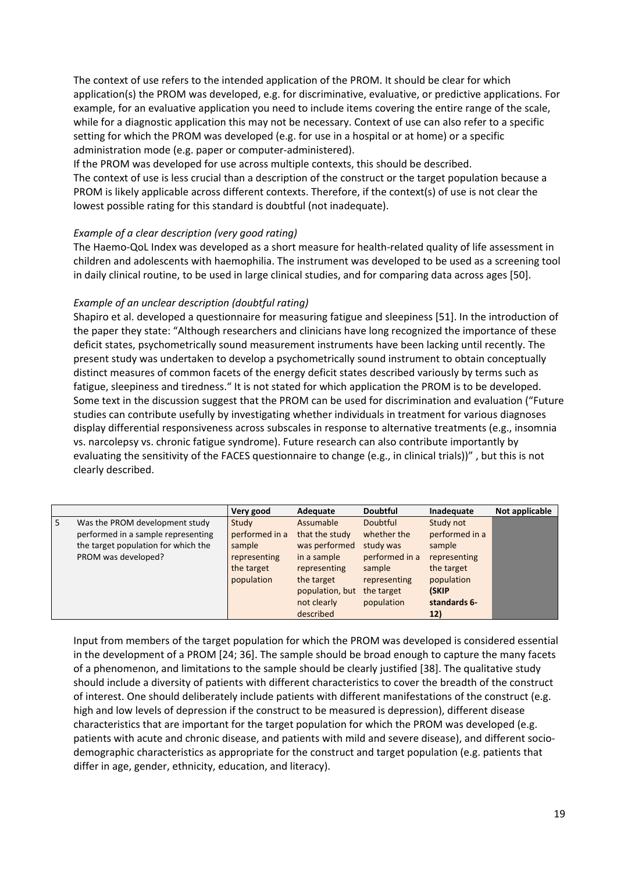The context of use refers to the intended application of the PROM. It should be clear for which application(s) the PROM was developed, e.g. for discriminative, evaluative, or predictive applications. For example, for an evaluative application you need to include items covering the entire range of the scale, while for a diagnostic application this may not be necessary. Context of use can also refer to a specific setting for which the PROM was developed (e.g. for use in a hospital or at home) or a specific administration mode (e.g. paper or computer‐administered).

If the PROM was developed for use across multiple contexts, this should be described. The context of use is less crucial than a description of the construct or the target population because a PROM is likely applicable across different contexts. Therefore, if the context(s) of use is not clear the lowest possible rating for this standard is doubtful (not inadequate).

#### *Example of a clear description (very good rating)*

The Haemo-QoL Index was developed as a short measure for health-related quality of life assessment in children and adolescents with haemophilia. The instrument was developed to be used as a screening tool in daily clinical routine, to be used in large clinical studies, and for comparing data across ages [50].

#### *Example of an unclear description (doubtful rating)*

Shapiro et al. developed a questionnaire for measuring fatigue and sleepiness [51]. In the introduction of the paper they state: "Although researchers and clinicians have long recognized the importance of these deficit states, psychometrically sound measurement instruments have been lacking until recently. The present study was undertaken to develop a psychometrically sound instrument to obtain conceptually distinct measures of common facets of the energy deficit states described variously by terms such as fatigue, sleepiness and tiredness." It is not stated for which application the PROM is to be developed. Some text in the discussion suggest that the PROM can be used for discrimination and evaluation ("Future studies can contribute usefully by investigating whether individuals in treatment for various diagnoses display differential responsiveness across subscales in response to alternative treatments (e.g., insomnia vs. narcolepsy vs. chronic fatigue syndrome). Future research can also contribute importantly by evaluating the sensitivity of the FACES questionnaire to change (e.g., in clinical trials))" , but this is not clearly described.

|   |                                     | Very good      | Adequate        | <b>Doubtful</b> | Inadequate     | Not applicable |
|---|-------------------------------------|----------------|-----------------|-----------------|----------------|----------------|
| 5 | Was the PROM development study      | Study          | Assumable       | <b>Doubtful</b> | Study not      |                |
|   | performed in a sample representing  | performed in a | that the study  | whether the     | performed in a |                |
|   | the target population for which the | sample         | was performed   | study was       | sample         |                |
|   | PROM was developed?                 | representing   | in a sample     | performed in a  | representing   |                |
|   |                                     | the target     | representing    | sample          | the target     |                |
|   |                                     | population     | the target      | representing    | population     |                |
|   |                                     |                | population, but | the target      | (SKIP          |                |
|   |                                     |                | not clearly     | population      | standards 6-   |                |
|   |                                     |                | described       |                 | 12)            |                |

Input from members of the target population for which the PROM was developed is considered essential in the development of a PROM [24; 36]. The sample should be broad enough to capture the many facets of a phenomenon, and limitations to the sample should be clearly justified [38]. The qualitative study should include a diversity of patients with different characteristics to cover the breadth of the construct of interest. One should deliberately include patients with different manifestations of the construct (e.g. high and low levels of depression if the construct to be measured is depression), different disease characteristics that are important for the target population for which the PROM was developed (e.g. patients with acute and chronic disease, and patients with mild and severe disease), and different socio‐ demographic characteristics as appropriate for the construct and target population (e.g. patients that differ in age, gender, ethnicity, education, and literacy).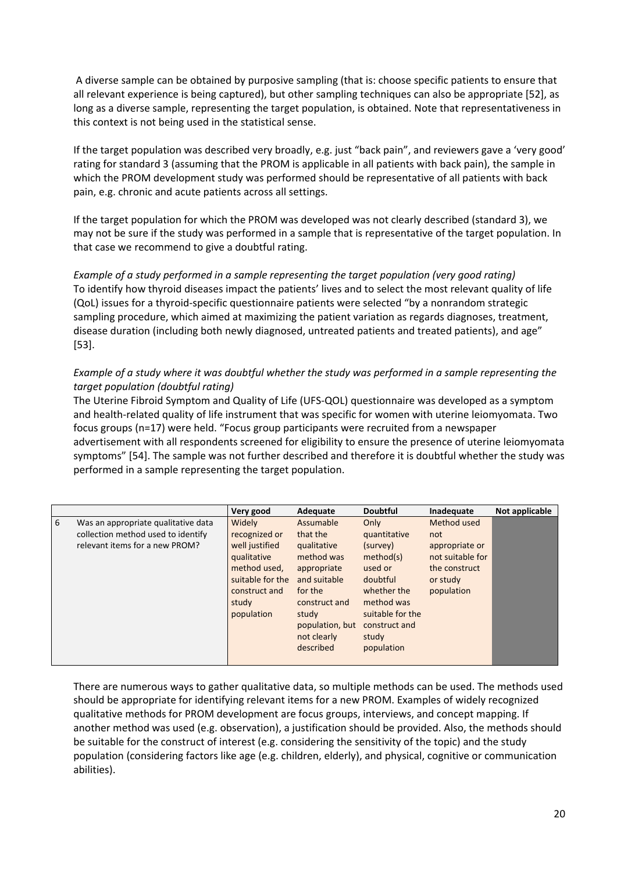A diverse sample can be obtained by purposive sampling (that is: choose specific patients to ensure that all relevant experience is being captured), but other sampling techniques can also be appropriate [52], as long as a diverse sample, representing the target population, is obtained. Note that representativeness in this context is not being used in the statistical sense.

If the target population was described very broadly, e.g. just "back pain", and reviewers gave a 'very good' rating for standard 3 (assuming that the PROM is applicable in all patients with back pain), the sample in which the PROM development study was performed should be representative of all patients with back pain, e.g. chronic and acute patients across all settings.

If the target population for which the PROM was developed was not clearly described (standard 3), we may not be sure if the study was performed in a sample that is representative of the target population. In that case we recommend to give a doubtful rating.

*Example of a study performed in a sample representing the target population (very good rating)* To identify how thyroid diseases impact the patients' lives and to select the most relevant quality of life (QoL) issues for a thyroid‐specific questionnaire patients were selected "by a nonrandom strategic sampling procedure, which aimed at maximizing the patient variation as regards diagnoses, treatment, disease duration (including both newly diagnosed, untreated patients and treated patients), and age" [53].

#### Example of a study where it was doubtful whether the study was performed in a sample representing the *target population (doubtful rating)*

The Uterine Fibroid Symptom and Quality of Life (UFS‐QOL) questionnaire was developed as a symptom and health-related quality of life instrument that was specific for women with uterine leiomyomata. Two focus groups (n=17) were held. "Focus group participants were recruited from a newspaper advertisement with all respondents screened for eligibility to ensure the presence of uterine leiomyomata symptoms" [54]. The sample was not further described and therefore it is doubtful whether the study was performed in a sample representing the target population.

|   |                                                                                                             | Very good                                                                                                                            | Adequate                                                                                                                                                              | <b>Doubtful</b>                                                                                                                                               | Inadequate                                                                                          | Not applicable |
|---|-------------------------------------------------------------------------------------------------------------|--------------------------------------------------------------------------------------------------------------------------------------|-----------------------------------------------------------------------------------------------------------------------------------------------------------------------|---------------------------------------------------------------------------------------------------------------------------------------------------------------|-----------------------------------------------------------------------------------------------------|----------------|
| 6 | Was an appropriate qualitative data<br>collection method used to identify<br>relevant items for a new PROM? | Widely<br>recognized or<br>well justified<br>qualitative<br>method used,<br>suitable for the<br>construct and<br>study<br>population | Assumable<br>that the<br>qualitative<br>method was<br>appropriate<br>and suitable<br>for the<br>construct and<br>study<br>population, but<br>not clearly<br>described | Only<br>quantitative<br>(survey)<br>method(s)<br>used or<br>doubtful<br>whether the<br>method was<br>suitable for the<br>construct and<br>study<br>population | Method used<br>not<br>appropriate or<br>not suitable for<br>the construct<br>or study<br>population |                |

There are numerous ways to gather qualitative data, so multiple methods can be used. The methods used should be appropriate for identifying relevant items for a new PROM. Examples of widely recognized qualitative methods for PROM development are focus groups, interviews, and concept mapping. If another method was used (e.g. observation), a justification should be provided. Also, the methods should be suitable for the construct of interest (e.g. considering the sensitivity of the topic) and the study population (considering factors like age (e.g. children, elderly), and physical, cognitive or communication abilities).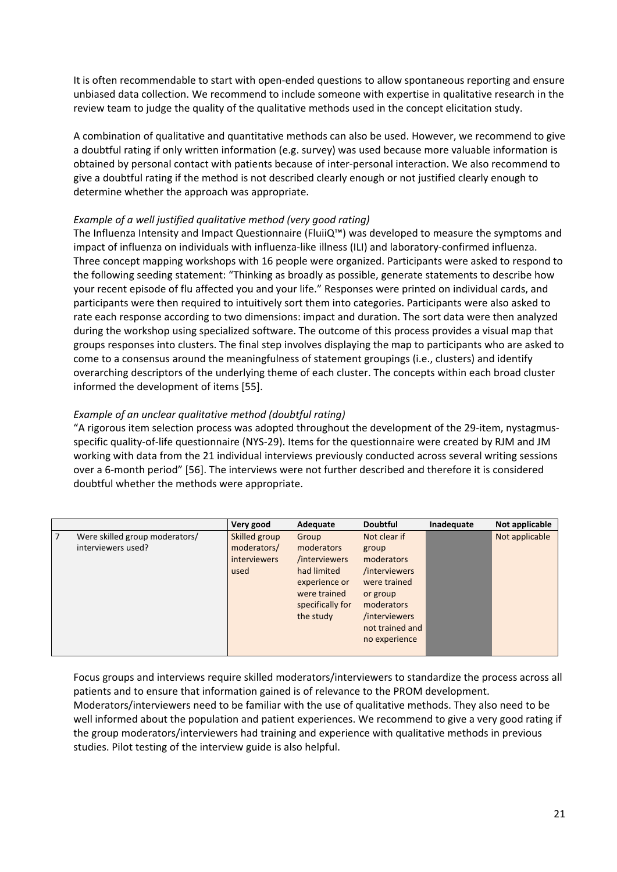It is often recommendable to start with open‐ended questions to allow spontaneous reporting and ensure unbiased data collection. We recommend to include someone with expertise in qualitative research in the review team to judge the quality of the qualitative methods used in the concept elicitation study.

A combination of qualitative and quantitative methods can also be used. However, we recommend to give a doubtful rating if only written information (e.g. survey) was used because more valuable information is obtained by personal contact with patients because of inter-personal interaction. We also recommend to give a doubtful rating if the method is not described clearly enough or not justified clearly enough to determine whether the approach was appropriate.

#### *Example of a well justified qualitative method (very good rating)*

The Influenza Intensity and Impact Questionnaire (FluiiQ™) was developed to measure the symptoms and impact of influenza on individuals with influenza‐like illness (ILI) and laboratory‐confirmed influenza. Three concept mapping workshops with 16 people were organized. Participants were asked to respond to the following seeding statement: "Thinking as broadly as possible, generate statements to describe how your recent episode of flu affected you and your life." Responses were printed on individual cards, and participants were then required to intuitively sort them into categories. Participants were also asked to rate each response according to two dimensions: impact and duration. The sort data were then analyzed during the workshop using specialized software. The outcome of this process provides a visual map that groups responses into clusters. The final step involves displaying the map to participants who are asked to come to a consensus around the meaningfulness of statement groupings (i.e., clusters) and identify overarching descriptors of the underlying theme of each cluster. The concepts within each broad cluster informed the development of items [55].

#### *Example of an unclear qualitative method (doubtful rating)*

"A rigorous item selection process was adopted throughout the development of the 29‐item, nystagmus‐ specific quality‐of‐life questionnaire (NYS‐29). Items for the questionnaire were created by RJM and JM working with data from the 21 individual interviews previously conducted across several writing sessions over a 6‐month period" [56]. The interviews were not further described and therefore it is considered doubtful whether the methods were appropriate.

|                                                           | Very good                                                   | Adequate                                                                                                              | <b>Doubtful</b>                                                                                                                                     | Inadequate | Not applicable |
|-----------------------------------------------------------|-------------------------------------------------------------|-----------------------------------------------------------------------------------------------------------------------|-----------------------------------------------------------------------------------------------------------------------------------------------------|------------|----------------|
| 7<br>Were skilled group moderators/<br>interviewers used? | Skilled group<br>moderators/<br><i>interviewers</i><br>used | Group<br>moderators<br>/interviewers<br>had limited<br>experience or<br>were trained<br>specifically for<br>the study | Not clear if<br>group<br>moderators<br>/interviewers<br>were trained<br>or group<br>moderators<br>/interviewers<br>not trained and<br>no experience |            | Not applicable |

Focus groups and interviews require skilled moderators/interviewers to standardize the process across all patients and to ensure that information gained is of relevance to the PROM development. Moderators/interviewers need to be familiar with the use of qualitative methods. They also need to be well informed about the population and patient experiences. We recommend to give a very good rating if the group moderators/interviewers had training and experience with qualitative methods in previous studies. Pilot testing of the interview guide is also helpful.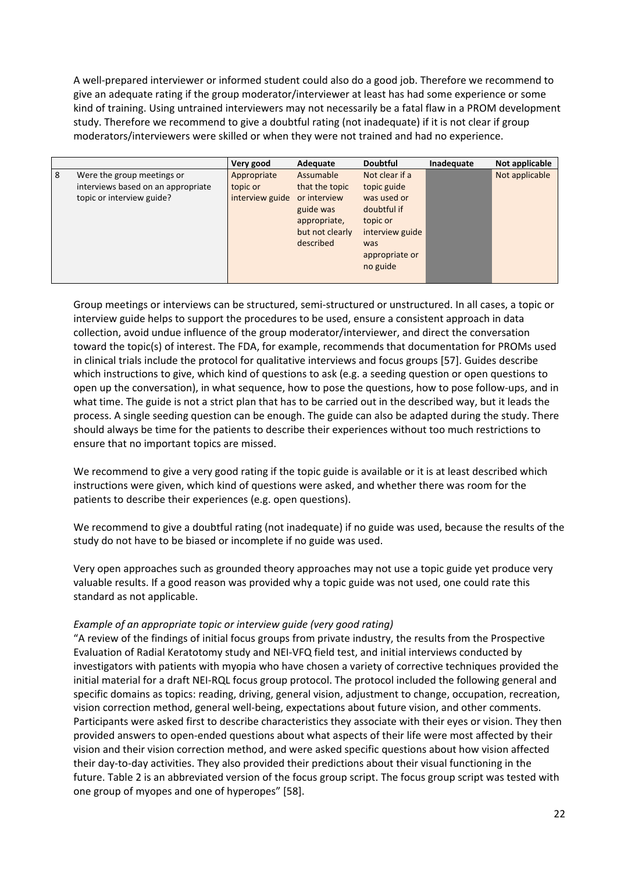A well‐prepared interviewer or informed student could also do a good job. Therefore we recommend to give an adequate rating if the group moderator/interviewer at least has had some experience or some kind of training. Using untrained interviewers may not necessarily be a fatal flaw in a PROM development study. Therefore we recommend to give a doubtful rating (not inadequate) if it is not clear if group moderators/interviewers were skilled or when they were not trained and had no experience.

|   |                                    | Very good       | Adequate        | <b>Doubtful</b> | Inadequate | Not applicable |
|---|------------------------------------|-----------------|-----------------|-----------------|------------|----------------|
| 8 | Were the group meetings or         | Appropriate     | Assumable       | Not clear if a  |            | Not applicable |
|   | interviews based on an appropriate | topic or        | that the topic  | topic guide     |            |                |
|   | topic or interview guide?          | interview guide | or interview    | was used or     |            |                |
|   |                                    |                 | guide was       | doubtful if     |            |                |
|   |                                    |                 | appropriate,    | topic or        |            |                |
|   |                                    |                 | but not clearly | interview guide |            |                |
|   |                                    |                 | described       | was             |            |                |
|   |                                    |                 |                 | appropriate or  |            |                |
|   |                                    |                 |                 | no guide        |            |                |
|   |                                    |                 |                 |                 |            |                |

Group meetings or interviews can be structured, semi‐structured or unstructured. In all cases, a topic or interview guide helps to support the procedures to be used, ensure a consistent approach in data collection, avoid undue influence of the group moderator/interviewer, and direct the conversation toward the topic(s) of interest. The FDA, for example, recommends that documentation for PROMs used in clinical trials include the protocol for qualitative interviews and focus groups [57]. Guides describe which instructions to give, which kind of questions to ask (e.g. a seeding question or open questions to open up the conversation), in what sequence, how to pose the questions, how to pose follow‐ups, and in what time. The guide is not a strict plan that has to be carried out in the described way, but it leads the process. A single seeding question can be enough. The guide can also be adapted during the study. There should always be time for the patients to describe their experiences without too much restrictions to ensure that no important topics are missed.

We recommend to give a very good rating if the topic guide is available or it is at least described which instructions were given, which kind of questions were asked, and whether there was room for the patients to describe their experiences (e.g. open questions).

We recommend to give a doubtful rating (not inadequate) if no guide was used, because the results of the study do not have to be biased or incomplete if no guide was used.

Very open approaches such as grounded theory approaches may not use a topic guide yet produce very valuable results. If a good reason was provided why a topic guide was not used, one could rate this standard as not applicable.

#### *Example of an appropriate topic or interview guide (very good rating)*

"A review of the findings of initial focus groups from private industry, the results from the Prospective Evaluation of Radial Keratotomy study and NEI‐VFQ field test, and initial interviews conducted by investigators with patients with myopia who have chosen a variety of corrective techniques provided the initial material for a draft NEI‐RQL focus group protocol. The protocol included the following general and specific domains as topics: reading, driving, general vision, adjustment to change, occupation, recreation, vision correction method, general well‐being, expectations about future vision, and other comments. Participants were asked first to describe characteristics they associate with their eyes or vision. They then provided answers to open‐ended questions about what aspects of their life were most affected by their vision and their vision correction method, and were asked specific questions about how vision affected their day‐to‐day activities. They also provided their predictions about their visual functioning in the future. Table 2 is an abbreviated version of the focus group script. The focus group script was tested with one group of myopes and one of hyperopes" [58].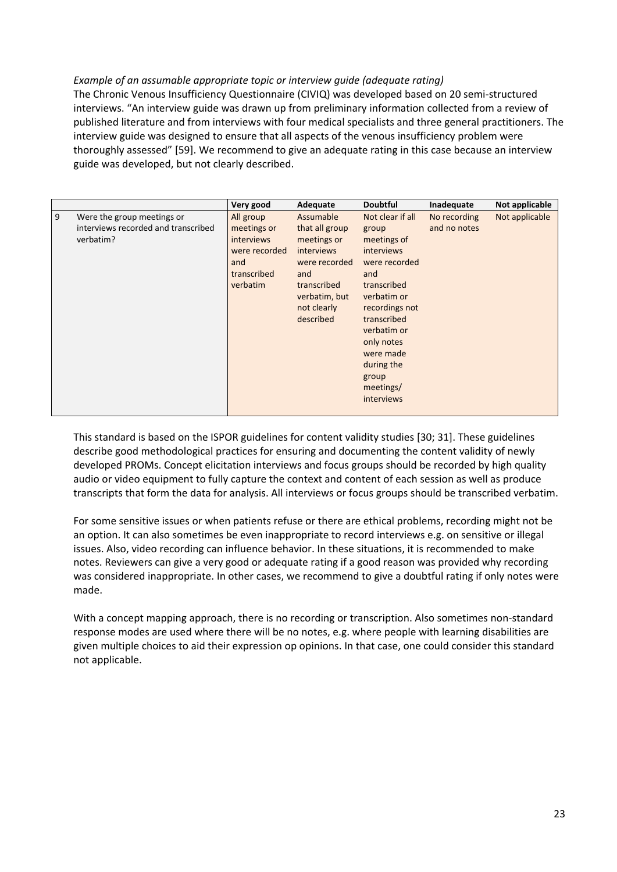#### *Example of an assumable appropriate topic or interview guide (adequate rating)*

The Chronic Venous Insufficiency Questionnaire (CIVIQ) was developed based on 20 semi‐structured interviews. "An interview guide was drawn up from preliminary information collected from a review of published literature and from interviews with four medical specialists and three general practitioners. The interview guide was designed to ensure that all aspects of the venous insufficiency problem were thoroughly assessed" [59]. We recommend to give an adequate rating in this case because an interview guide was developed, but not clearly described.

|   |                                                                                | Very good                                                                                 | Adequate                                                                                                                                     | <b>Doubtful</b>                                                                                                                                                                                                                                  | Inadequate                   | Not applicable |
|---|--------------------------------------------------------------------------------|-------------------------------------------------------------------------------------------|----------------------------------------------------------------------------------------------------------------------------------------------|--------------------------------------------------------------------------------------------------------------------------------------------------------------------------------------------------------------------------------------------------|------------------------------|----------------|
| 9 | Were the group meetings or<br>interviews recorded and transcribed<br>verbatim? | All group<br>meetings or<br>interviews<br>were recorded<br>and<br>transcribed<br>verbatim | Assumable<br>that all group<br>meetings or<br>interviews<br>were recorded<br>and<br>transcribed<br>verbatim, but<br>not clearly<br>described | Not clear if all<br>group<br>meetings of<br><b>interviews</b><br>were recorded<br>and<br>transcribed<br>verbatim or<br>recordings not<br>transcribed<br>verbatim or<br>only notes<br>were made<br>during the<br>group<br>meetings/<br>interviews | No recording<br>and no notes | Not applicable |

This standard is based on the ISPOR guidelines for content validity studies [30; 31]. These guidelines describe good methodological practices for ensuring and documenting the content validity of newly developed PROMs. Concept elicitation interviews and focus groups should be recorded by high quality audio or video equipment to fully capture the context and content of each session as well as produce transcripts that form the data for analysis. All interviews or focus groups should be transcribed verbatim.

For some sensitive issues or when patients refuse or there are ethical problems, recording might not be an option. It can also sometimes be even inappropriate to record interviews e.g. on sensitive or illegal issues. Also, video recording can influence behavior. In these situations, it is recommended to make notes. Reviewers can give a very good or adequate rating if a good reason was provided why recording was considered inappropriate. In other cases, we recommend to give a doubtful rating if only notes were made.

With a concept mapping approach, there is no recording or transcription. Also sometimes non-standard response modes are used where there will be no notes, e.g. where people with learning disabilities are given multiple choices to aid their expression op opinions. In that case, one could consider this standard not applicable.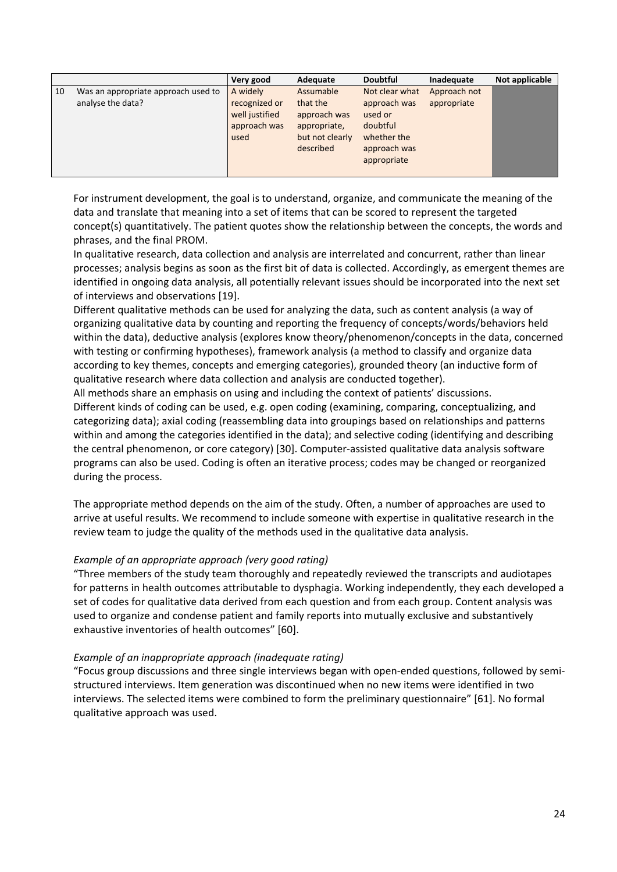|    |                                                          | Very good                                                           | Adequate                                                                              | <b>Doubtful</b>                                                                                     | Inadequate                  | Not applicable |
|----|----------------------------------------------------------|---------------------------------------------------------------------|---------------------------------------------------------------------------------------|-----------------------------------------------------------------------------------------------------|-----------------------------|----------------|
| 10 | Was an appropriate approach used to<br>analyse the data? | A widely<br>recognized or<br>well justified<br>approach was<br>used | Assumable<br>that the<br>approach was<br>appropriate,<br>but not clearly<br>described | Not clear what<br>approach was<br>used or<br>doubtful<br>whether the<br>approach was<br>appropriate | Approach not<br>appropriate |                |

For instrument development, the goal is to understand, organize, and communicate the meaning of the data and translate that meaning into a set of items that can be scored to represent the targeted concept(s) quantitatively. The patient quotes show the relationship between the concepts, the words and phrases, and the final PROM.

In qualitative research, data collection and analysis are interrelated and concurrent, rather than linear processes; analysis begins as soon as the first bit of data is collected. Accordingly, as emergent themes are identified in ongoing data analysis, all potentially relevant issues should be incorporated into the next set of interviews and observations [19].

Different qualitative methods can be used for analyzing the data, such as content analysis (a way of organizing qualitative data by counting and reporting the frequency of concepts/words/behaviors held within the data), deductive analysis (explores know theory/phenomenon/concepts in the data, concerned with testing or confirming hypotheses), framework analysis (a method to classify and organize data according to key themes, concepts and emerging categories), grounded theory (an inductive form of qualitative research where data collection and analysis are conducted together).

All methods share an emphasis on using and including the context of patients' discussions. Different kinds of coding can be used, e.g. open coding (examining, comparing, conceptualizing, and categorizing data); axial coding (reassembling data into groupings based on relationships and patterns within and among the categories identified in the data); and selective coding (identifying and describing the central phenomenon, or core category) [30]. Computer‐assisted qualitative data analysis software programs can also be used. Coding is often an iterative process; codes may be changed or reorganized during the process.

The appropriate method depends on the aim of the study. Often, a number of approaches are used to arrive at useful results. We recommend to include someone with expertise in qualitative research in the review team to judge the quality of the methods used in the qualitative data analysis.

#### *Example of an appropriate approach (very good rating)*

"Three members of the study team thoroughly and repeatedly reviewed the transcripts and audiotapes for patterns in health outcomes attributable to dysphagia. Working independently, they each developed a set of codes for qualitative data derived from each question and from each group. Content analysis was used to organize and condense patient and family reports into mutually exclusive and substantively exhaustive inventories of health outcomes" [60].

#### *Example of an inappropriate approach (inadequate rating)*

"Focus group discussions and three single interviews began with open‐ended questions, followed by semi‐ structured interviews. Item generation was discontinued when no new items were identified in two interviews. The selected items were combined to form the preliminary questionnaire" [61]. No formal qualitative approach was used.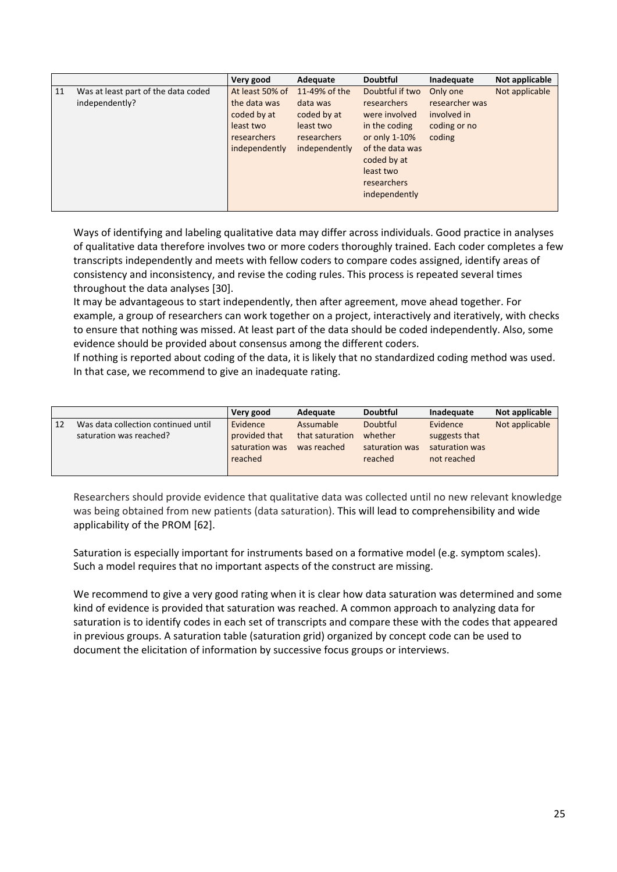|    |                                                       | Very good                                                                                   | Adequate                                                                              | <b>Doubtful</b>                                                                                                                                                         | Inadequate                                                          | Not applicable |
|----|-------------------------------------------------------|---------------------------------------------------------------------------------------------|---------------------------------------------------------------------------------------|-------------------------------------------------------------------------------------------------------------------------------------------------------------------------|---------------------------------------------------------------------|----------------|
| 11 | Was at least part of the data coded<br>independently? | At least 50% of<br>the data was<br>coded by at<br>least two<br>researchers<br>independently | 11-49% of the<br>data was<br>coded by at<br>least two<br>researchers<br>independently | Doubtful if two<br><b>researchers</b><br>were involved<br>in the coding<br>or only 1-10%<br>of the data was<br>coded by at<br>least two<br>researchers<br>independently | Only one<br>researcher was<br>involved in<br>coding or no<br>coding | Not applicable |

Ways of identifying and labeling qualitative data may differ across individuals. Good practice in analyses of qualitative data therefore involves two or more coders thoroughly trained. Each coder completes a few transcripts independently and meets with fellow coders to compare codes assigned, identify areas of consistency and inconsistency, and revise the coding rules. This process is repeated several times throughout the data analyses [30].

It may be advantageous to start independently, then after agreement, move ahead together. For example, a group of researchers can work together on a project, interactively and iteratively, with checks to ensure that nothing was missed. At least part of the data should be coded independently. Also, some evidence should be provided about consensus among the different coders.

If nothing is reported about coding of the data, it is likely that no standardized coding method was used. In that case, we recommend to give an inadequate rating.

|    |                                     | Very good      | Adequate        | <b>Doubtful</b> | Inadequate     | Not applicable |
|----|-------------------------------------|----------------|-----------------|-----------------|----------------|----------------|
| 12 | Was data collection continued until | Evidence       | Assumable       | <b>Doubtful</b> | Evidence       | Not applicable |
|    | saturation was reached?             | provided that  | that saturation | whether         | suggests that  |                |
|    |                                     | saturation was | was reached     | saturation was  | saturation was |                |
|    |                                     | reached        |                 | reached         | not reached    |                |
|    |                                     |                |                 |                 |                |                |

Researchers should provide evidence that qualitative data was collected until no new relevant knowledge was being obtained from new patients (data saturation). This will lead to comprehensibility and wide applicability of the PROM [62].

Saturation is especially important for instruments based on a formative model (e.g. symptom scales). Such a model requires that no important aspects of the construct are missing.

We recommend to give a very good rating when it is clear how data saturation was determined and some kind of evidence is provided that saturation was reached. A common approach to analyzing data for saturation is to identify codes in each set of transcripts and compare these with the codes that appeared in previous groups. A saturation table (saturation grid) organized by concept code can be used to document the elicitation of information by successive focus groups or interviews.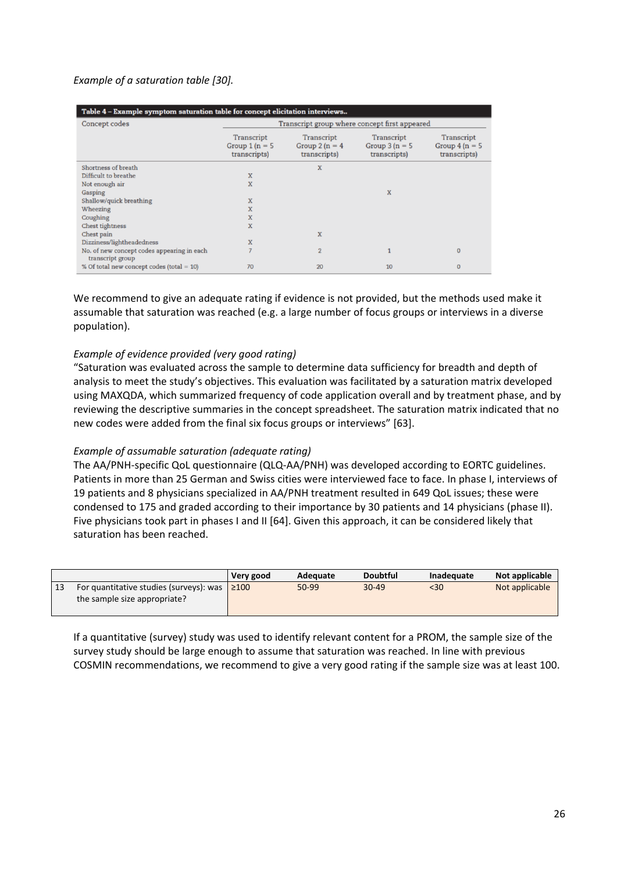#### *Example of a saturation table [30].*

| Table 4 – Example symptom saturation table for concept elicitation interviews |                                                |                                                |                                                |                                                |  |  |  |
|-------------------------------------------------------------------------------|------------------------------------------------|------------------------------------------------|------------------------------------------------|------------------------------------------------|--|--|--|
| Concept codes                                                                 |                                                |                                                | Transcript group where concept first appeared  |                                                |  |  |  |
|                                                                               | Transcript<br>Group $1(n = 5)$<br>transcripts) | Transcript<br>Group $2(n = 4)$<br>transcripts) | Transcript<br>Group $3(n = 5)$<br>transcripts) | Transcript<br>Group $4(n = 5)$<br>transcripts) |  |  |  |
| Shortness of breath                                                           |                                                | X                                              |                                                |                                                |  |  |  |
| Difficult to breathe                                                          | X                                              |                                                |                                                |                                                |  |  |  |
| Not enough air                                                                | X                                              |                                                |                                                |                                                |  |  |  |
| Gasping                                                                       |                                                |                                                | X                                              |                                                |  |  |  |
| Shallow/quick breathing                                                       | X                                              |                                                |                                                |                                                |  |  |  |
| Wheezing                                                                      | X                                              |                                                |                                                |                                                |  |  |  |
| Coughing                                                                      | X                                              |                                                |                                                |                                                |  |  |  |
| Chest tightness                                                               | X                                              |                                                |                                                |                                                |  |  |  |
| Chest pain                                                                    |                                                | X                                              |                                                |                                                |  |  |  |
| Dizziness/lightheadedness                                                     | X                                              |                                                |                                                |                                                |  |  |  |
| No. of new concept codes appearing in each<br>transcript group                |                                                | $\overline{2}$                                 |                                                | $\Omega$                                       |  |  |  |
| % Of total new concept codes (total $= 10$ )                                  | 70                                             | 20                                             | 10                                             | $\Omega$                                       |  |  |  |

We recommend to give an adequate rating if evidence is not provided, but the methods used make it assumable that saturation was reached (e.g. a large number of focus groups or interviews in a diverse population).

#### *Example of evidence provided (very good rating)*

"Saturation was evaluated across the sample to determine data sufficiency for breadth and depth of analysis to meet the study's objectives. This evaluation was facilitated by a saturation matrix developed using MAXQDA, which summarized frequency of code application overall and by treatment phase, and by reviewing the descriptive summaries in the concept spreadsheet. The saturation matrix indicated that no new codes were added from the final six focus groups or interviews" [63].

#### *Example of assumable saturation (adequate rating)*

The AA/PNH‐specific QoL questionnaire (QLQ‐AA/PNH) was developed according to EORTC guidelines. Patients in more than 25 German and Swiss cities were interviewed face to face. In phase I, interviews of 19 patients and 8 physicians specialized in AA/PNH treatment resulted in 649 QoL issues; these were condensed to 175 and graded according to their importance by 30 patients and 14 physicians (phase II). Five physicians took part in phases I and II [64]. Given this approach, it can be considered likely that saturation has been reached.

|                                                                                    | Very good | Adequate | <b>Doubtful</b> | Inadequate | Not applicable |
|------------------------------------------------------------------------------------|-----------|----------|-----------------|------------|----------------|
| For quantitative studies (surveys): was $\geq 100$<br>the sample size appropriate? |           | $50-99$  | $30 - 49$       | <30        | Not applicable |

If a quantitative (survey) study was used to identify relevant content for a PROM, the sample size of the survey study should be large enough to assume that saturation was reached. In line with previous COSMIN recommendations, we recommend to give a very good rating if the sample size was at least 100.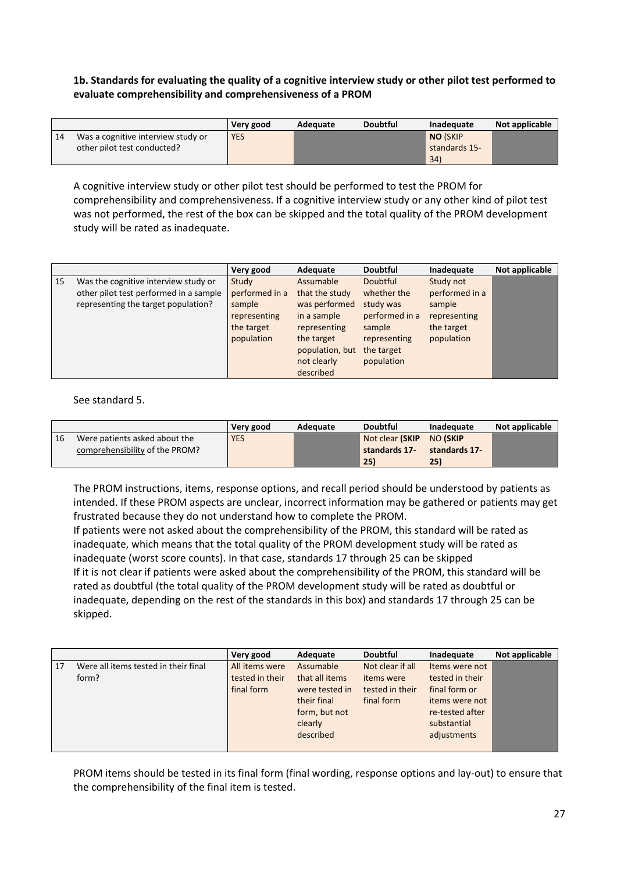#### **1b. Standards for evaluating the quality of a cognitive interview study or other pilot test performed to evaluate comprehensibility and comprehensiveness of a PROM**

|    |                                    | Very good  | Adequate | <b>Doubtful</b> | Inadequate      | Not applicable |
|----|------------------------------------|------------|----------|-----------------|-----------------|----------------|
| 14 | Was a cognitive interview study or | <b>YES</b> |          |                 | <b>NO (SKIP</b> |                |
|    | other pilot test conducted?        |            |          |                 | standards 15-   |                |
|    |                                    |            |          |                 | 34)             |                |

A cognitive interview study or other pilot test should be performed to test the PROM for comprehensibility and comprehensiveness. If a cognitive interview study or any other kind of pilot test was not performed, the rest of the box can be skipped and the total quality of the PROM development study will be rated as inadequate.

|    |                                        | Very good      | Adequate        | <b>Doubtful</b> | Inadequate     | Not applicable |
|----|----------------------------------------|----------------|-----------------|-----------------|----------------|----------------|
| 15 | Was the cognitive interview study or   | Study          | Assumable       | Doubtful        | Study not      |                |
|    | other pilot test performed in a sample | performed in a | that the study  | whether the     | performed in a |                |
|    | representing the target population?    | sample         | was performed   | study was       | sample         |                |
|    |                                        | representing   | in a sample     | performed in a  | representing   |                |
|    |                                        | the target     | representing    | sample          | the target     |                |
|    |                                        | population     | the target      | representing    | population     |                |
|    |                                        |                | population, but | the target      |                |                |
|    |                                        |                | not clearly     | population      |                |                |
|    |                                        |                | described       |                 |                |                |

See standard 5.

|    |                                | Very good  | Adequate | <b>Doubtful</b> | Inadequate      | Not applicable |
|----|--------------------------------|------------|----------|-----------------|-----------------|----------------|
| 16 | Were patients asked about the  | <b>YES</b> |          | Not clear (SKIP | <b>NO (SKIP</b> |                |
|    | comprehensibility of the PROM? |            |          | standards 17-   | standards 17-   |                |
|    |                                |            |          | 25)             | 25)             |                |

The PROM instructions, items, response options, and recall period should be understood by patients as intended. If these PROM aspects are unclear, incorrect information may be gathered or patients may get frustrated because they do not understand how to complete the PROM.

If patients were not asked about the comprehensibility of the PROM, this standard will be rated as inadequate, which means that the total quality of the PROM development study will be rated as inadequate (worst score counts). In that case, standards 17 through 25 can be skipped If it is not clear if patients were asked about the comprehensibility of the PROM, this standard will be rated as doubtful (the total quality of the PROM development study will be rated as doubtful or inadequate, depending on the rest of the standards in this box) and standards 17 through 25 can be skipped.

|                                                     | Very good                                       | Adequate                                                                                              | <b>Doubtful</b>                                                 | Inadequate                                                                                                            | Not applicable |
|-----------------------------------------------------|-------------------------------------------------|-------------------------------------------------------------------------------------------------------|-----------------------------------------------------------------|-----------------------------------------------------------------------------------------------------------------------|----------------|
| Were all items tested in their final<br>17<br>form? | All items were<br>tested in their<br>final form | Assumable<br>that all items<br>were tested in<br>their final<br>form, but not<br>clearly<br>described | Not clear if all<br>items were<br>tested in their<br>final form | Items were not<br>tested in their<br>final form or<br>items were not<br>re-tested after<br>substantial<br>adjustments |                |

PROM items should be tested in its final form (final wording, response options and lay‐out) to ensure that the comprehensibility of the final item is tested.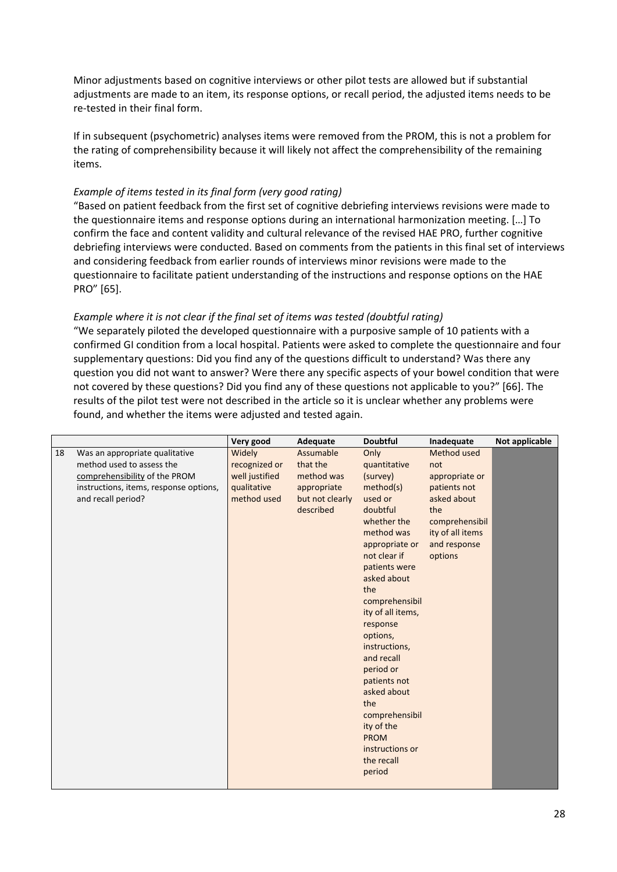Minor adjustments based on cognitive interviews or other pilot tests are allowed but if substantial adjustments are made to an item, its response options, or recall period, the adjusted items needs to be re‐tested in their final form.

If in subsequent (psychometric) analyses items were removed from the PROM, this is not a problem for the rating of comprehensibility because it will likely not affect the comprehensibility of the remaining items.

#### *Example of items tested in its final form (very good rating)*

"Based on patient feedback from the first set of cognitive debriefing interviews revisions were made to the questionnaire items and response options during an international harmonization meeting. […] To confirm the face and content validity and cultural relevance of the revised HAE PRO, further cognitive debriefing interviews were conducted. Based on comments from the patients in this final set of interviews and considering feedback from earlier rounds of interviews minor revisions were made to the questionnaire to facilitate patient understanding of the instructions and response options on the HAE PRO" [65].

#### *Example where it is not clear if the final set of items was tested (doubtful rating)*

"We separately piloted the developed questionnaire with a purposive sample of 10 patients with a confirmed GI condition from a local hospital. Patients were asked to complete the questionnaire and four supplementary questions: Did you find any of the questions difficult to understand? Was there any question you did not want to answer? Were there any specific aspects of your bowel condition that were not covered by these questions? Did you find any of these questions not applicable to you?" [66]. The results of the pilot test were not described in the article so it is unclear whether any problems were found, and whether the items were adjusted and tested again.

|    |                                        | Very good      | Adequate        | <b>Doubtful</b>   | Inadequate       | Not applicable |
|----|----------------------------------------|----------------|-----------------|-------------------|------------------|----------------|
| 18 | Was an appropriate qualitative         | Widely         | Assumable       | Only              | Method used      |                |
|    | method used to assess the              | recognized or  | that the        | quantitative      | not              |                |
|    | comprehensibility of the PROM          | well justified | method was      | (survey)          | appropriate or   |                |
|    | instructions, items, response options, | qualitative    | appropriate     | method(s)         | patients not     |                |
|    | and recall period?                     | method used    | but not clearly | used or           | asked about      |                |
|    |                                        |                | described       | doubtful          | the              |                |
|    |                                        |                |                 | whether the       | comprehensibil   |                |
|    |                                        |                |                 | method was        | ity of all items |                |
|    |                                        |                |                 | appropriate or    | and response     |                |
|    |                                        |                |                 | not clear if      | options          |                |
|    |                                        |                |                 | patients were     |                  |                |
|    |                                        |                |                 | asked about       |                  |                |
|    |                                        |                |                 | the               |                  |                |
|    |                                        |                |                 | comprehensibil    |                  |                |
|    |                                        |                |                 | ity of all items, |                  |                |
|    |                                        |                |                 | response          |                  |                |
|    |                                        |                |                 | options,          |                  |                |
|    |                                        |                |                 | instructions,     |                  |                |
|    |                                        |                |                 | and recall        |                  |                |
|    |                                        |                |                 | period or         |                  |                |
|    |                                        |                |                 | patients not      |                  |                |
|    |                                        |                |                 | asked about       |                  |                |
|    |                                        |                |                 | the               |                  |                |
|    |                                        |                |                 | comprehensibil    |                  |                |
|    |                                        |                |                 | ity of the        |                  |                |
|    |                                        |                |                 | <b>PROM</b>       |                  |                |
|    |                                        |                |                 | instructions or   |                  |                |
|    |                                        |                |                 | the recall        |                  |                |
|    |                                        |                |                 | period            |                  |                |
|    |                                        |                |                 |                   |                  |                |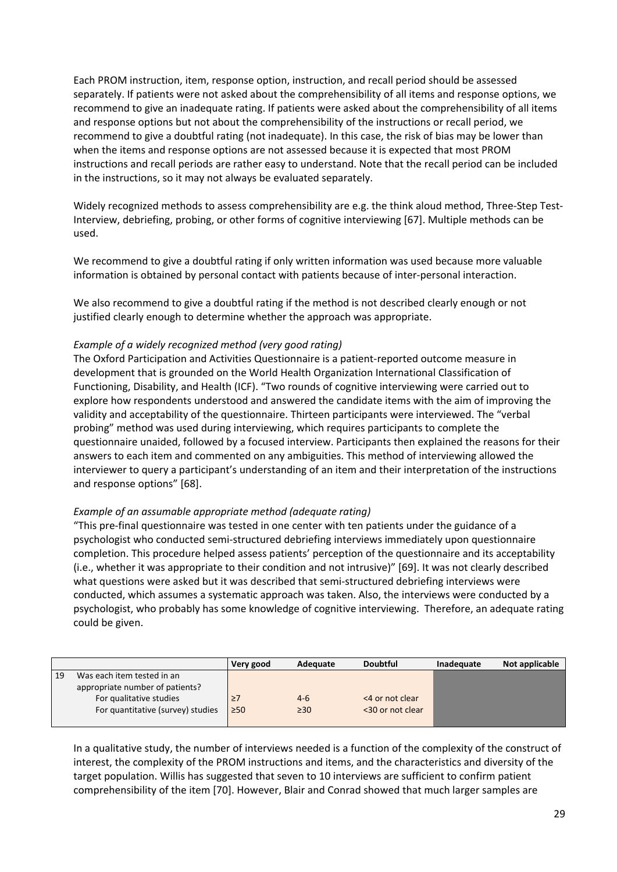Each PROM instruction, item, response option, instruction, and recall period should be assessed separately. If patients were not asked about the comprehensibility of all items and response options, we recommend to give an inadequate rating. If patients were asked about the comprehensibility of all items and response options but not about the comprehensibility of the instructions or recall period, we recommend to give a doubtful rating (not inadequate). In this case, the risk of bias may be lower than when the items and response options are not assessed because it is expected that most PROM instructions and recall periods are rather easy to understand. Note that the recall period can be included in the instructions, so it may not always be evaluated separately.

Widely recognized methods to assess comprehensibility are e.g. the think aloud method, Three‐Step Test‐ Interview, debriefing, probing, or other forms of cognitive interviewing [67]. Multiple methods can be used.

We recommend to give a doubtful rating if only written information was used because more valuable information is obtained by personal contact with patients because of inter-personal interaction.

We also recommend to give a doubtful rating if the method is not described clearly enough or not justified clearly enough to determine whether the approach was appropriate.

#### *Example of a widely recognized method (very good rating)*

The Oxford Participation and Activities Questionnaire is a patient‐reported outcome measure in development that is grounded on the World Health Organization International Classification of Functioning, Disability, and Health (ICF). "Two rounds of cognitive interviewing were carried out to explore how respondents understood and answered the candidate items with the aim of improving the validity and acceptability of the questionnaire. Thirteen participants were interviewed. The "verbal probing" method was used during interviewing, which requires participants to complete the questionnaire unaided, followed by a focused interview. Participants then explained the reasons for their answers to each item and commented on any ambiguities. This method of interviewing allowed the interviewer to query a participant's understanding of an item and their interpretation of the instructions and response options" [68].

#### *Example of an assumable appropriate method (adequate rating)*

"This pre‐final questionnaire was tested in one center with ten patients under the guidance of a psychologist who conducted semi‐structured debriefing interviews immediately upon questionnaire completion. This procedure helped assess patients' perception of the questionnaire and its acceptability (i.e., whether it was appropriate to their condition and not intrusive)" [69]. It was not clearly described what questions were asked but it was described that semi‐structured debriefing interviews were conducted, which assumes a systematic approach was taken. Also, the interviews were conducted by a psychologist, who probably has some knowledge of cognitive interviewing. Therefore, an adequate rating could be given.

|    |                                   | Very good | Adequate  | <b>Doubtful</b>  | Inadequate | Not applicable |
|----|-----------------------------------|-----------|-----------|------------------|------------|----------------|
| 19 | Was each item tested in an        |           |           |                  |            |                |
|    | appropriate number of patients?   |           |           |                  |            |                |
|    | For qualitative studies           | $\geq$ 7  | $4 - 6$   | <4 or not clear  |            |                |
|    | For quantitative (survey) studies | $\geq 50$ | $\geq 30$ | <30 or not clear |            |                |
|    |                                   |           |           |                  |            |                |

In a qualitative study, the number of interviews needed is a function of the complexity of the construct of interest, the complexity of the PROM instructions and items, and the characteristics and diversity of the target population. Willis has suggested that seven to 10 interviews are sufficient to confirm patient comprehensibility of the item [70]. However, Blair and Conrad showed that much larger samples are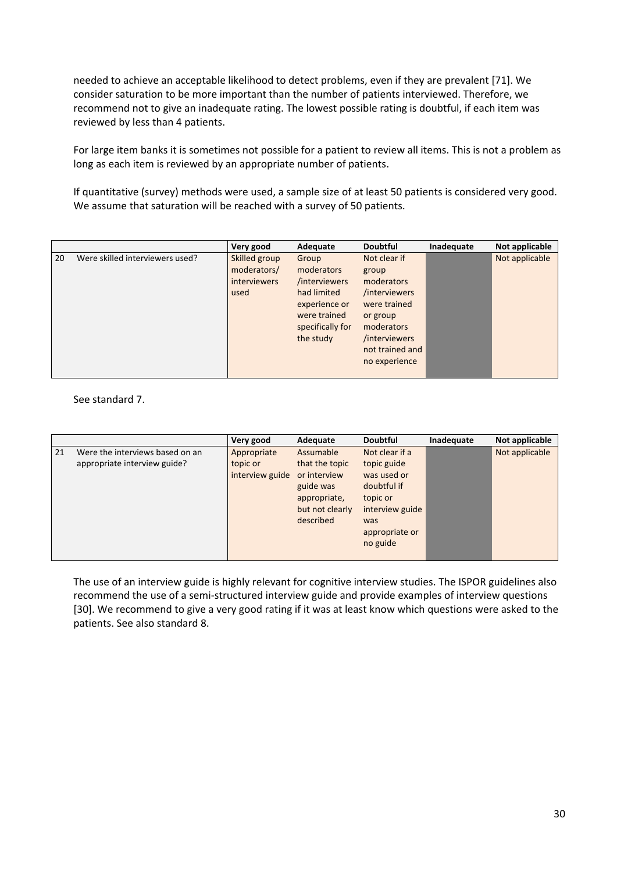needed to achieve an acceptable likelihood to detect problems, even if they are prevalent [71]. We consider saturation to be more important than the number of patients interviewed. Therefore, we recommend not to give an inadequate rating. The lowest possible rating is doubtful, if each item was reviewed by less than 4 patients.

For large item banks it is sometimes not possible for a patient to review all items. This is not a problem as long as each item is reviewed by an appropriate number of patients.

If quantitative (survey) methods were used, a sample size of at least 50 patients is considered very good. We assume that saturation will be reached with a survey of 50 patients.

|    |                                 | Very good                                                   | Adequate                                                                                                              | <b>Doubtful</b>                                                                                                                                     | Inadequate | Not applicable |
|----|---------------------------------|-------------------------------------------------------------|-----------------------------------------------------------------------------------------------------------------------|-----------------------------------------------------------------------------------------------------------------------------------------------------|------------|----------------|
| 20 | Were skilled interviewers used? | Skilled group<br>moderators/<br><i>interviewers</i><br>used | Group<br>moderators<br>/interviewers<br>had limited<br>experience or<br>were trained<br>specifically for<br>the study | Not clear if<br>group<br>moderators<br>/interviewers<br>were trained<br>or group<br>moderators<br>/interviewers<br>not trained and<br>no experience |            | Not applicable |

See standard 7.

|    |                                 | Very good       | Adequate        | <b>Doubtful</b> | Inadequate | Not applicable |
|----|---------------------------------|-----------------|-----------------|-----------------|------------|----------------|
| 21 | Were the interviews based on an | Appropriate     | Assumable       | Not clear if a  |            | Not applicable |
|    | appropriate interview guide?    | topic or        | that the topic  | topic guide     |            |                |
|    |                                 | interview guide | or interview    | was used or     |            |                |
|    |                                 |                 | guide was       | doubtful if     |            |                |
|    |                                 |                 | appropriate,    | topic or        |            |                |
|    |                                 |                 | but not clearly | interview guide |            |                |
|    |                                 |                 | described       | was             |            |                |
|    |                                 |                 |                 | appropriate or  |            |                |
|    |                                 |                 |                 | no guide        |            |                |
|    |                                 |                 |                 |                 |            |                |

The use of an interview guide is highly relevant for cognitive interview studies. The ISPOR guidelines also recommend the use of a semi‐structured interview guide and provide examples of interview questions [30]. We recommend to give a very good rating if it was at least know which questions were asked to the patients. See also standard 8.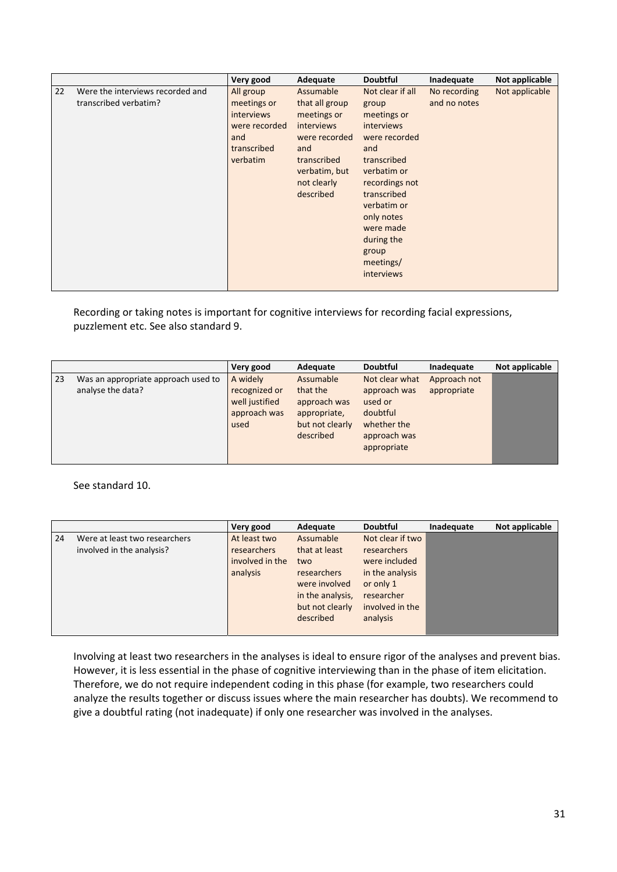|    |                                                           | Very good                                                                                        | Adequate                                                                                                                                            | <b>Doubtful</b>                                                                                                                                                                                                                           | Inadequate                   | Not applicable |
|----|-----------------------------------------------------------|--------------------------------------------------------------------------------------------------|-----------------------------------------------------------------------------------------------------------------------------------------------------|-------------------------------------------------------------------------------------------------------------------------------------------------------------------------------------------------------------------------------------------|------------------------------|----------------|
| 22 | Were the interviews recorded and<br>transcribed verbatim? | All group<br>meetings or<br><i>interviews</i><br>were recorded<br>and<br>transcribed<br>verbatim | Assumable<br>that all group<br>meetings or<br><i>interviews</i><br>were recorded<br>and<br>transcribed<br>verbatim, but<br>not clearly<br>described | Not clear if all<br>group<br>meetings or<br>interviews<br>were recorded<br>and<br>transcribed<br>verbatim or<br>recordings not<br>transcribed<br>verbatim or<br>only notes<br>were made<br>during the<br>group<br>meetings/<br>interviews | No recording<br>and no notes | Not applicable |

Recording or taking notes is important for cognitive interviews for recording facial expressions, puzzlement etc. See also standard 9.

|    |                                                          | Very good                                                           | Adequate                                                                              | <b>Doubtful</b>                                                                                     | Inadequate                  | Not applicable |
|----|----------------------------------------------------------|---------------------------------------------------------------------|---------------------------------------------------------------------------------------|-----------------------------------------------------------------------------------------------------|-----------------------------|----------------|
| 23 | Was an appropriate approach used to<br>analyse the data? | A widely<br>recognized or<br>well justified<br>approach was<br>used | Assumable<br>that the<br>approach was<br>appropriate,<br>but not clearly<br>described | Not clear what<br>approach was<br>used or<br>doubtful<br>whether the<br>approach was<br>appropriate | Approach not<br>appropriate |                |

See standard 10.

|    |                                                            | Very good                                                         | Adequate                                                                                                              | <b>Doubtful</b>                                                                                                               | Inadequate | Not applicable |
|----|------------------------------------------------------------|-------------------------------------------------------------------|-----------------------------------------------------------------------------------------------------------------------|-------------------------------------------------------------------------------------------------------------------------------|------------|----------------|
| 24 | Were at least two researchers<br>involved in the analysis? | At least two<br><b>researchers</b><br>involved in the<br>analysis | Assumable<br>that at least<br>two<br>researchers<br>were involved<br>in the analysis,<br>but not clearly<br>described | Not clear if two<br>researchers<br>were included<br>in the analysis<br>or only 1<br>researcher<br>involved in the<br>analysis |            |                |
|    |                                                            |                                                                   |                                                                                                                       |                                                                                                                               |            |                |

Involving at least two researchers in the analyses is ideal to ensure rigor of the analyses and prevent bias. However, it is less essential in the phase of cognitive interviewing than in the phase of item elicitation. Therefore, we do not require independent coding in this phase (for example, two researchers could analyze the results together or discuss issues where the main researcher has doubts). We recommend to give a doubtful rating (not inadequate) if only one researcher was involved in the analyses.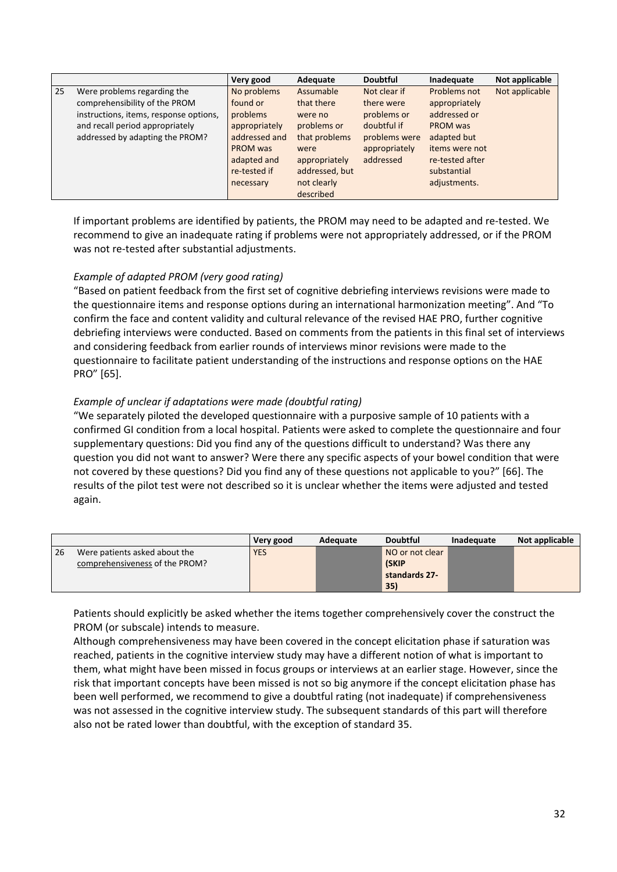|    |                                        | Very good     | Adequate       | <b>Doubtful</b> | Inadequate      | Not applicable |
|----|----------------------------------------|---------------|----------------|-----------------|-----------------|----------------|
| 25 | Were problems regarding the            | No problems   | Assumable      | Not clear if    | Problems not    | Not applicable |
|    | comprehensibility of the PROM          | found or      | that there     | there were      | appropriately   |                |
|    | instructions, items, response options, | problems      | were no        | problems or     | addressed or    |                |
|    | and recall period appropriately        | appropriately | problems or    | doubtful if     | PROM was        |                |
|    | addressed by adapting the PROM?        | addressed and | that problems  | problems were   | adapted but     |                |
|    |                                        | PROM was      | were           | appropriately   | items were not  |                |
|    |                                        | adapted and   | appropriately  | addressed       | re-tested after |                |
|    |                                        | re-tested if  | addressed, but |                 | substantial     |                |
|    |                                        | necessary     | not clearly    |                 | adjustments.    |                |
|    |                                        |               | described      |                 |                 |                |

If important problems are identified by patients, the PROM may need to be adapted and re‐tested. We recommend to give an inadequate rating if problems were not appropriately addressed, or if the PROM was not re-tested after substantial adjustments.

#### *Example of adapted PROM (very good rating)*

"Based on patient feedback from the first set of cognitive debriefing interviews revisions were made to the questionnaire items and response options during an international harmonization meeting". And "To confirm the face and content validity and cultural relevance of the revised HAE PRO, further cognitive debriefing interviews were conducted. Based on comments from the patients in this final set of interviews and considering feedback from earlier rounds of interviews minor revisions were made to the questionnaire to facilitate patient understanding of the instructions and response options on the HAE PRO" [65].

#### *Example of unclear if adaptations were made (doubtful rating)*

"We separately piloted the developed questionnaire with a purposive sample of 10 patients with a confirmed GI condition from a local hospital. Patients were asked to complete the questionnaire and four supplementary questions: Did you find any of the questions difficult to understand? Was there any question you did not want to answer? Were there any specific aspects of your bowel condition that were not covered by these questions? Did you find any of these questions not applicable to you?" [66]. The results of the pilot test were not described so it is unclear whether the items were adjusted and tested again.

|    |                                | Very good  | Adequate | <b>Doubtful</b> | Inadequate | Not applicable |
|----|--------------------------------|------------|----------|-----------------|------------|----------------|
| 26 | Were patients asked about the  | <b>YES</b> |          | NO or not clear |            |                |
|    | comprehensiveness of the PROM? |            |          | <b>(SKIP</b>    |            |                |
|    |                                |            |          | standards 27-   |            |                |
|    |                                |            |          | 35)             |            |                |

Patients should explicitly be asked whether the items together comprehensively cover the construct the PROM (or subscale) intends to measure.

Although comprehensiveness may have been covered in the concept elicitation phase if saturation was reached, patients in the cognitive interview study may have a different notion of what is important to them, what might have been missed in focus groups or interviews at an earlier stage. However, since the risk that important concepts have been missed is not so big anymore if the concept elicitation phase has been well performed, we recommend to give a doubtful rating (not inadequate) if comprehensiveness was not assessed in the cognitive interview study. The subsequent standards of this part will therefore also not be rated lower than doubtful, with the exception of standard 35.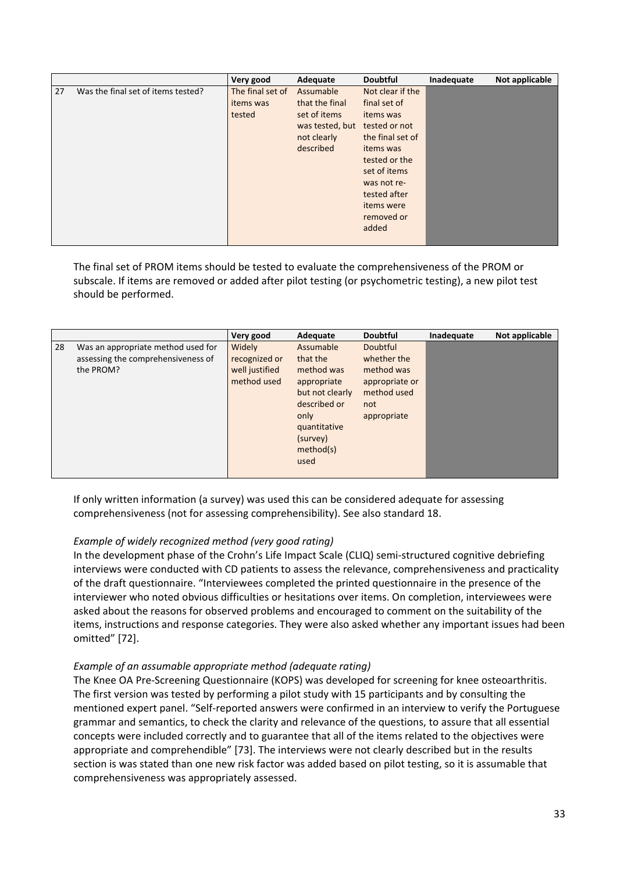|    |                                    | Very good        | Adequate        | <b>Doubtful</b>  | Inadequate | Not applicable |
|----|------------------------------------|------------------|-----------------|------------------|------------|----------------|
| 27 | Was the final set of items tested? | The final set of | Assumable       | Not clear if the |            |                |
|    |                                    | items was        | that the final  | final set of     |            |                |
|    |                                    | tested           | set of items    | items was        |            |                |
|    |                                    |                  | was tested, but | tested or not    |            |                |
|    |                                    |                  | not clearly     | the final set of |            |                |
|    |                                    |                  | described       | items was        |            |                |
|    |                                    |                  |                 | tested or the    |            |                |
|    |                                    |                  |                 | set of items     |            |                |
|    |                                    |                  |                 | was not re-      |            |                |
|    |                                    |                  |                 | tested after     |            |                |
|    |                                    |                  |                 | items were       |            |                |
|    |                                    |                  |                 | removed or       |            |                |
|    |                                    |                  |                 | added            |            |                |
|    |                                    |                  |                 |                  |            |                |

The final set of PROM items should be tested to evaluate the comprehensiveness of the PROM or subscale. If items are removed or added after pilot testing (or psychometric testing), a new pilot test should be performed.

|    |                                                                                       | Very good                                                | Adequate                                                                                                                                       | <b>Doubtful</b>                                                                                     | Inadequate | Not applicable |
|----|---------------------------------------------------------------------------------------|----------------------------------------------------------|------------------------------------------------------------------------------------------------------------------------------------------------|-----------------------------------------------------------------------------------------------------|------------|----------------|
| 28 | Was an appropriate method used for<br>assessing the comprehensiveness of<br>the PROM? | Widely<br>recognized or<br>well justified<br>method used | Assumable<br>that the<br>method was<br>appropriate<br>but not clearly<br>described or<br>only<br>quantitative<br>(survey)<br>method(s)<br>used | <b>Doubtful</b><br>whether the<br>method was<br>appropriate or<br>method used<br>not<br>appropriate |            |                |

If only written information (a survey) was used this can be considered adequate for assessing comprehensiveness (not for assessing comprehensibility). See also standard 18.

#### *Example of widely recognized method (very good rating)*

In the development phase of the Crohn's Life Impact Scale (CLIQ) semi‐structured cognitive debriefing interviews were conducted with CD patients to assess the relevance, comprehensiveness and practicality of the draft questionnaire. "Interviewees completed the printed questionnaire in the presence of the interviewer who noted obvious difficulties or hesitations over items. On completion, interviewees were asked about the reasons for observed problems and encouraged to comment on the suitability of the items, instructions and response categories. They were also asked whether any important issues had been omitted" [72].

#### *Example of an assumable appropriate method (adequate rating)*

The Knee OA Pre‐Screening Questionnaire (KOPS) was developed for screening for knee osteoarthritis. The first version was tested by performing a pilot study with 15 participants and by consulting the mentioned expert panel. "Self‐reported answers were confirmed in an interview to verify the Portuguese grammar and semantics, to check the clarity and relevance of the questions, to assure that all essential concepts were included correctly and to guarantee that all of the items related to the objectives were appropriate and comprehendible" [73]. The interviews were not clearly described but in the results section is was stated than one new risk factor was added based on pilot testing, so it is assumable that comprehensiveness was appropriately assessed.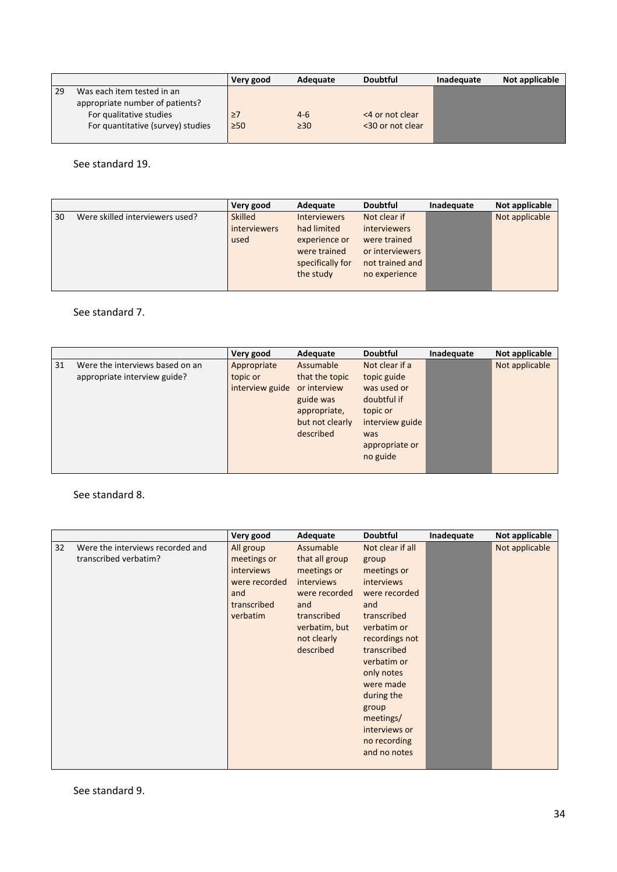|    |                                   | Very good | Adequate  | <b>Doubtful</b>  | Inadequate | Not applicable |
|----|-----------------------------------|-----------|-----------|------------------|------------|----------------|
| 29 | Was each item tested in an        |           |           |                  |            |                |
|    | appropriate number of patients?   |           |           |                  |            |                |
|    | For qualitative studies           | $\geq$ 7  | $4-6$     | <4 or not clear  |            |                |
|    | For quantitative (survey) studies | $\geq 50$ | $\geq 30$ | <30 or not clear |            |                |
|    |                                   |           |           |                  |            |                |

See standard 19.

|    |                                 | Very good           | Adequate            | <b>Doubtful</b>     | Inadequate | Not applicable |
|----|---------------------------------|---------------------|---------------------|---------------------|------------|----------------|
| 30 | Were skilled interviewers used? | <b>Skilled</b>      | <b>Interviewers</b> | Not clear if        |            | Not applicable |
|    |                                 | <i>interviewers</i> | had limited         | <i>interviewers</i> |            |                |
|    |                                 | used                | experience or       | were trained        |            |                |
|    |                                 |                     | were trained        | or interviewers     |            |                |
|    |                                 |                     | specifically for    | not trained and     |            |                |
|    |                                 |                     | the study           | no experience       |            |                |
|    |                                 |                     |                     |                     |            |                |

#### See standard 7.

|    |                                 | Very good       | Adequate        | <b>Doubtful</b> | Inadequate | Not applicable |
|----|---------------------------------|-----------------|-----------------|-----------------|------------|----------------|
| 31 | Were the interviews based on an | Appropriate     | Assumable       | Not clear if a  |            | Not applicable |
|    | appropriate interview guide?    | topic or        | that the topic  | topic guide     |            |                |
|    |                                 | interview guide | or interview    | was used or     |            |                |
|    |                                 |                 | guide was       | doubtful if     |            |                |
|    |                                 |                 | appropriate,    | topic or        |            |                |
|    |                                 |                 | but not clearly | interview guide |            |                |
|    |                                 |                 | described       | was             |            |                |
|    |                                 |                 |                 | appropriate or  |            |                |
|    |                                 |                 |                 | no guide        |            |                |
|    |                                 |                 |                 |                 |            |                |

#### See standard 8.

|    |                                                           | Very good                                                                                        | Adequate                                                                                                                                            | <b>Doubtful</b>                                                                                                                                                                                                                                                                     | Inadequate | Not applicable |
|----|-----------------------------------------------------------|--------------------------------------------------------------------------------------------------|-----------------------------------------------------------------------------------------------------------------------------------------------------|-------------------------------------------------------------------------------------------------------------------------------------------------------------------------------------------------------------------------------------------------------------------------------------|------------|----------------|
| 32 | Were the interviews recorded and<br>transcribed verbatim? | All group<br>meetings or<br><i>interviews</i><br>were recorded<br>and<br>transcribed<br>verbatim | Assumable<br>that all group<br>meetings or<br><i>interviews</i><br>were recorded<br>and<br>transcribed<br>verbatim, but<br>not clearly<br>described | Not clear if all<br>group<br>meetings or<br><b>interviews</b><br>were recorded<br>and<br>transcribed<br>verbatim or<br>recordings not<br>transcribed<br>verbatim or<br>only notes<br>were made<br>during the<br>group<br>meetings/<br>interviews or<br>no recording<br>and no notes |            | Not applicable |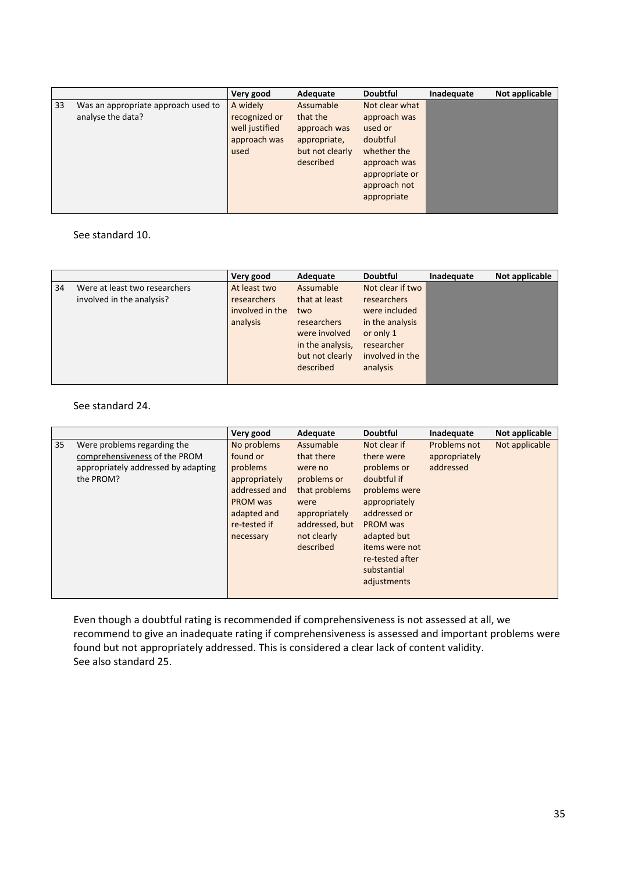|    |                                                          | Very good                                                           | Adequate                                                                              | <b>Doubtful</b>                                                                                                                       | Inadequate | Not applicable |
|----|----------------------------------------------------------|---------------------------------------------------------------------|---------------------------------------------------------------------------------------|---------------------------------------------------------------------------------------------------------------------------------------|------------|----------------|
| 33 | Was an appropriate approach used to<br>analyse the data? | A widely<br>recognized or<br>well justified<br>approach was<br>used | Assumable<br>that the<br>approach was<br>appropriate,<br>but not clearly<br>described | Not clear what<br>approach was<br>used or<br>doubtful<br>whether the<br>approach was<br>appropriate or<br>approach not<br>appropriate |            |                |

#### See standard 10.

|    |                                                            | Very good                                                         | Adequate                                                                                                                     | <b>Doubtful</b>                                                                                                                      | Inadequate | Not applicable |
|----|------------------------------------------------------------|-------------------------------------------------------------------|------------------------------------------------------------------------------------------------------------------------------|--------------------------------------------------------------------------------------------------------------------------------------|------------|----------------|
| 34 | Were at least two researchers<br>involved in the analysis? | At least two<br><b>researchers</b><br>involved in the<br>analysis | Assumable<br>that at least<br>two<br><b>researchers</b><br>were involved<br>in the analysis,<br>but not clearly<br>described | Not clear if two<br><b>researchers</b><br>were included<br>in the analysis<br>or only 1<br>researcher<br>involved in the<br>analysis |            |                |

#### See standard 24.

|    |                                                                                                                  | Very good                                                                                                                            | Adequate                                                                                                                                  | <b>Doubtful</b>                                                                                                                                                                                          | Inadequate                                 | Not applicable |
|----|------------------------------------------------------------------------------------------------------------------|--------------------------------------------------------------------------------------------------------------------------------------|-------------------------------------------------------------------------------------------------------------------------------------------|----------------------------------------------------------------------------------------------------------------------------------------------------------------------------------------------------------|--------------------------------------------|----------------|
| 35 | Were problems regarding the<br>comprehensiveness of the PROM<br>appropriately addressed by adapting<br>the PROM? | No problems<br>found or<br>problems<br>appropriately<br>addressed and<br><b>PROM</b> was<br>adapted and<br>re-tested if<br>necessary | Assumable<br>that there<br>were no<br>problems or<br>that problems<br>were<br>appropriately<br>addressed, but<br>not clearly<br>described | Not clear if<br>there were<br>problems or<br>doubtful if<br>problems were<br>appropriately<br>addressed or<br>PROM was<br>adapted but<br>items were not<br>re-tested after<br>substantial<br>adjustments | Problems not<br>appropriately<br>addressed | Not applicable |

Even though a doubtful rating is recommended if comprehensiveness is not assessed at all, we recommend to give an inadequate rating if comprehensiveness is assessed and important problems were found but not appropriately addressed. This is considered a clear lack of content validity. See also standard 25.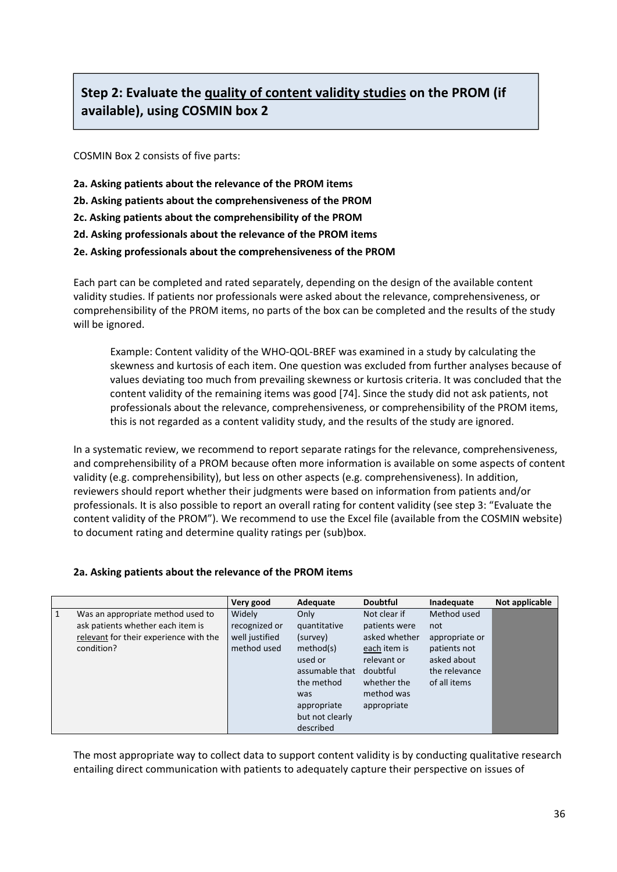# **Step 2: Evaluate the quality of content validity studies on the PROM (if available), using COSMIN box 2**

COSMIN Box 2 consists of five parts:

- **2a. Asking patients about the relevance of the PROM items**
- **2b. Asking patients about the comprehensiveness of the PROM**
- **2c. Asking patients about the comprehensibility of the PROM**
- **2d. Asking professionals about the relevance of the PROM items**
- **2e. Asking professionals about the comprehensiveness of the PROM**

Each part can be completed and rated separately, depending on the design of the available content validity studies. If patients nor professionals were asked about the relevance, comprehensiveness, or comprehensibility of the PROM items, no parts of the box can be completed and the results of the study will be ignored.

Example: Content validity of the WHO‐QOL‐BREF was examined in a study by calculating the skewness and kurtosis of each item. One question was excluded from further analyses because of values deviating too much from prevailing skewness or kurtosis criteria. It was concluded that the content validity of the remaining items was good [74]. Since the study did not ask patients, not professionals about the relevance, comprehensiveness, or comprehensibility of the PROM items, this is not regarded as a content validity study, and the results of the study are ignored.

In a systematic review, we recommend to report separate ratings for the relevance, comprehensiveness, and comprehensibility of a PROM because often more information is available on some aspects of content validity (e.g. comprehensibility), but less on other aspects (e.g. comprehensiveness). In addition, reviewers should report whether their judgments were based on information from patients and/or professionals. It is also possible to report an overall rating for content validity (see step 3: "Evaluate the content validity of the PROM"). We recommend to use the Excel file (available from the COSMIN website) to document rating and determine quality ratings per (sub)box.

### **2a. Asking patients about the relevance of the PROM items**

|   |                                                                                                                                | Very good                                                | Adequate                                                                                                                          | <b>Doubtful</b>                                                                                                                       | Inadequate                                                                                           | Not applicable |
|---|--------------------------------------------------------------------------------------------------------------------------------|----------------------------------------------------------|-----------------------------------------------------------------------------------------------------------------------------------|---------------------------------------------------------------------------------------------------------------------------------------|------------------------------------------------------------------------------------------------------|----------------|
| 1 | Was an appropriate method used to<br>ask patients whether each item is<br>relevant for their experience with the<br>condition? | Widely<br>recognized or<br>well justified<br>method used | Only<br>quantitative<br>(survey)<br>method(s)<br>used or<br>assumable that<br>the method<br>was<br>appropriate<br>but not clearly | Not clear if<br>patients were<br>asked whether<br>each item is<br>relevant or<br>doubtful<br>whether the<br>method was<br>appropriate | Method used<br>not<br>appropriate or<br>patients not<br>asked about<br>the relevance<br>of all items |                |
|   |                                                                                                                                |                                                          | described                                                                                                                         |                                                                                                                                       |                                                                                                      |                |

The most appropriate way to collect data to support content validity is by conducting qualitative research entailing direct communication with patients to adequately capture their perspective on issues of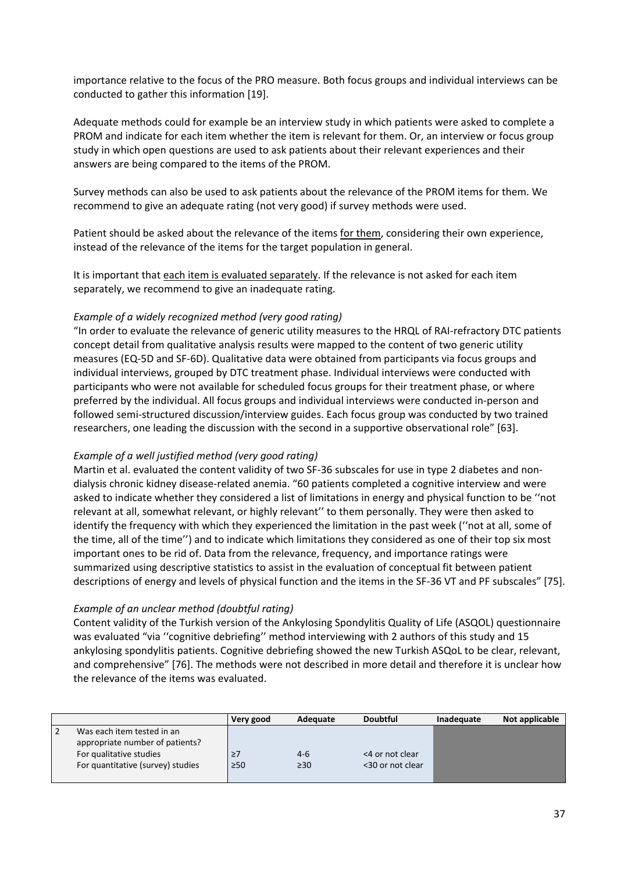importance relative to the focus of the PRO measure. Both focus groups and individual interviews can be conducted to gather this information [19].

Adequate methods could for example be an interview study in which patients were asked to complete a PROM and indicate for each item whether the item is relevant for them. Or, an interview or focus group study in which open questions are used to ask patients about their relevant experiences and their answers are being compared to the items of the PROM.

Survey methods can also be used to ask patients about the relevance of the PROM items for them. We recommend to give an adequate rating (not very good) if survey methods were used.

Patient should be asked about the relevance of the items for them, considering their own experience, instead of the relevance of the items for the target population in general.

It is important that each item is evaluated separately. If the relevance is not asked for each item separately, we recommend to give an inadequate rating.

## *Example of a widely recognized method (very good rating)*

"In order to evaluate the relevance of generic utility measures to the HRQL of RAI‐refractory DTC patients concept detail from qualitative analysis results were mapped to the content of two generic utility measures (EQ‐5D and SF‐6D). Qualitative data were obtained from participants via focus groups and individual interviews, grouped by DTC treatment phase. Individual interviews were conducted with participants who were not available for scheduled focus groups for their treatment phase, or where preferred by the individual. All focus groups and individual interviews were conducted in‐person and followed semi‐structured discussion/interview guides. Each focus group was conducted by two trained researchers, one leading the discussion with the second in a supportive observational role" [63].

### *Example of a well justified method (very good rating)*

Martin et al. evaluated the content validity of two SF-36 subscales for use in type 2 diabetes and nondialysis chronic kidney disease‐related anemia. "60 patients completed a cognitive interview and were asked to indicate whether they considered a list of limitations in energy and physical function to be ''not relevant at all, somewhat relevant, or highly relevant'' to them personally. They were then asked to identify the frequency with which they experienced the limitation in the past week (''not at all, some of the time, all of the time'') and to indicate which limitations they considered as one of their top six most important ones to be rid of. Data from the relevance, frequency, and importance ratings were summarized using descriptive statistics to assist in the evaluation of conceptual fit between patient descriptions of energy and levels of physical function and the items in the SF‐36 VT and PF subscales" [75].

### *Example of an unclear method (doubtful rating)*

Content validity of the Turkish version of the Ankylosing Spondylitis Quality of Life (ASQOL) questionnaire was evaluated "via ''cognitive debriefing'' method interviewing with 2 authors of this study and 15 ankylosing spondylitis patients. Cognitive debriefing showed the new Turkish ASQoL to be clear, relevant, and comprehensive" [76]. The methods were not described in more detail and therefore it is unclear how the relevance of the items was evaluated.

|                                   | Very good | Adequate  | <b>Doubtful</b>  | Inadequate | Not applicable |
|-----------------------------------|-----------|-----------|------------------|------------|----------------|
| Was each item tested in an        |           |           |                  |            |                |
| appropriate number of patients?   |           |           |                  |            |                |
| For qualitative studies           | $\geq$ 7  | $4-6$     | <4 or not clear  |            |                |
| For quantitative (survey) studies | $\geq 50$ | $\geq 30$ | <30 or not clear |            |                |
|                                   |           |           |                  |            |                |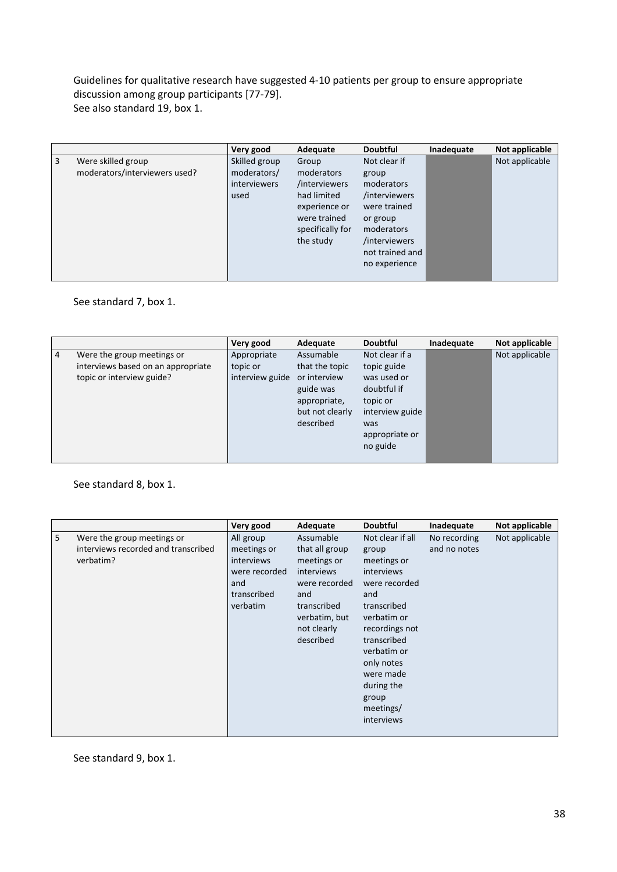Guidelines for qualitative research have suggested 4‐10 patients per group to ensure appropriate discussion among group participants [77‐79]. See also standard 19, box 1.

|   |                               | Very good           | Adequate         | <b>Doubtful</b> | Inadequate | Not applicable |
|---|-------------------------------|---------------------|------------------|-----------------|------------|----------------|
| 3 | Were skilled group            | Skilled group       | Group            | Not clear if    |            | Not applicable |
|   | moderators/interviewers used? | moderators/         | moderators       | group           |            |                |
|   |                               | <i>interviewers</i> | /interviewers    | moderators      |            |                |
|   |                               | used                | had limited      | /interviewers   |            |                |
|   |                               |                     | experience or    | were trained    |            |                |
|   |                               |                     | were trained     | or group        |            |                |
|   |                               |                     | specifically for | moderators      |            |                |
|   |                               |                     | the study        | /interviewers   |            |                |
|   |                               |                     |                  | not trained and |            |                |
|   |                               |                     |                  | no experience   |            |                |
|   |                               |                     |                  |                 |            |                |

See standard 7, box 1.

|   |                                    | Very good       | Adequate        | <b>Doubtful</b> | Inadequate | Not applicable |
|---|------------------------------------|-----------------|-----------------|-----------------|------------|----------------|
| 4 | Were the group meetings or         | Appropriate     | Assumable       | Not clear if a  |            | Not applicable |
|   | interviews based on an appropriate | topic or        | that the topic  | topic guide     |            |                |
|   | topic or interview guide?          | interview guide | or interview    | was used or     |            |                |
|   |                                    |                 | guide was       | doubtful if     |            |                |
|   |                                    |                 | appropriate,    | topic or        |            |                |
|   |                                    |                 | but not clearly | interview guide |            |                |
|   |                                    |                 | described       | was             |            |                |
|   |                                    |                 |                 | appropriate or  |            |                |
|   |                                    |                 |                 | no guide        |            |                |
|   |                                    |                 |                 |                 |            |                |

## See standard 8, box 1.

|   |                                                                                | Very good                                                                                        | Adequate                                                                                                                                     | <b>Doubtful</b>                                                                                                                                                                                                                           | Inadequate                   | Not applicable |
|---|--------------------------------------------------------------------------------|--------------------------------------------------------------------------------------------------|----------------------------------------------------------------------------------------------------------------------------------------------|-------------------------------------------------------------------------------------------------------------------------------------------------------------------------------------------------------------------------------------------|------------------------------|----------------|
| 5 | Were the group meetings or<br>interviews recorded and transcribed<br>verbatim? | All group<br>meetings or<br><i>interviews</i><br>were recorded<br>and<br>transcribed<br>verbatim | Assumable<br>that all group<br>meetings or<br>interviews<br>were recorded<br>and<br>transcribed<br>verbatim, but<br>not clearly<br>described | Not clear if all<br>group<br>meetings or<br>interviews<br>were recorded<br>and<br>transcribed<br>verbatim or<br>recordings not<br>transcribed<br>verbatim or<br>only notes<br>were made<br>during the<br>group<br>meetings/<br>interviews | No recording<br>and no notes | Not applicable |

See standard 9, box 1.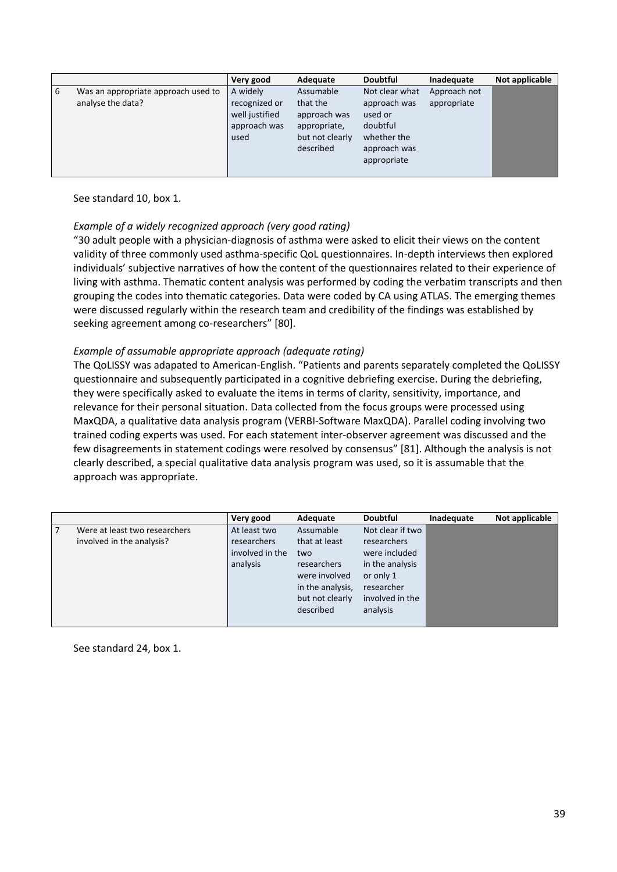|   |                                                          | Very good                                                           | Adequate                                                                              | <b>Doubtful</b>                                                                                     | Inadequate                  | Not applicable |
|---|----------------------------------------------------------|---------------------------------------------------------------------|---------------------------------------------------------------------------------------|-----------------------------------------------------------------------------------------------------|-----------------------------|----------------|
| 6 | Was an appropriate approach used to<br>analyse the data? | A widely<br>recognized or<br>well justified<br>approach was<br>used | Assumable<br>that the<br>approach was<br>appropriate,<br>but not clearly<br>described | Not clear what<br>approach was<br>used or<br>doubtful<br>whether the<br>approach was<br>appropriate | Approach not<br>appropriate |                |
|   |                                                          |                                                                     |                                                                                       |                                                                                                     |                             |                |

See standard 10, box 1.

## *Example of a widely recognized approach (very good rating)*

"30 adult people with a physician‐diagnosis of asthma were asked to elicit their views on the content validity of three commonly used asthma‐specific QoL questionnaires. In‐depth interviews then explored individuals' subjective narratives of how the content of the questionnaires related to their experience of living with asthma. Thematic content analysis was performed by coding the verbatim transcripts and then grouping the codes into thematic categories. Data were coded by CA using ATLAS. The emerging themes were discussed regularly within the research team and credibility of the findings was established by seeking agreement among co-researchers" [80].

### *Example of assumable appropriate approach (adequate rating)*

The QoLISSY was adapated to American‐English. "Patients and parents separately completed the QoLISSY questionnaire and subsequently participated in a cognitive debriefing exercise. During the debriefing, they were specifically asked to evaluate the items in terms of clarity, sensitivity, importance, and relevance for their personal situation. Data collected from the focus groups were processed using MaxQDA, a qualitative data analysis program (VERBI‐Software MaxQDA). Parallel coding involving two trained coding experts was used. For each statement inter‐observer agreement was discussed and the few disagreements in statement codings were resolved by consensus" [81]. Although the analysis is not clearly described, a special qualitative data analysis program was used, so it is assumable that the approach was appropriate.

|                               | Very good          | Adequate         | <b>Doubtful</b>  | Inadequate | Not applicable |
|-------------------------------|--------------------|------------------|------------------|------------|----------------|
| Were at least two researchers | At least two       | Assumable        | Not clear if two |            |                |
| involved in the analysis?     | <b>researchers</b> | that at least    | researchers      |            |                |
|                               | involved in the    | two              | were included    |            |                |
|                               | analysis           | researchers      | in the analysis  |            |                |
|                               |                    | were involved    | or only 1        |            |                |
|                               |                    | in the analysis, | researcher       |            |                |
|                               |                    | but not clearly  | involved in the  |            |                |
|                               |                    | described        | analysis         |            |                |
|                               |                    |                  |                  |            |                |

See standard 24, box 1.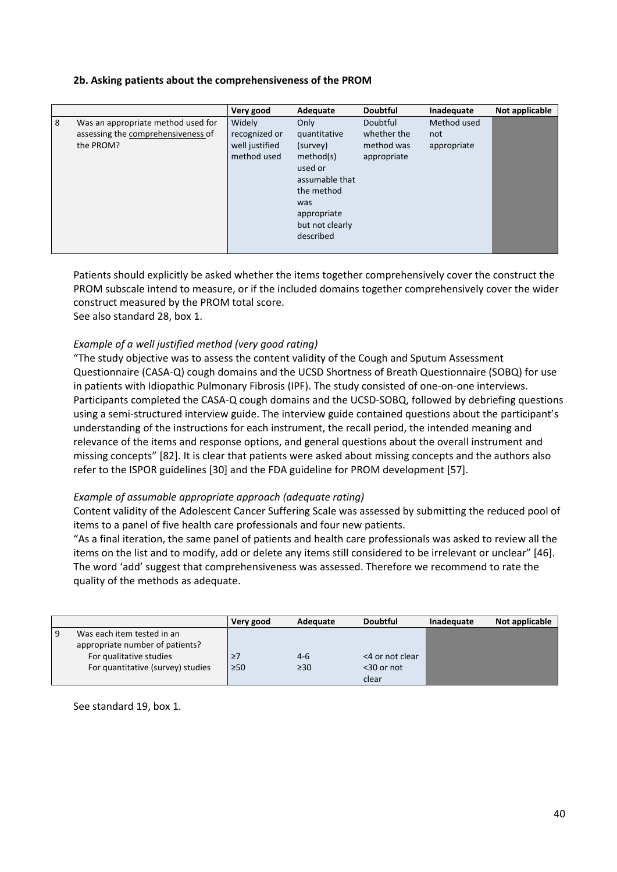## **2b. Asking patients about the comprehensiveness of the PROM**

|   |                                                                                       | Very good                                                | Adequate                                                                                                                                       | <b>Doubtful</b>                                      | Inadequate                        | Not applicable |
|---|---------------------------------------------------------------------------------------|----------------------------------------------------------|------------------------------------------------------------------------------------------------------------------------------------------------|------------------------------------------------------|-----------------------------------|----------------|
| 8 | Was an appropriate method used for<br>assessing the comprehensiveness of<br>the PROM? | Widely<br>recognized or<br>well justified<br>method used | Only<br>quantitative<br>(survey)<br>method(s)<br>used or<br>assumable that<br>the method<br>was<br>appropriate<br>but not clearly<br>described | Doubtful<br>whether the<br>method was<br>appropriate | Method used<br>not<br>appropriate |                |

Patients should explicitly be asked whether the items together comprehensively cover the construct the PROM subscale intend to measure, or if the included domains together comprehensively cover the wider construct measured by the PROM total score.

See also standard 28, box 1.

## *Example of a well justified method (very good rating)*

"The study objective was to assess the content validity of the Cough and Sputum Assessment Questionnaire (CASA‐Q) cough domains and the UCSD Shortness of Breath Questionnaire (SOBQ) for use in patients with Idiopathic Pulmonary Fibrosis (IPF). The study consisted of one‐on‐one interviews. Participants completed the CASA‐Q cough domains and the UCSD‐SOBQ, followed by debriefing questions using a semi‐structured interview guide. The interview guide contained questions about the participant's understanding of the instructions for each instrument, the recall period, the intended meaning and relevance of the items and response options, and general questions about the overall instrument and missing concepts" [82]. It is clear that patients were asked about missing concepts and the authors also refer to the ISPOR guidelines [30] and the FDA guideline for PROM development [57].

### *Example of assumable appropriate approach (adequate rating)*

Content validity of the Adolescent Cancer Suffering Scale was assessed by submitting the reduced pool of items to a panel of five health care professionals and four new patients.

"As a final iteration, the same panel of patients and health care professionals was asked to review all the items on the list and to modify, add or delete any items still considered to be irrelevant or unclear" [46]. The word 'add' suggest that comprehensiveness was assessed. Therefore we recommend to rate the quality of the methods as adequate.

|                                   | Very good | Adequate  | <b>Doubtful</b> | Inadequate | Not applicable |
|-----------------------------------|-----------|-----------|-----------------|------------|----------------|
| Was each item tested in an        |           |           |                 |            |                |
| appropriate number of patients?   |           |           |                 |            |                |
| For qualitative studies           | $\geq$    | $4-6$     | <4 or not clear |            |                |
| For quantitative (survey) studies | $\geq 50$ | $\geq 30$ | $<$ 30 or not   |            |                |
|                                   |           |           | clear           |            |                |

See standard 19, box 1.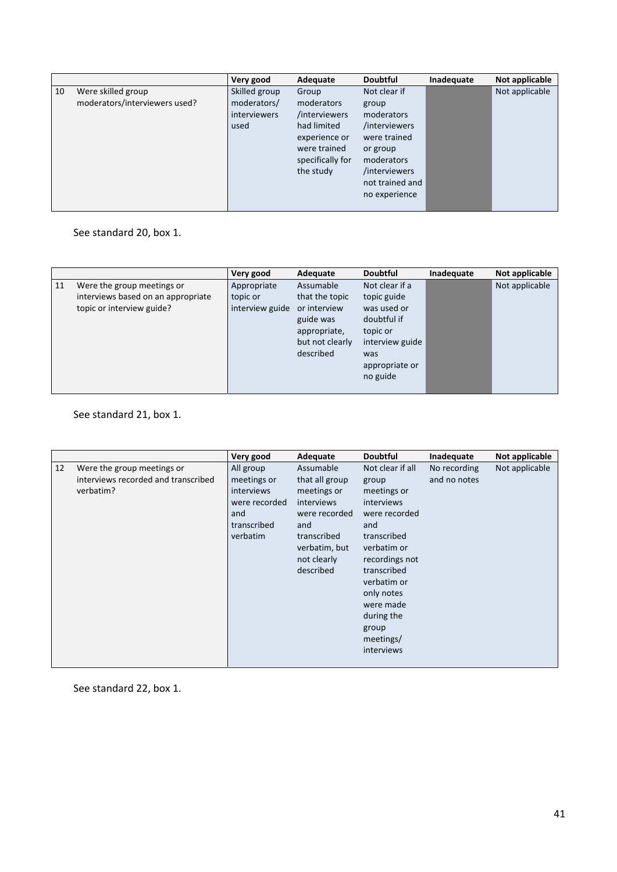|    |                                                     | Very good                                                   | Adequate                                                                                                              | <b>Doubtful</b>                                                                                                 | Inadequate | Not applicable |
|----|-----------------------------------------------------|-------------------------------------------------------------|-----------------------------------------------------------------------------------------------------------------------|-----------------------------------------------------------------------------------------------------------------|------------|----------------|
| 10 | Were skilled group<br>moderators/interviewers used? | Skilled group<br>moderators/<br><i>interviewers</i><br>used | Group<br>moderators<br>/interviewers<br>had limited<br>experience or<br>were trained<br>specifically for<br>the study | Not clear if<br>group<br>moderators<br>/interviewers<br>were trained<br>or group<br>moderators<br>/interviewers |            | Not applicable |
|    |                                                     |                                                             |                                                                                                                       | not trained and<br>no experience                                                                                |            |                |
|    |                                                     |                                                             |                                                                                                                       |                                                                                                                 |            |                |

See standard 20, box 1.

|    |                                    | Very good       | Adequate        | <b>Doubtful</b> | Inadequate | Not applicable |
|----|------------------------------------|-----------------|-----------------|-----------------|------------|----------------|
| 11 | Were the group meetings or         | Appropriate     | Assumable       | Not clear if a  |            | Not applicable |
|    | interviews based on an appropriate | topic or        | that the topic  | topic guide     |            |                |
|    | topic or interview guide?          | interview guide | or interview    | was used or     |            |                |
|    |                                    |                 | guide was       | doubtful if     |            |                |
|    |                                    |                 | appropriate,    | topic or        |            |                |
|    |                                    |                 | but not clearly | interview guide |            |                |
|    |                                    |                 | described       | was             |            |                |
|    |                                    |                 |                 | appropriate or  |            |                |
|    |                                    |                 |                 | no guide        |            |                |
|    |                                    |                 |                 |                 |            |                |

See standard 21, box 1.

|    |                                     | Very good     | Adequate       | <b>Doubtful</b>  | Inadequate   | Not applicable |
|----|-------------------------------------|---------------|----------------|------------------|--------------|----------------|
| 12 | Were the group meetings or          | All group     | Assumable      | Not clear if all | No recording | Not applicable |
|    | interviews recorded and transcribed | meetings or   | that all group | group            | and no notes |                |
|    | verbatim?                           | interviews    | meetings or    | meetings or      |              |                |
|    |                                     | were recorded | interviews     | interviews       |              |                |
|    |                                     | and           | were recorded  | were recorded    |              |                |
|    |                                     | transcribed   | and            | and              |              |                |
|    |                                     | verbatim      | transcribed    | transcribed      |              |                |
|    |                                     |               | verbatim, but  | verbatim or      |              |                |
|    |                                     |               | not clearly    | recordings not   |              |                |
|    |                                     |               | described      | transcribed      |              |                |
|    |                                     |               |                | verbatim or      |              |                |
|    |                                     |               |                | only notes       |              |                |
|    |                                     |               |                | were made        |              |                |
|    |                                     |               |                | during the       |              |                |
|    |                                     |               |                | group            |              |                |
|    |                                     |               |                | meetings/        |              |                |
|    |                                     |               |                | interviews       |              |                |
|    |                                     |               |                |                  |              |                |

See standard 22, box 1.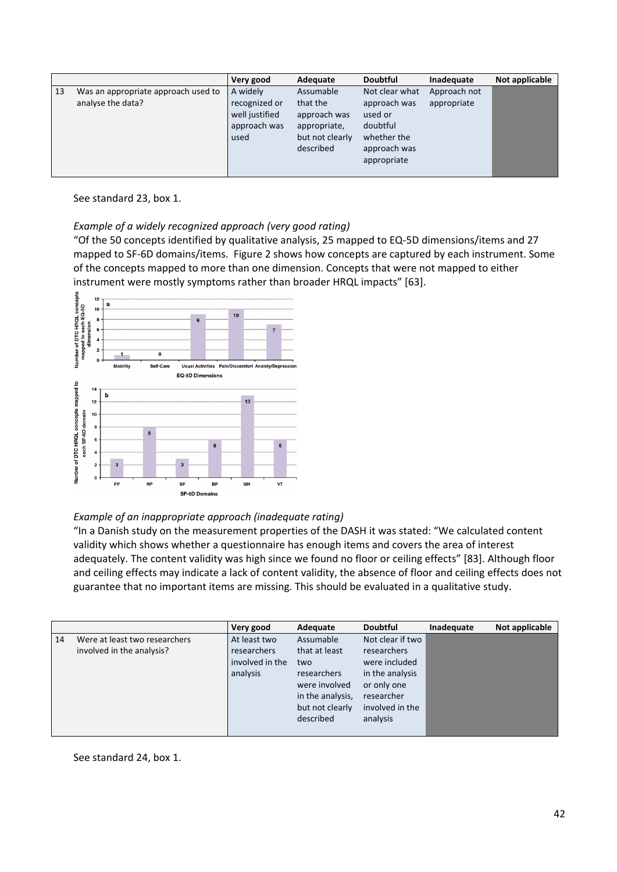|                                                                | Very good                                                           | Adequate                                                                              | <b>Doubtful</b>                                                                                     | Inadequate                  | Not applicable |
|----------------------------------------------------------------|---------------------------------------------------------------------|---------------------------------------------------------------------------------------|-----------------------------------------------------------------------------------------------------|-----------------------------|----------------|
| 13<br>Was an appropriate approach used to<br>analyse the data? | A widely<br>recognized or<br>well justified<br>approach was<br>used | Assumable<br>that the<br>approach was<br>appropriate,<br>but not clearly<br>described | Not clear what<br>approach was<br>used or<br>doubtful<br>whether the<br>approach was<br>appropriate | Approach not<br>appropriate |                |

See standard 23, box 1.

## *Example of a widely recognized approach (very good rating)*

"Of the 50 concepts identified by qualitative analysis, 25 mapped to EQ‐5D dimensions/items and 27 mapped to SF‐6D domains/items. Figure 2 shows how concepts are captured by each instrument. Some of the concepts mapped to more than one dimension. Concepts that were not mapped to either instrument were mostly symptoms rather than broader HRQL impacts" [63].



### *Example of an inappropriate approach (inadequate rating)*

"In a Danish study on the measurement properties of the DASH it was stated: "We calculated content validity which shows whether a questionnaire has enough items and covers the area of interest adequately. The content validity was high since we found no floor or ceiling effects" [83]. Although floor and ceiling effects may indicate a lack of content validity, the absence of floor and ceiling effects does not guarantee that no important items are missing. This should be evaluated in a qualitative study.

|                                                                  | Very good                                                  | Adequate                                                                                                              | <b>Doubtful</b>                                                                                                                 | Inadequate | Not applicable |
|------------------------------------------------------------------|------------------------------------------------------------|-----------------------------------------------------------------------------------------------------------------------|---------------------------------------------------------------------------------------------------------------------------------|------------|----------------|
| Were at least two researchers<br>14<br>involved in the analysis? | At least two<br>researchers<br>involved in the<br>analysis | Assumable<br>that at least<br>two<br>researchers<br>were involved<br>in the analysis,<br>but not clearly<br>described | Not clear if two<br>researchers<br>were included<br>in the analysis<br>or only one<br>researcher<br>involved in the<br>analysis |            |                |

See standard 24, box 1.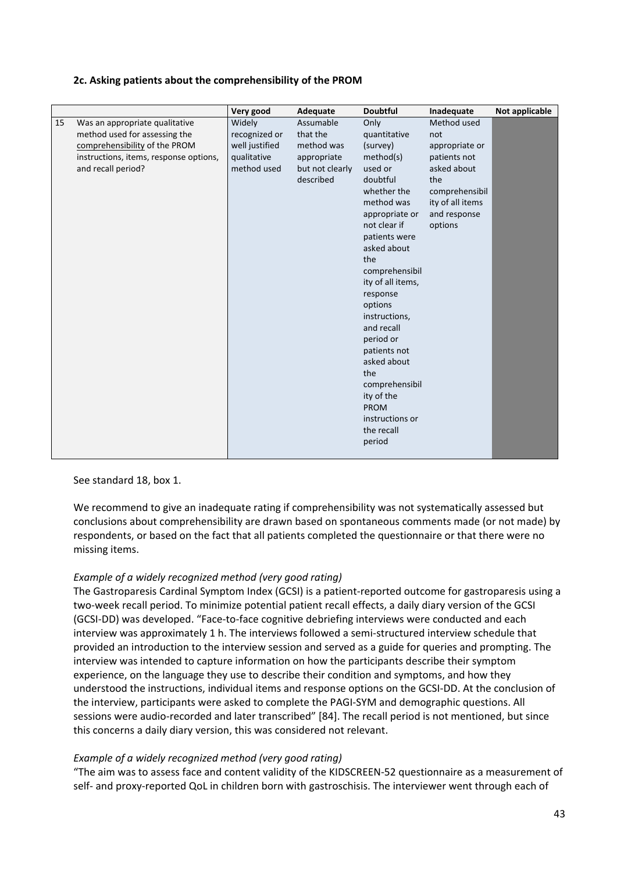## **2c. Asking patients about the comprehensibility of the PROM**

|    |                                        | Very good      | Adequate        | <b>Doubtful</b>   | Inadequate       | Not applicable |
|----|----------------------------------------|----------------|-----------------|-------------------|------------------|----------------|
| 15 | Was an appropriate qualitative         | Widely         | Assumable       | Only              | Method used      |                |
|    | method used for assessing the          | recognized or  | that the        | quantitative      | not              |                |
|    | comprehensibility of the PROM          | well justified | method was      | (survey)          | appropriate or   |                |
|    | instructions, items, response options, | qualitative    | appropriate     | method(s)         | patients not     |                |
|    | and recall period?                     | method used    | but not clearly | used or           | asked about      |                |
|    |                                        |                | described       | doubtful          | the              |                |
|    |                                        |                |                 | whether the       | comprehensibil   |                |
|    |                                        |                |                 | method was        | ity of all items |                |
|    |                                        |                |                 | appropriate or    | and response     |                |
|    |                                        |                |                 | not clear if      | options          |                |
|    |                                        |                |                 | patients were     |                  |                |
|    |                                        |                |                 | asked about       |                  |                |
|    |                                        |                |                 | the               |                  |                |
|    |                                        |                |                 | comprehensibil    |                  |                |
|    |                                        |                |                 | ity of all items, |                  |                |
|    |                                        |                |                 | response          |                  |                |
|    |                                        |                |                 | options           |                  |                |
|    |                                        |                |                 | instructions,     |                  |                |
|    |                                        |                |                 | and recall        |                  |                |
|    |                                        |                |                 | period or         |                  |                |
|    |                                        |                |                 | patients not      |                  |                |
|    |                                        |                |                 | asked about       |                  |                |
|    |                                        |                |                 | the               |                  |                |
|    |                                        |                |                 | comprehensibil    |                  |                |
|    |                                        |                |                 | ity of the        |                  |                |
|    |                                        |                |                 | <b>PROM</b>       |                  |                |
|    |                                        |                |                 | instructions or   |                  |                |
|    |                                        |                |                 | the recall        |                  |                |
|    |                                        |                |                 | period            |                  |                |
|    |                                        |                |                 |                   |                  |                |

### See standard 18, box 1.

We recommend to give an inadequate rating if comprehensibility was not systematically assessed but conclusions about comprehensibility are drawn based on spontaneous comments made (or not made) by respondents, or based on the fact that all patients completed the questionnaire or that there were no missing items.

## *Example of a widely recognized method (very good rating)*

The Gastroparesis Cardinal Symptom Index (GCSI) is a patient‐reported outcome for gastroparesis using a two-week recall period. To minimize potential patient recall effects, a daily diary version of the GCSI (GCSI‐DD) was developed. "Face‐to‐face cognitive debriefing interviews were conducted and each interview was approximately 1 h. The interviews followed a semi‐structured interview schedule that provided an introduction to the interview session and served as a guide for queries and prompting. The interview was intended to capture information on how the participants describe their symptom experience, on the language they use to describe their condition and symptoms, and how they understood the instructions, individual items and response options on the GCSI‐DD. At the conclusion of the interview, participants were asked to complete the PAGI‐SYM and demographic questions. All sessions were audio‐recorded and later transcribed" [84]. The recall period is not mentioned, but since this concerns a daily diary version, this was considered not relevant.

## *Example of a widely recognized method (very good rating)*

"The aim was to assess face and content validity of the KIDSCREEN‐52 questionnaire as a measurement of self- and proxy-reported QoL in children born with gastroschisis. The interviewer went through each of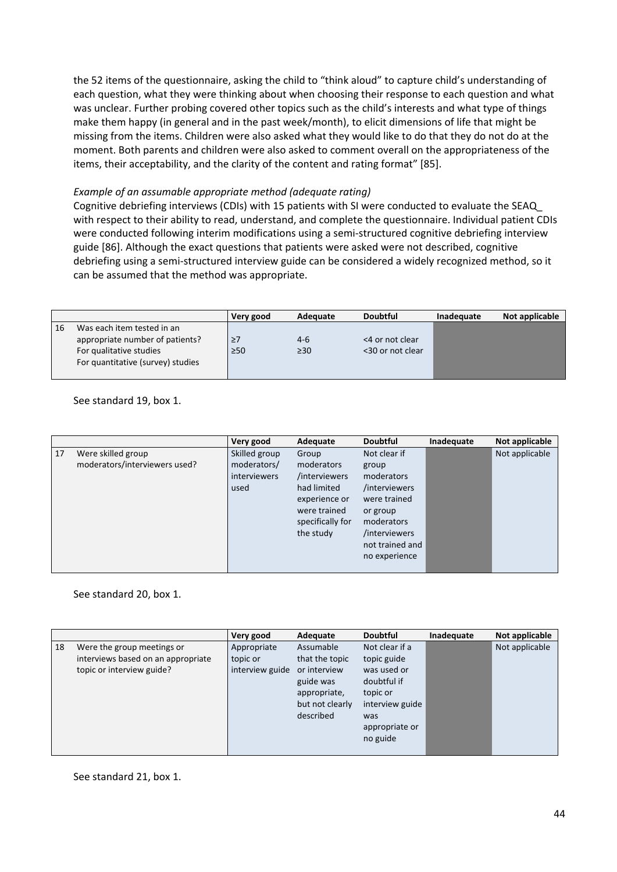the 52 items of the questionnaire, asking the child to "think aloud" to capture child's understanding of each question, what they were thinking about when choosing their response to each question and what was unclear. Further probing covered other topics such as the child's interests and what type of things make them happy (in general and in the past week/month), to elicit dimensions of life that might be missing from the items. Children were also asked what they would like to do that they do not do at the moment. Both parents and children were also asked to comment overall on the appropriateness of the items, their acceptability, and the clarity of the content and rating format" [85].

## *Example of an assumable appropriate method (adequate rating)*

Cognitive debriefing interviews (CDIs) with 15 patients with SI were conducted to evaluate the SEAQ\_ with respect to their ability to read, understand, and complete the questionnaire. Individual patient CDIs were conducted following interim modifications using a semi‐structured cognitive debriefing interview guide [86]. Although the exact questions that patients were asked were not described, cognitive debriefing using a semi‐structured interview guide can be considered a widely recognized method, so it can be assumed that the method was appropriate.

|    |                                   | Very good | Adequate  | <b>Doubtful</b>  | Inadequate | Not applicable |
|----|-----------------------------------|-----------|-----------|------------------|------------|----------------|
| 16 | Was each item tested in an        |           |           |                  |            |                |
|    | appropriate number of patients?   | 27        | $4-6$     | <4 or not clear  |            |                |
|    | For qualitative studies           | $\geq 50$ | $\geq 30$ | <30 or not clear |            |                |
|    | For quantitative (survey) studies |           |           |                  |            |                |
|    |                                   |           |           |                  |            |                |

See standard 19, box 1.

|    |                                                     | Very good                                            | Adequate                                                                                                              | <b>Doubtful</b>                                                                                                                                     | Inadequate | Not applicable |
|----|-----------------------------------------------------|------------------------------------------------------|-----------------------------------------------------------------------------------------------------------------------|-----------------------------------------------------------------------------------------------------------------------------------------------------|------------|----------------|
| 17 | Were skilled group<br>moderators/interviewers used? | Skilled group<br>moderators/<br>interviewers<br>used | Group<br>moderators<br>/interviewers<br>had limited<br>experience or<br>were trained<br>specifically for<br>the study | Not clear if<br>group<br>moderators<br>/interviewers<br>were trained<br>or group<br>moderators<br>/interviewers<br>not trained and<br>no experience |            | Not applicable |

### See standard 20, box 1.

|    |                                    | Very good       | Adequate        | <b>Doubtful</b> | Inadequate | Not applicable |
|----|------------------------------------|-----------------|-----------------|-----------------|------------|----------------|
| 18 | Were the group meetings or         | Appropriate     | Assumable       | Not clear if a  |            | Not applicable |
|    | interviews based on an appropriate | topic or        | that the topic  | topic guide     |            |                |
|    | topic or interview guide?          | interview guide | or interview    | was used or     |            |                |
|    |                                    |                 | guide was       | doubtful if     |            |                |
|    |                                    |                 | appropriate,    | topic or        |            |                |
|    |                                    |                 | but not clearly | interview guide |            |                |
|    |                                    |                 | described       | was             |            |                |
|    |                                    |                 |                 | appropriate or  |            |                |
|    |                                    |                 |                 | no guide        |            |                |
|    |                                    |                 |                 |                 |            |                |

### See standard 21, box 1.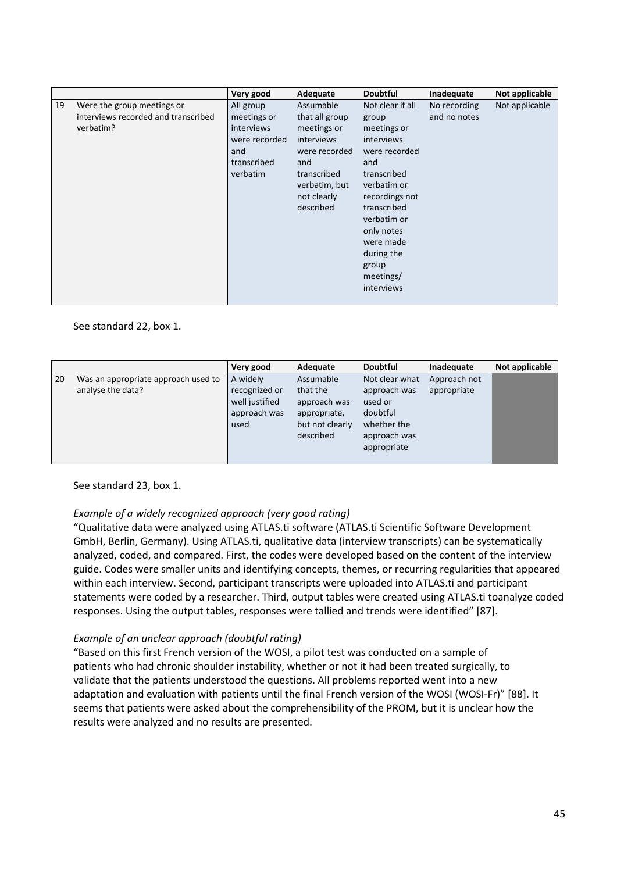|    |                                                                                | Very good                                                                                 | Adequate                                                                                                                                     | <b>Doubtful</b>                                                                                                                                                                                                                           | Inadequate                   | Not applicable |
|----|--------------------------------------------------------------------------------|-------------------------------------------------------------------------------------------|----------------------------------------------------------------------------------------------------------------------------------------------|-------------------------------------------------------------------------------------------------------------------------------------------------------------------------------------------------------------------------------------------|------------------------------|----------------|
| 19 | Were the group meetings or<br>interviews recorded and transcribed<br>verbatim? | All group<br>meetings or<br>interviews<br>were recorded<br>and<br>transcribed<br>verbatim | Assumable<br>that all group<br>meetings or<br>interviews<br>were recorded<br>and<br>transcribed<br>verbatim, but<br>not clearly<br>described | Not clear if all<br>group<br>meetings or<br>interviews<br>were recorded<br>and<br>transcribed<br>verbatim or<br>recordings not<br>transcribed<br>verbatim or<br>only notes<br>were made<br>during the<br>group<br>meetings/<br>interviews | No recording<br>and no notes | Not applicable |

### See standard 22, box 1.

|    |                                                          | Very good                                                           | Adequate                                                                              | <b>Doubtful</b>                                                                                     | Inadequate                  | Not applicable |
|----|----------------------------------------------------------|---------------------------------------------------------------------|---------------------------------------------------------------------------------------|-----------------------------------------------------------------------------------------------------|-----------------------------|----------------|
| 20 | Was an appropriate approach used to<br>analyse the data? | A widely<br>recognized or<br>well justified<br>approach was<br>used | Assumable<br>that the<br>approach was<br>appropriate,<br>but not clearly<br>described | Not clear what<br>approach was<br>used or<br>doubtful<br>whether the<br>approach was<br>appropriate | Approach not<br>appropriate |                |

### See standard 23, box 1.

## *Example of a widely recognized approach (very good rating)*

"Qualitative data were analyzed using ATLAS.ti software (ATLAS.ti Scientific Software Development GmbH, Berlin, Germany). Using ATLAS.ti, qualitative data (interview transcripts) can be systematically analyzed, coded, and compared. First, the codes were developed based on the content of the interview guide. Codes were smaller units and identifying concepts, themes, or recurring regularities that appeared within each interview. Second, participant transcripts were uploaded into ATLAS.ti and participant statements were coded by a researcher. Third, output tables were created using ATLAS.ti toanalyze coded responses. Using the output tables, responses were tallied and trends were identified" [87].

### *Example of an unclear approach (doubtful rating)*

"Based on this first French version of the WOSI, a pilot test was conducted on a sample of patients who had chronic shoulder instability, whether or not it had been treated surgically, to validate that the patients understood the questions. All problems reported went into a new adaptation and evaluation with patients until the final French version of the WOSI (WOSI‐Fr)" [88]. It seems that patients were asked about the comprehensibility of the PROM, but it is unclear how the results were analyzed and no results are presented.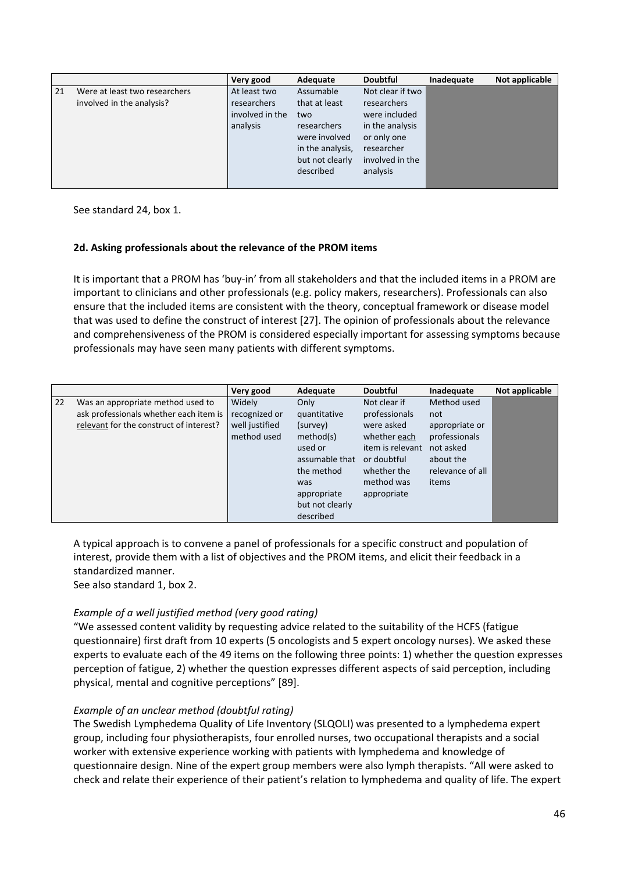|    |                                                            | Very good                                                  | Adequate                                                                              | <b>Doubtful</b>                                                                                  | Inadequate | Not applicable |
|----|------------------------------------------------------------|------------------------------------------------------------|---------------------------------------------------------------------------------------|--------------------------------------------------------------------------------------------------|------------|----------------|
| 21 | Were at least two researchers<br>involved in the analysis? | At least two<br>researchers<br>involved in the<br>analysis | Assumable<br>that at least<br>two<br>researchers<br>were involved<br>in the analysis, | Not clear if two<br>researchers<br>were included<br>in the analysis<br>or only one<br>researcher |            |                |
|    |                                                            |                                                            | but not clearly<br>described                                                          | involved in the<br>analysis                                                                      |            |                |

See standard 24, box 1.

## **2d. Asking professionals about the relevance of the PROM items**

It is important that a PROM has 'buy‐in' from all stakeholders and that the included items in a PROM are important to clinicians and other professionals (e.g. policy makers, researchers). Professionals can also ensure that the included items are consistent with the theory, conceptual framework or disease model that was used to define the construct of interest [27]. The opinion of professionals about the relevance and comprehensiveness of the PROM is considered especially important for assessing symptoms because professionals may have seen many patients with different symptoms.

|    |                                                                                                                        | Very good                                                | Adequate                                                                                                                                       | <b>Doubtful</b>                                                                                                                            | Inadequate                                                                                                   | Not applicable |
|----|------------------------------------------------------------------------------------------------------------------------|----------------------------------------------------------|------------------------------------------------------------------------------------------------------------------------------------------------|--------------------------------------------------------------------------------------------------------------------------------------------|--------------------------------------------------------------------------------------------------------------|----------------|
| 22 | Was an appropriate method used to<br>ask professionals whether each item is<br>relevant for the construct of interest? | Widely<br>recognized or<br>well justified<br>method used | Only<br>quantitative<br>(survey)<br>method(s)<br>used or<br>assumable that<br>the method<br>was<br>appropriate<br>but not clearly<br>described | Not clear if<br>professionals<br>were asked<br>whether each<br>item is relevant<br>or doubtful<br>whether the<br>method was<br>appropriate | Method used<br>not<br>appropriate or<br>professionals<br>not asked<br>about the<br>relevance of all<br>items |                |

A typical approach is to convene a panel of professionals for a specific construct and population of interest, provide them with a list of objectives and the PROM items, and elicit their feedback in a standardized manner.

See also standard 1, box 2.

## *Example of a well justified method (very good rating)*

"We assessed content validity by requesting advice related to the suitability of the HCFS (fatigue questionnaire) first draft from 10 experts (5 oncologists and 5 expert oncology nurses). We asked these experts to evaluate each of the 49 items on the following three points: 1) whether the question expresses perception of fatigue, 2) whether the question expresses different aspects of said perception, including physical, mental and cognitive perceptions" [89].

## *Example of an unclear method (doubtful rating)*

The Swedish Lymphedema Quality of Life Inventory (SLQOLI) was presented to a lymphedema expert group, including four physiotherapists, four enrolled nurses, two occupational therapists and a social worker with extensive experience working with patients with lymphedema and knowledge of questionnaire design. Nine of the expert group members were also lymph therapists. "All were asked to check and relate their experience of their patient's relation to lymphedema and quality of life. The expert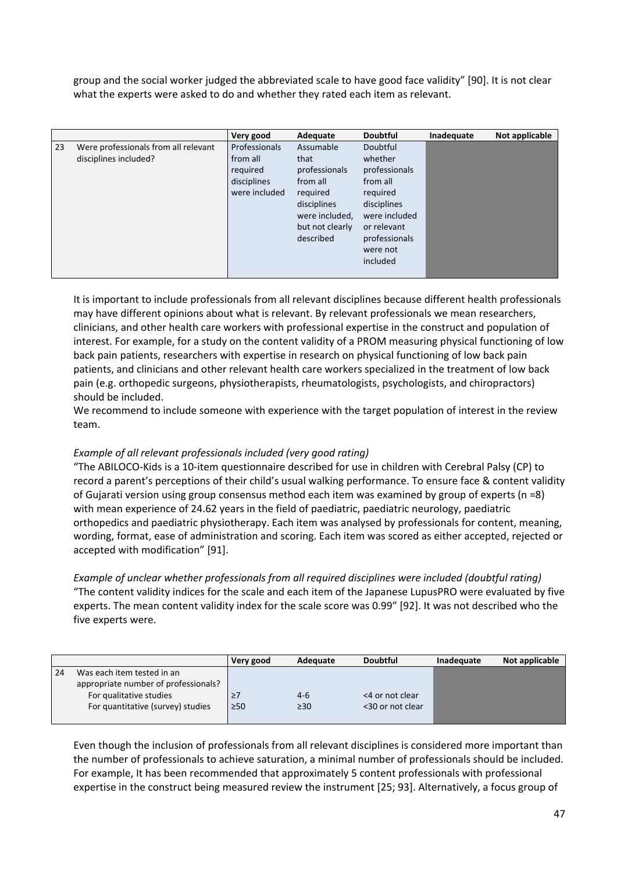group and the social worker judged the abbreviated scale to have good face validity" [90]. It is not clear what the experts were asked to do and whether they rated each item as relevant.

|    |                                      | Very good     | Adequate        | <b>Doubtful</b> | Inadequate | Not applicable |
|----|--------------------------------------|---------------|-----------------|-----------------|------------|----------------|
| 23 | Were professionals from all relevant | Professionals | Assumable       | Doubtful        |            |                |
|    | disciplines included?                | from all      | that            | whether         |            |                |
|    |                                      | reguired      | professionals   | professionals   |            |                |
|    |                                      | disciplines   | from all        | from all        |            |                |
|    |                                      | were included | required        | required        |            |                |
|    |                                      |               | disciplines     | disciplines     |            |                |
|    |                                      |               | were included,  | were included   |            |                |
|    |                                      |               | but not clearly | or relevant     |            |                |
|    |                                      |               | described       | professionals   |            |                |
|    |                                      |               |                 | were not        |            |                |
|    |                                      |               |                 | included        |            |                |
|    |                                      |               |                 |                 |            |                |

It is important to include professionals from all relevant disciplines because different health professionals may have different opinions about what is relevant. By relevant professionals we mean researchers, clinicians, and other health care workers with professional expertise in the construct and population of interest. For example, for a study on the content validity of a PROM measuring physical functioning of low back pain patients, researchers with expertise in research on physical functioning of low back pain patients, and clinicians and other relevant health care workers specialized in the treatment of low back pain (e.g. orthopedic surgeons, physiotherapists, rheumatologists, psychologists, and chiropractors) should be included.

We recommend to include someone with experience with the target population of interest in the review team.

## *Example of all relevant professionals included (very good rating)*

"The ABILOCO‐Kids is a 10‐item questionnaire described for use in children with Cerebral Palsy (CP) to record a parent's perceptions of their child's usual walking performance. To ensure face & content validity of Gujarati version using group consensus method each item was examined by group of experts (n =8) with mean experience of 24.62 years in the field of paediatric, paediatric neurology, paediatric orthopedics and paediatric physiotherapy. Each item was analysed by professionals for content, meaning, wording, format, ease of administration and scoring. Each item was scored as either accepted, rejected or accepted with modification" [91].

*Example of unclear whether professionals from all required disciplines were included (doubtful rating)* "The content validity indices for the scale and each item of the Japanese LupusPRO were evaluated by five experts. The mean content validity index for the scale score was 0.99" [92]. It was not described who the five experts were.

|    |                                      | Very good | Adequate  | <b>Doubtful</b>  | Inadequate | Not applicable |
|----|--------------------------------------|-----------|-----------|------------------|------------|----------------|
| 24 | Was each item tested in an           |           |           |                  |            |                |
|    | appropriate number of professionals? |           |           |                  |            |                |
|    | For qualitative studies              | ≥/        | $4-6$     | <4 or not clear  |            |                |
|    | For quantitative (survey) studies    | $\geq 50$ | $\geq 30$ | <30 or not clear |            |                |
|    |                                      |           |           |                  |            |                |

Even though the inclusion of professionals from all relevant disciplines is considered more important than the number of professionals to achieve saturation, a minimal number of professionals should be included. For example, It has been recommended that approximately 5 content professionals with professional expertise in the construct being measured review the instrument [25; 93]. Alternatively, a focus group of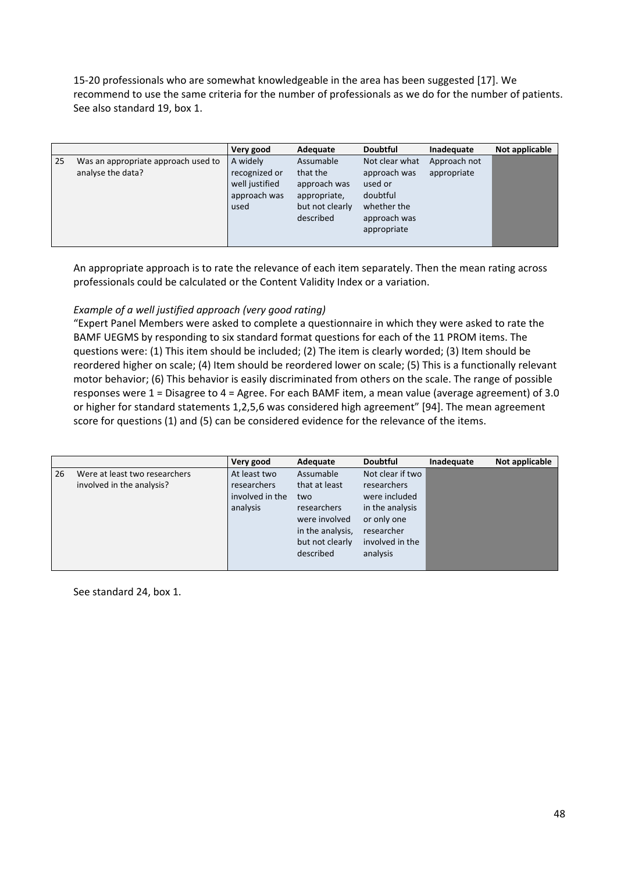15‐20 professionals who are somewhat knowledgeable in the area has been suggested [17]. We recommend to use the same criteria for the number of professionals as we do for the number of patients. See also standard 19, box 1.

|    |                                                          | Very good                                                           | Adequate                                                                              | <b>Doubtful</b>                                                                                     | Inadequate                  | Not applicable |
|----|----------------------------------------------------------|---------------------------------------------------------------------|---------------------------------------------------------------------------------------|-----------------------------------------------------------------------------------------------------|-----------------------------|----------------|
| 25 | Was an appropriate approach used to<br>analyse the data? | A widely<br>recognized or<br>well justified<br>approach was<br>used | Assumable<br>that the<br>approach was<br>appropriate,<br>but not clearly<br>described | Not clear what<br>approach was<br>used or<br>doubtful<br>whether the<br>approach was<br>appropriate | Approach not<br>appropriate |                |

An appropriate approach is to rate the relevance of each item separately. Then the mean rating across professionals could be calculated or the Content Validity Index or a variation.

## *Example of a well justified approach (very good rating)*

"Expert Panel Members were asked to complete a questionnaire in which they were asked to rate the BAMF UEGMS by responding to six standard format questions for each of the 11 PROM items. The questions were: (1) This item should be included; (2) The item is clearly worded; (3) Item should be reordered higher on scale; (4) Item should be reordered lower on scale; (5) This is a functionally relevant motor behavior; (6) This behavior is easily discriminated from others on the scale. The range of possible responses were 1 = Disagree to 4 = Agree. For each BAMF item, a mean value (average agreement) of 3.0 or higher for standard statements 1,2,5,6 was considered high agreement" [94]. The mean agreement score for questions (1) and (5) can be considered evidence for the relevance of the items.

|    |                                                            | Very good                                                  | Adequate                                                                                                              | <b>Doubtful</b>                                                                                                                 | Inadequate | Not applicable |
|----|------------------------------------------------------------|------------------------------------------------------------|-----------------------------------------------------------------------------------------------------------------------|---------------------------------------------------------------------------------------------------------------------------------|------------|----------------|
| 26 | Were at least two researchers<br>involved in the analysis? | At least two<br>researchers<br>involved in the<br>analysis | Assumable<br>that at least<br>two<br>researchers<br>were involved<br>in the analysis,<br>but not clearly<br>described | Not clear if two<br>researchers<br>were included<br>in the analysis<br>or only one<br>researcher<br>involved in the<br>analysis |            |                |

See standard 24, box 1.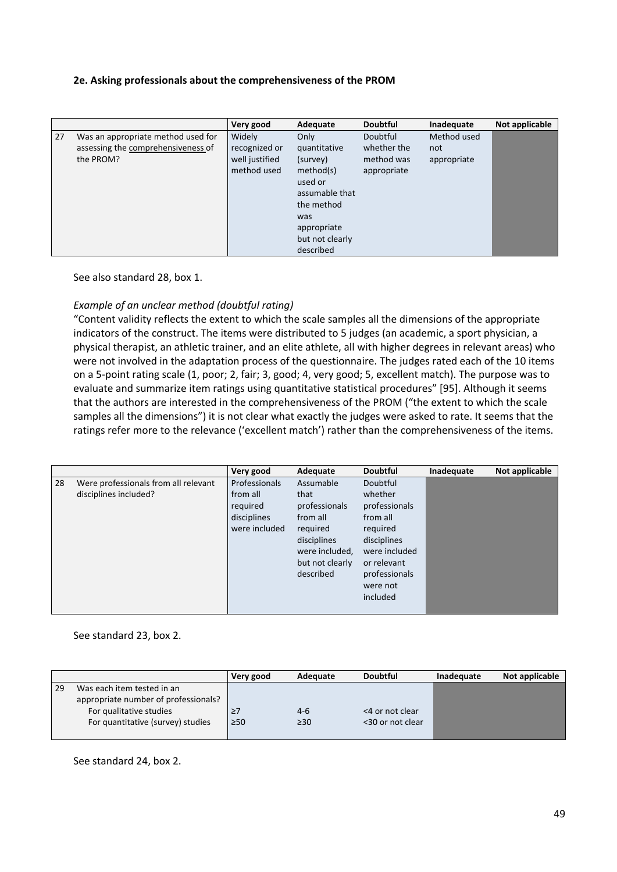## **2e. Asking professionals about the comprehensiveness of the PROM**

|    |                                    | Very good      | Adequate        | <b>Doubtful</b> | Inadequate  | Not applicable |
|----|------------------------------------|----------------|-----------------|-----------------|-------------|----------------|
| 27 | Was an appropriate method used for | Widely         | Only            | Doubtful        | Method used |                |
|    | assessing the comprehensiveness of | recognized or  | quantitative    | whether the     | not         |                |
|    | the PROM?                          | well justified | (survey)        | method was      | appropriate |                |
|    |                                    | method used    | method(s)       | appropriate     |             |                |
|    |                                    |                | used or         |                 |             |                |
|    |                                    |                | assumable that  |                 |             |                |
|    |                                    |                | the method      |                 |             |                |
|    |                                    |                | was             |                 |             |                |
|    |                                    |                | appropriate     |                 |             |                |
|    |                                    |                | but not clearly |                 |             |                |
|    |                                    |                | described       |                 |             |                |

See also standard 28, box 1.

## *Example of an unclear method (doubtful rating)*

"Content validity reflects the extent to which the scale samples all the dimensions of the appropriate indicators of the construct. The items were distributed to 5 judges (an academic, a sport physician, a physical therapist, an athletic trainer, and an elite athlete, all with higher degrees in relevant areas) who were not involved in the adaptation process of the questionnaire. The judges rated each of the 10 items on a 5‐point rating scale (1, poor; 2, fair; 3, good; 4, very good; 5, excellent match). The purpose was to evaluate and summarize item ratings using quantitative statistical procedures" [95]. Although it seems that the authors are interested in the comprehensiveness of the PROM ("the extent to which the scale samples all the dimensions") it is not clear what exactly the judges were asked to rate. It seems that the ratings refer more to the relevance ('excellent match') rather than the comprehensiveness of the items.

|    |                                                               | Very good                                                                    | Adequate                                                                                                                    | <b>Doubtful</b>                                                                                                                                      | Inadequate | Not applicable |
|----|---------------------------------------------------------------|------------------------------------------------------------------------------|-----------------------------------------------------------------------------------------------------------------------------|------------------------------------------------------------------------------------------------------------------------------------------------------|------------|----------------|
| 28 | Were professionals from all relevant<br>disciplines included? | <b>Professionals</b><br>from all<br>required<br>disciplines<br>were included | Assumable<br>that<br>professionals<br>from all<br>required<br>disciplines<br>were included,<br>but not clearly<br>described | Doubtful<br>whether<br>professionals<br>from all<br>required<br>disciplines<br>were included<br>or relevant<br>professionals<br>were not<br>included |            |                |
|    |                                                               |                                                                              |                                                                                                                             |                                                                                                                                                      |            |                |

#### See standard 23, box 2.

|    |                                      | Very good | Adequate  | <b>Doubtful</b>  | Inadequate | Not applicable |
|----|--------------------------------------|-----------|-----------|------------------|------------|----------------|
| 29 | Was each item tested in an           |           |           |                  |            |                |
|    | appropriate number of professionals? |           |           |                  |            |                |
|    | For qualitative studies              | $\geq$ /  | $4-6$     | <4 or not clear  |            |                |
|    | For quantitative (survey) studies    | $\geq 50$ | $\geq 30$ | <30 or not clear |            |                |
|    |                                      |           |           |                  |            |                |

See standard 24, box 2.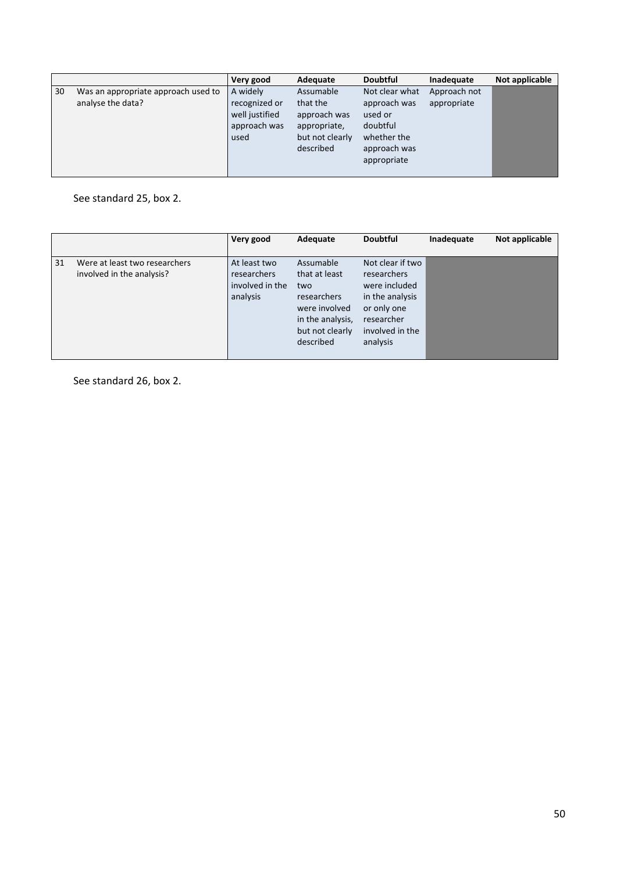|    |                                                          | Very good                                                           | Adequate                                                                              | <b>Doubtful</b>                                                                                     | Inadequate                  | Not applicable |
|----|----------------------------------------------------------|---------------------------------------------------------------------|---------------------------------------------------------------------------------------|-----------------------------------------------------------------------------------------------------|-----------------------------|----------------|
| 30 | Was an appropriate approach used to<br>analyse the data? | A widely<br>recognized or<br>well justified<br>approach was<br>used | Assumable<br>that the<br>approach was<br>appropriate,<br>but not clearly<br>described | Not clear what<br>approach was<br>used or<br>doubtful<br>whether the<br>approach was<br>appropriate | Approach not<br>appropriate |                |
|    |                                                          |                                                                     |                                                                                       |                                                                                                     |                             |                |

See standard 25, box 2.

|    |                                                            | Very good                                                  | Adequate                                                                                                              | <b>Doubtful</b>                                                                                                                 | Inadequate | Not applicable |
|----|------------------------------------------------------------|------------------------------------------------------------|-----------------------------------------------------------------------------------------------------------------------|---------------------------------------------------------------------------------------------------------------------------------|------------|----------------|
| 31 | Were at least two researchers<br>involved in the analysis? | At least two<br>researchers<br>involved in the<br>analysis | Assumable<br>that at least<br>two<br>researchers<br>were involved<br>in the analysis,<br>but not clearly<br>described | Not clear if two<br>researchers<br>were included<br>in the analysis<br>or only one<br>researcher<br>involved in the<br>analysis |            |                |

See standard 26, box 2.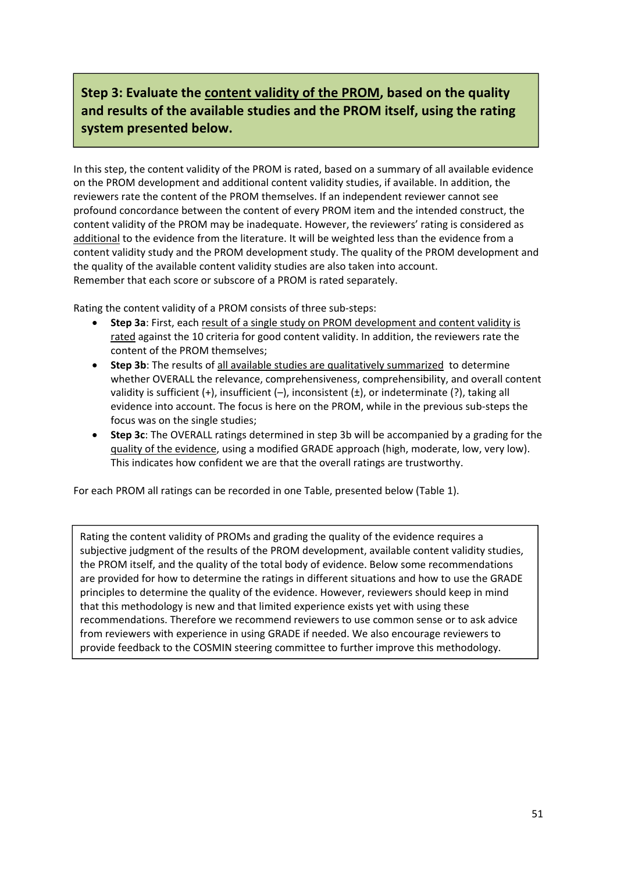# **Step 3: Evaluate the content validity of the PROM, based on the quality and results of the available studies and the PROM itself, using the rating system presented below.**

In this step, the content validity of the PROM is rated, based on a summary of all available evidence on the PROM development and additional content validity studies, if available. In addition, the reviewers rate the content of the PROM themselves. If an independent reviewer cannot see profound concordance between the content of every PROM item and the intended construct, the content validity of the PROM may be inadequate. However, the reviewers' rating is considered as additional to the evidence from the literature. It will be weighted less than the evidence from a content validity study and the PROM development study. The quality of the PROM development and the quality of the available content validity studies are also taken into account. Remember that each score or subscore of a PROM is rated separately.

Rating the content validity of a PROM consists of three sub‐steps:

- **Step 3a**: First, each result of a single study on PROM development and content validity is rated against the 10 criteria for good content validity. In addition, the reviewers rate the content of the PROM themselves;
- **Step 3b**: The results of all available studies are qualitatively summarized to determine whether OVERALL the relevance, comprehensiveness, comprehensibility, and overall content validity is sufficient (+), insufficient (-), inconsistent ( $\pm$ ), or indeterminate (?), taking all evidence into account. The focus is here on the PROM, while in the previous sub‐steps the focus was on the single studies;
- **Step 3c**: The OVERALL ratings determined in step 3b will be accompanied by a grading for the quality of the evidence, using a modified GRADE approach (high, moderate, low, very low). This indicates how confident we are that the overall ratings are trustworthy.

For each PROM all ratings can be recorded in one Table, presented below (Table 1).

Rating the content validity of PROMs and grading the quality of the evidence requires a subjective judgment of the results of the PROM development, available content validity studies, the PROM itself, and the quality of the total body of evidence. Below some recommendations are provided for how to determine the ratings in different situations and how to use the GRADE principles to determine the quality of the evidence. However, reviewers should keep in mind that this methodology is new and that limited experience exists yet with using these recommendations. Therefore we recommend reviewers to use common sense or to ask advice from reviewers with experience in using GRADE if needed. We also encourage reviewers to provide feedback to the COSMIN steering committee to further improve this methodology.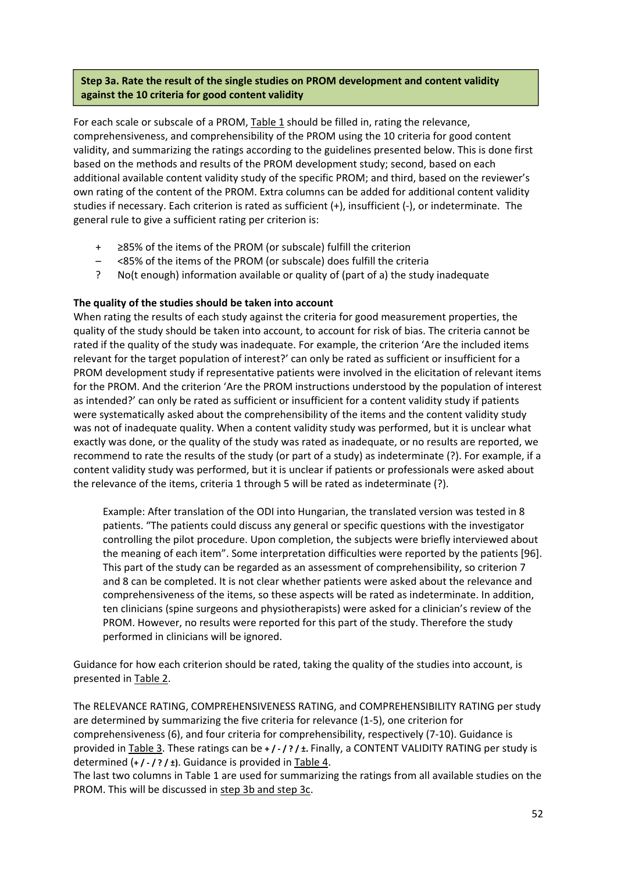## **Step 3a. Rate the result of the single studies on PROM development and content validity against the 10 criteria for good content validity**

For each scale or subscale of a PROM, Table 1 should be filled in, rating the relevance, comprehensiveness, and comprehensibility of the PROM using the 10 criteria for good content validity, and summarizing the ratings according to the guidelines presented below. This is done first based on the methods and results of the PROM development study; second, based on each additional available content validity study of the specific PROM; and third, based on the reviewer's own rating of the content of the PROM. Extra columns can be added for additional content validity studies if necessary. Each criterion is rated as sufficient (+), insufficient (‐), or indeterminate. The general rule to give a sufficient rating per criterion is:

- + ≥85% of the items of the PROM (or subscale) fulfill the criterion
- <85% of the items of the PROM (or subscale) does fulfill the criteria
- ? No(t enough) information available or quality of (part of a) the study inadequate

### **The quality of the studies should be taken into account**

When rating the results of each study against the criteria for good measurement properties, the quality of the study should be taken into account, to account for risk of bias. The criteria cannot be rated if the quality of the study was inadequate. For example, the criterion 'Are the included items relevant for the target population of interest?' can only be rated as sufficient or insufficient for a PROM development study if representative patients were involved in the elicitation of relevant items for the PROM. And the criterion 'Are the PROM instructions understood by the population of interest as intended?' can only be rated as sufficient or insufficient for a content validity study if patients were systematically asked about the comprehensibility of the items and the content validity study was not of inadequate quality. When a content validity study was performed, but it is unclear what exactly was done, or the quality of the study was rated as inadequate, or no results are reported, we recommend to rate the results of the study (or part of a study) as indeterminate (?). For example, if a content validity study was performed, but it is unclear if patients or professionals were asked about the relevance of the items, criteria 1 through 5 will be rated as indeterminate (?).

Example: After translation of the ODI into Hungarian, the translated version was tested in 8 patients. "The patients could discuss any general or specific questions with the investigator controlling the pilot procedure. Upon completion, the subjects were briefly interviewed about the meaning of each item". Some interpretation difficulties were reported by the patients [96]. This part of the study can be regarded as an assessment of comprehensibility, so criterion 7 and 8 can be completed. It is not clear whether patients were asked about the relevance and comprehensiveness of the items, so these aspects will be rated as indeterminate. In addition, ten clinicians (spine surgeons and physiotherapists) were asked for a clinician's review of the PROM. However, no results were reported for this part of the study. Therefore the study performed in clinicians will be ignored.

Guidance for how each criterion should be rated, taking the quality of the studies into account, is presented in Table 2.

The RELEVANCE RATING, COMPREHENSIVENESS RATING, and COMPREHENSIBILITY RATING per study are determined by summarizing the five criteria for relevance (1‐5), one criterion for comprehensiveness (6), and four criteria for comprehensibility, respectively (7‐10). Guidance is provided in Table 3. These ratings can be **+ / ‐ / ? / ±.** Finally, a CONTENT VALIDITY RATING per study is determined (**+ / ‐ / ? / ±)**. Guidance is provided in Table 4.

The last two columns in Table 1 are used for summarizing the ratings from all available studies on the PROM. This will be discussed in step 3b and step 3c.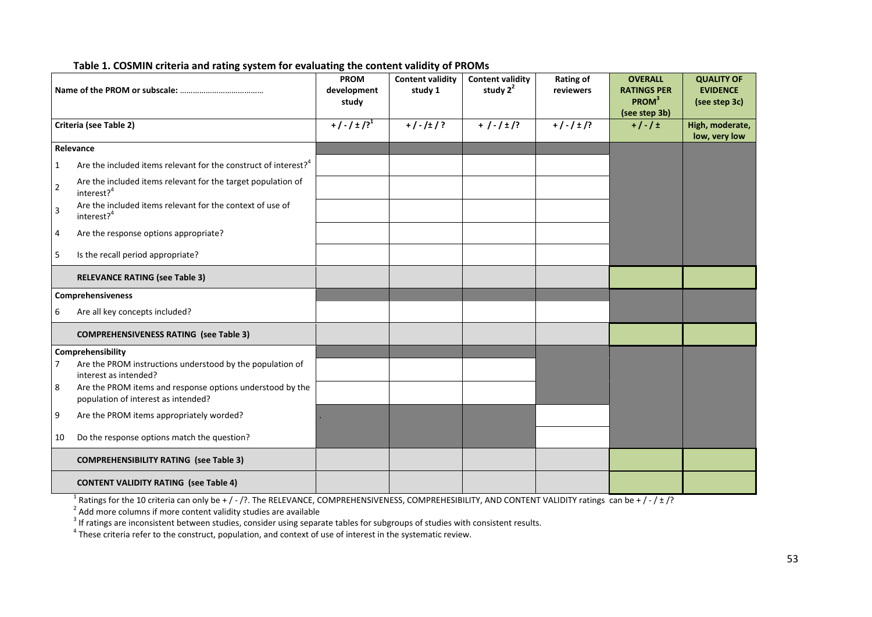|                |                                                                                                  | <b>PROM</b><br>development<br>study | <b>Content validity</b><br>study 1 | <b>Content validity</b><br>study $2^2$ | Rating of<br>reviewers | <b>OVERALL</b><br><b>RATINGS PER</b><br>PROM <sup>3</sup><br>(see step 3b) | <b>QUALITY OF</b><br><b>EVIDENCE</b><br>(see step 3c) |
|----------------|--------------------------------------------------------------------------------------------------|-------------------------------------|------------------------------------|----------------------------------------|------------------------|----------------------------------------------------------------------------|-------------------------------------------------------|
|                | Criteria (see Table 2)                                                                           | $+/-/±/?$ <sup>1</sup>              | $+/-/±/?$                          | $+$ / - / $\pm$ /?                     | $+/-/±$ /?             | $+/-/±$                                                                    | High, moderate,<br>low, very low                      |
|                | Relevance                                                                                        |                                     |                                    |                                        |                        |                                                                            |                                                       |
| $\mathbf{1}$   | Are the included items relevant for the construct of interest? <sup>4</sup>                      |                                     |                                    |                                        |                        |                                                                            |                                                       |
| $\overline{2}$ | Are the included items relevant for the target population of<br>interest? <sup>4</sup>           |                                     |                                    |                                        |                        |                                                                            |                                                       |
| $\overline{3}$ | Are the included items relevant for the context of use of<br>interest? <sup>4</sup>              |                                     |                                    |                                        |                        |                                                                            |                                                       |
| $\overline{4}$ | Are the response options appropriate?                                                            |                                     |                                    |                                        |                        |                                                                            |                                                       |
| 5              | Is the recall period appropriate?                                                                |                                     |                                    |                                        |                        |                                                                            |                                                       |
|                | <b>RELEVANCE RATING (see Table 3)</b>                                                            |                                     |                                    |                                        |                        |                                                                            |                                                       |
|                | Comprehensiveness                                                                                |                                     |                                    |                                        |                        |                                                                            |                                                       |
| 6              | Are all key concepts included?                                                                   |                                     |                                    |                                        |                        |                                                                            |                                                       |
|                | <b>COMPREHENSIVENESS RATING (see Table 3)</b>                                                    |                                     |                                    |                                        |                        |                                                                            |                                                       |
|                | Comprehensibility                                                                                |                                     |                                    |                                        |                        |                                                                            |                                                       |
| 7              | Are the PROM instructions understood by the population of<br>interest as intended?               |                                     |                                    |                                        |                        |                                                                            |                                                       |
| 8              | Are the PROM items and response options understood by the<br>population of interest as intended? |                                     |                                    |                                        |                        |                                                                            |                                                       |
| 9              | Are the PROM items appropriately worded?                                                         |                                     |                                    |                                        |                        |                                                                            |                                                       |
| 10             | Do the response options match the question?                                                      |                                     |                                    |                                        |                        |                                                                            |                                                       |
|                | <b>COMPREHENSIBILITY RATING (see Table 3)</b>                                                    |                                     |                                    |                                        |                        |                                                                            |                                                       |
|                | <b>CONTENT VALIDITY RATING (see Table 4)</b>                                                     |                                     |                                    |                                        |                        |                                                                            |                                                       |

#### **Table 1. COSMIN criteria and rating system for evaluating the content validity of PROMs**

<sup>1</sup> Ratings for the 10 criteria can only be + / - /?. The RELEVANCE, COMPREHENSIVENESS, COMPREHESIBILITY, AND CONTENT VALIDITY ratings can be + / - / ± /?<br><sup>2</sup> Add more columns if more content validity studies are availabl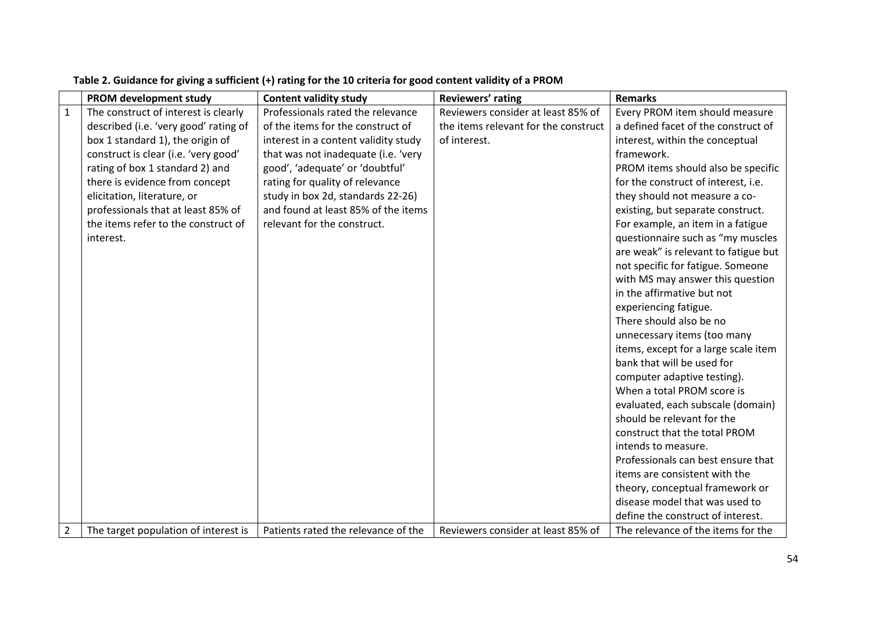|                | PROM development study                | <b>Content validity study</b>        | Reviewers' rating                    | <b>Remarks</b>                       |
|----------------|---------------------------------------|--------------------------------------|--------------------------------------|--------------------------------------|
| $\mathbf{1}$   | The construct of interest is clearly  | Professionals rated the relevance    | Reviewers consider at least 85% of   | Every PROM item should measure       |
|                | described (i.e. 'very good' rating of | of the items for the construct of    | the items relevant for the construct | a defined facet of the construct of  |
|                | box 1 standard 1), the origin of      | interest in a content validity study | of interest.                         | interest, within the conceptual      |
|                | construct is clear (i.e. 'very good'  | that was not inadequate (i.e. 'very  |                                      | framework.                           |
|                | rating of box 1 standard 2) and       | good', 'adequate' or 'doubtful'      |                                      | PROM items should also be specific   |
|                | there is evidence from concept        | rating for quality of relevance      |                                      | for the construct of interest, i.e.  |
|                | elicitation, literature, or           | study in box 2d, standards 22-26)    |                                      | they should not measure a co-        |
|                | professionals that at least 85% of    | and found at least 85% of the items  |                                      | existing, but separate construct.    |
|                | the items refer to the construct of   | relevant for the construct.          |                                      | For example, an item in a fatigue    |
|                | interest.                             |                                      |                                      | questionnaire such as "my muscles    |
|                |                                       |                                      |                                      | are weak" is relevant to fatigue but |
|                |                                       |                                      |                                      | not specific for fatigue. Someone    |
|                |                                       |                                      |                                      | with MS may answer this question     |
|                |                                       |                                      |                                      | in the affirmative but not           |
|                |                                       |                                      |                                      | experiencing fatigue.                |
|                |                                       |                                      |                                      | There should also be no              |
|                |                                       |                                      |                                      | unnecessary items (too many          |
|                |                                       |                                      |                                      | items, except for a large scale item |
|                |                                       |                                      |                                      | bank that will be used for           |
|                |                                       |                                      |                                      | computer adaptive testing).          |
|                |                                       |                                      |                                      | When a total PROM score is           |
|                |                                       |                                      |                                      | evaluated, each subscale (domain)    |
|                |                                       |                                      |                                      | should be relevant for the           |
|                |                                       |                                      |                                      | construct that the total PROM        |
|                |                                       |                                      |                                      | intends to measure.                  |
|                |                                       |                                      |                                      | Professionals can best ensure that   |
|                |                                       |                                      |                                      | items are consistent with the        |
|                |                                       |                                      |                                      | theory, conceptual framework or      |
|                |                                       |                                      |                                      | disease model that was used to       |
|                |                                       |                                      |                                      | define the construct of interest.    |
| $\overline{2}$ | The target population of interest is  | Patients rated the relevance of the  | Reviewers consider at least 85% of   | The relevance of the items for the   |

### Table 2. Guidance for giving a sufficient (+) rating for the 10 criteria for good content validity of a PROM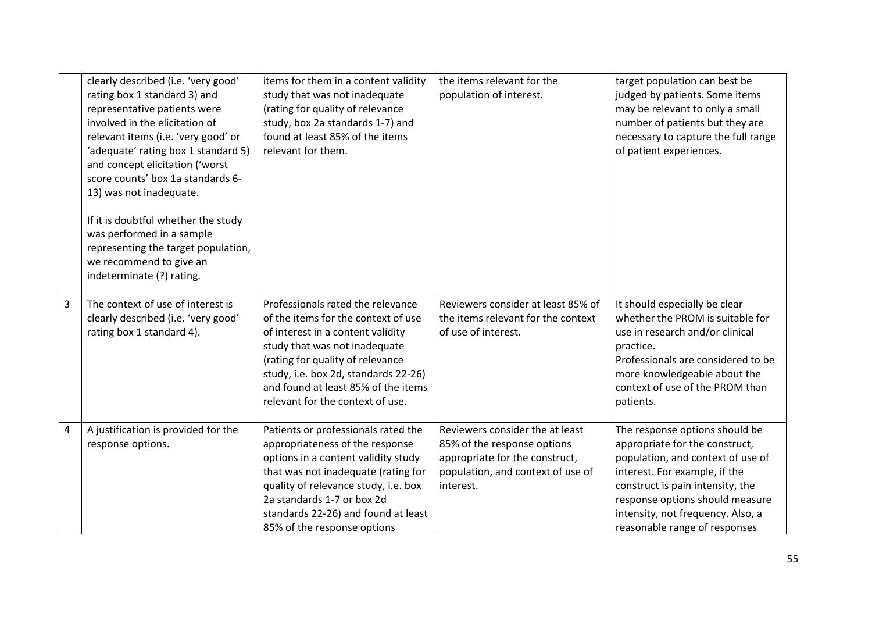|   | clearly described (i.e. 'very good'<br>rating box 1 standard 3) and<br>representative patients were<br>involved in the elicitation of<br>relevant items (i.e. 'very good' or<br>'adequate' rating box 1 standard 5)<br>and concept elicitation ('worst<br>score counts' box 1a standards 6-<br>13) was not inadequate.<br>If it is doubtful whether the study<br>was performed in a sample<br>representing the target population,<br>we recommend to give an<br>indeterminate (?) rating. | items for them in a content validity<br>study that was not inadequate<br>(rating for quality of relevance<br>study, box 2a standards 1-7) and<br>found at least 85% of the items<br>relevant for them.                                                                                                | the items relevant for the<br>population of interest.                                                                                              | target population can best be<br>judged by patients. Some items<br>may be relevant to only a small<br>number of patients but they are<br>necessary to capture the full range<br>of patient experiences.                                                                             |
|---|-------------------------------------------------------------------------------------------------------------------------------------------------------------------------------------------------------------------------------------------------------------------------------------------------------------------------------------------------------------------------------------------------------------------------------------------------------------------------------------------|-------------------------------------------------------------------------------------------------------------------------------------------------------------------------------------------------------------------------------------------------------------------------------------------------------|----------------------------------------------------------------------------------------------------------------------------------------------------|-------------------------------------------------------------------------------------------------------------------------------------------------------------------------------------------------------------------------------------------------------------------------------------|
| 3 | The context of use of interest is<br>clearly described (i.e. 'very good'<br>rating box 1 standard 4).                                                                                                                                                                                                                                                                                                                                                                                     | Professionals rated the relevance<br>of the items for the context of use<br>of interest in a content validity<br>study that was not inadequate<br>(rating for quality of relevance<br>study, i.e. box 2d, standards 22-26)<br>and found at least 85% of the items<br>relevant for the context of use. | Reviewers consider at least 85% of<br>the items relevant for the context<br>of use of interest.                                                    | It should especially be clear<br>whether the PROM is suitable for<br>use in research and/or clinical<br>practice.<br>Professionals are considered to be<br>more knowledgeable about the<br>context of use of the PROM than<br>patients.                                             |
| 4 | A justification is provided for the<br>response options.                                                                                                                                                                                                                                                                                                                                                                                                                                  | Patients or professionals rated the<br>appropriateness of the response<br>options in a content validity study<br>that was not inadequate (rating for<br>quality of relevance study, i.e. box<br>2a standards 1-7 or box 2d<br>standards 22-26) and found at least<br>85% of the response options      | Reviewers consider the at least<br>85% of the response options<br>appropriate for the construct,<br>population, and context of use of<br>interest. | The response options should be<br>appropriate for the construct,<br>population, and context of use of<br>interest. For example, if the<br>construct is pain intensity, the<br>response options should measure<br>intensity, not frequency. Also, a<br>reasonable range of responses |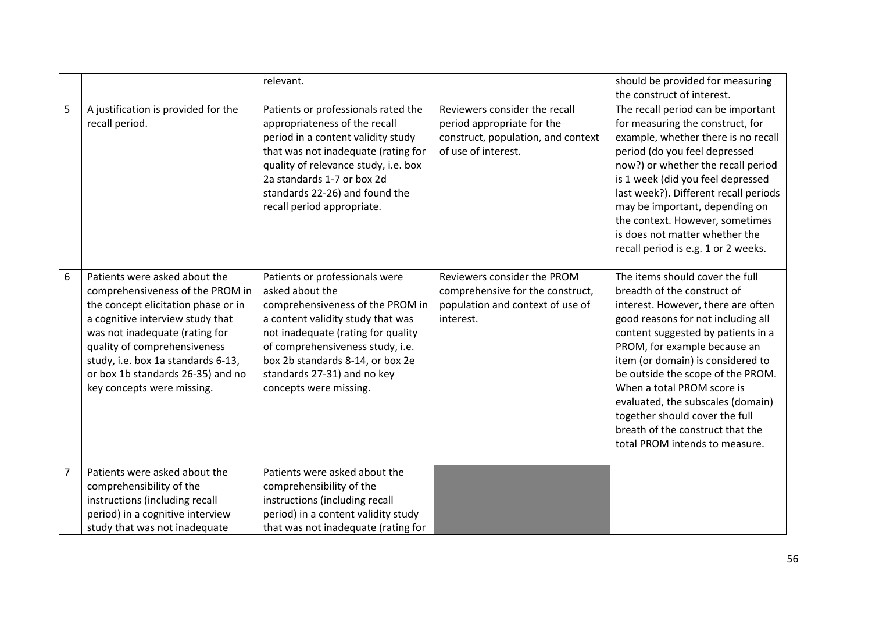|                |                                                                                                                                                                                                                                                                                                                         | relevant.                                                                                                                                                                                                                                                                                         |                                                                                                                          | should be provided for measuring<br>the construct of interest.                                                                                                                                                                                                                                                                                                                                                                                                        |
|----------------|-------------------------------------------------------------------------------------------------------------------------------------------------------------------------------------------------------------------------------------------------------------------------------------------------------------------------|---------------------------------------------------------------------------------------------------------------------------------------------------------------------------------------------------------------------------------------------------------------------------------------------------|--------------------------------------------------------------------------------------------------------------------------|-----------------------------------------------------------------------------------------------------------------------------------------------------------------------------------------------------------------------------------------------------------------------------------------------------------------------------------------------------------------------------------------------------------------------------------------------------------------------|
| 5              | A justification is provided for the<br>recall period.                                                                                                                                                                                                                                                                   | Patients or professionals rated the<br>appropriateness of the recall<br>period in a content validity study<br>that was not inadequate (rating for<br>quality of relevance study, i.e. box<br>2a standards 1-7 or box 2d<br>standards 22-26) and found the<br>recall period appropriate.           | Reviewers consider the recall<br>period appropriate for the<br>construct, population, and context<br>of use of interest. | The recall period can be important<br>for measuring the construct, for<br>example, whether there is no recall<br>period (do you feel depressed<br>now?) or whether the recall period<br>is 1 week (did you feel depressed<br>last week?). Different recall periods<br>may be important, depending on<br>the context. However, sometimes<br>is does not matter whether the<br>recall period is e.g. 1 or 2 weeks.                                                      |
| 6              | Patients were asked about the<br>comprehensiveness of the PROM in<br>the concept elicitation phase or in<br>a cognitive interview study that<br>was not inadequate (rating for<br>quality of comprehensiveness<br>study, i.e. box 1a standards 6-13,<br>or box 1b standards 26-35) and no<br>key concepts were missing. | Patients or professionals were<br>asked about the<br>comprehensiveness of the PROM in<br>a content validity study that was<br>not inadequate (rating for quality<br>of comprehensiveness study, i.e.<br>box 2b standards 8-14, or box 2e<br>standards 27-31) and no key<br>concepts were missing. | Reviewers consider the PROM<br>comprehensive for the construct,<br>population and context of use of<br>interest.         | The items should cover the full<br>breadth of the construct of<br>interest. However, there are often<br>good reasons for not including all<br>content suggested by patients in a<br>PROM, for example because an<br>item (or domain) is considered to<br>be outside the scope of the PROM.<br>When a total PROM score is<br>evaluated, the subscales (domain)<br>together should cover the full<br>breath of the construct that the<br>total PROM intends to measure. |
| $\overline{7}$ | Patients were asked about the<br>comprehensibility of the<br>instructions (including recall<br>period) in a cognitive interview<br>study that was not inadequate                                                                                                                                                        | Patients were asked about the<br>comprehensibility of the<br>instructions (including recall<br>period) in a content validity study<br>that was not inadequate (rating for                                                                                                                         |                                                                                                                          |                                                                                                                                                                                                                                                                                                                                                                                                                                                                       |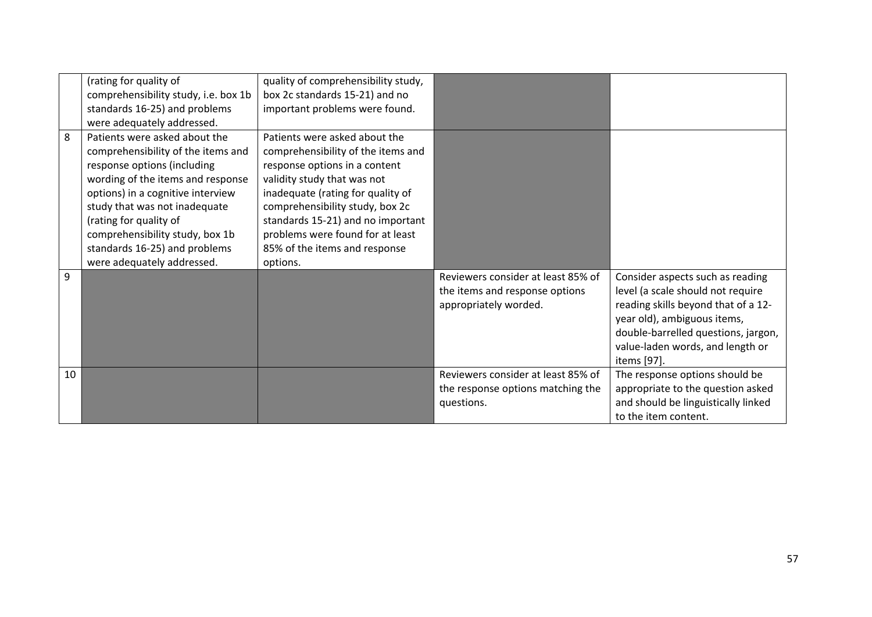|    | (rating for quality of               | quality of comprehensibility study, |                                    |                                     |
|----|--------------------------------------|-------------------------------------|------------------------------------|-------------------------------------|
|    | comprehensibility study, i.e. box 1b | box 2c standards 15-21) and no      |                                    |                                     |
|    | standards 16-25) and problems        | important problems were found.      |                                    |                                     |
|    | were adequately addressed.           |                                     |                                    |                                     |
| 8  | Patients were asked about the        | Patients were asked about the       |                                    |                                     |
|    | comprehensibility of the items and   | comprehensibility of the items and  |                                    |                                     |
|    | response options (including          | response options in a content       |                                    |                                     |
|    | wording of the items and response    | validity study that was not         |                                    |                                     |
|    | options) in a cognitive interview    | inadequate (rating for quality of   |                                    |                                     |
|    | study that was not inadequate        | comprehensibility study, box 2c     |                                    |                                     |
|    | (rating for quality of               | standards 15-21) and no important   |                                    |                                     |
|    | comprehensibility study, box 1b      | problems were found for at least    |                                    |                                     |
|    | standards 16-25) and problems        | 85% of the items and response       |                                    |                                     |
|    | were adequately addressed.           | options.                            |                                    |                                     |
| 9  |                                      |                                     | Reviewers consider at least 85% of | Consider aspects such as reading    |
|    |                                      |                                     | the items and response options     | level (a scale should not require   |
|    |                                      |                                     | appropriately worded.              | reading skills beyond that of a 12- |
|    |                                      |                                     |                                    | year old), ambiguous items,         |
|    |                                      |                                     |                                    | double-barrelled questions, jargon, |
|    |                                      |                                     |                                    | value-laden words, and length or    |
|    |                                      |                                     |                                    | items [97].                         |
| 10 |                                      |                                     | Reviewers consider at least 85% of | The response options should be      |
|    |                                      |                                     | the response options matching the  | appropriate to the question asked   |
|    |                                      |                                     | questions.                         | and should be linguistically linked |
|    |                                      |                                     |                                    | to the item content.                |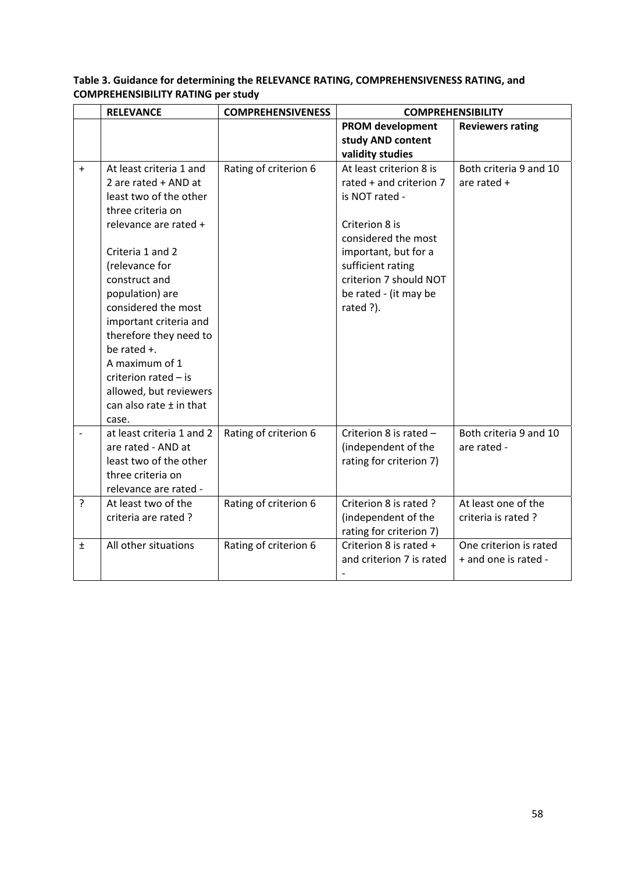|       | <b>RELEVANCE</b>                            | <b>COMPREHENSIVENESS</b> | <b>COMPREHENSIBILITY</b> |                         |
|-------|---------------------------------------------|--------------------------|--------------------------|-------------------------|
|       |                                             |                          | <b>PROM development</b>  | <b>Reviewers rating</b> |
|       |                                             |                          | study AND content        |                         |
|       |                                             |                          | validity studies         |                         |
| $+$   | At least criteria 1 and                     | Rating of criterion 6    | At least criterion 8 is  | Both criteria 9 and 10  |
|       | 2 are rated + AND at                        |                          | rated + and criterion 7  | are rated +             |
|       | least two of the other                      |                          | is NOT rated -           |                         |
|       | three criteria on                           |                          | Criterion 8 is           |                         |
|       | relevance are rated +                       |                          | considered the most      |                         |
|       | Criteria 1 and 2                            |                          | important, but for a     |                         |
|       | (relevance for                              |                          | sufficient rating        |                         |
|       | construct and                               |                          | criterion 7 should NOT   |                         |
|       | population) are                             |                          | be rated - (it may be    |                         |
|       | considered the most                         |                          | rated ?).                |                         |
|       | important criteria and                      |                          |                          |                         |
|       | therefore they need to                      |                          |                          |                         |
|       | be rated +.                                 |                          |                          |                         |
|       | A maximum of 1                              |                          |                          |                         |
|       | criterion rated $-$ is                      |                          |                          |                         |
|       | allowed, but reviewers                      |                          |                          |                         |
|       | can also rate $\pm$ in that                 |                          |                          |                         |
|       | case.                                       |                          |                          |                         |
|       | at least criteria 1 and 2                   | Rating of criterion 6    | Criterion 8 is rated -   | Both criteria 9 and 10  |
|       | are rated - AND at                          |                          | (independent of the      | are rated -             |
|       | least two of the other<br>three criteria on |                          | rating for criterion 7)  |                         |
|       | relevance are rated -                       |                          |                          |                         |
| ?     | At least two of the                         | Rating of criterion 6    | Criterion 8 is rated?    | At least one of the     |
|       | criteria are rated?                         |                          | (independent of the      | criteria is rated?      |
|       |                                             |                          | rating for criterion 7)  |                         |
| $\pm$ | All other situations                        | Rating of criterion 6    | Criterion 8 is rated +   | One criterion is rated  |
|       |                                             |                          | and criterion 7 is rated | + and one is rated -    |
|       |                                             |                          | $\qquad \qquad -$        |                         |

## **Table 3. Guidance for determining the RELEVANCE RATING, COMPREHENSIVENESS RATING, and COMPREHENSIBILITY RATING per study**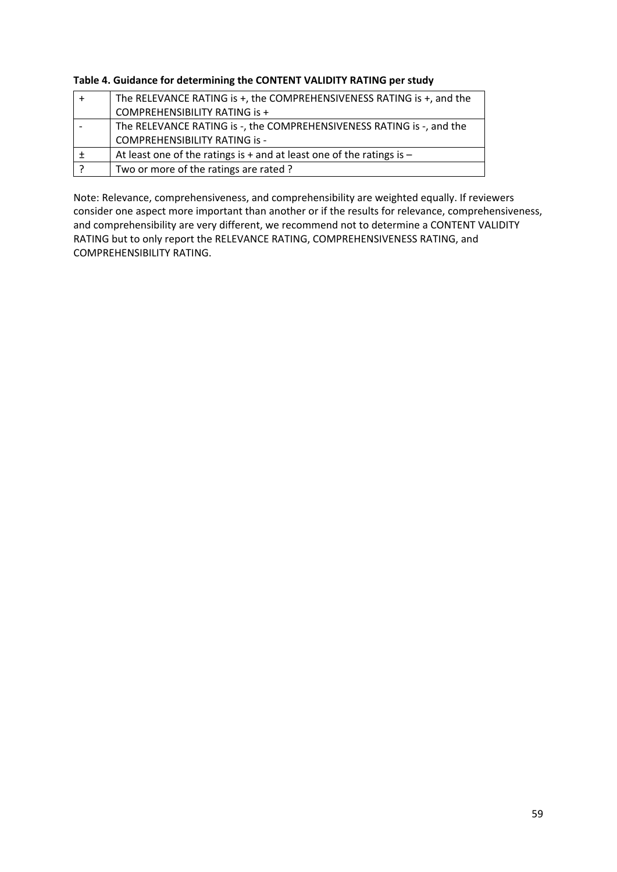| Table 4. Guidance for determining the CONTENT VALIDITY RATING per study |  |
|-------------------------------------------------------------------------|--|
|-------------------------------------------------------------------------|--|

| The RELEVANCE RATING is +, the COMPREHENSIVENESS RATING is +, and the     |  |  |
|---------------------------------------------------------------------------|--|--|
| <b>COMPREHENSIBILITY RATING is +</b>                                      |  |  |
| The RELEVANCE RATING is -, the COMPREHENSIVENESS RATING is -, and the     |  |  |
| <b>COMPREHENSIBILITY RATING is -</b>                                      |  |  |
| At least one of the ratings is $+$ and at least one of the ratings is $-$ |  |  |
| Two or more of the ratings are rated?                                     |  |  |

Note: Relevance, comprehensiveness, and comprehensibility are weighted equally. If reviewers consider one aspect more important than another or if the results for relevance, comprehensiveness, and comprehensibility are very different, we recommend not to determine a CONTENT VALIDITY RATING but to only report the RELEVANCE RATING, COMPREHENSIVENESS RATING, and COMPREHENSIBILITY RATING.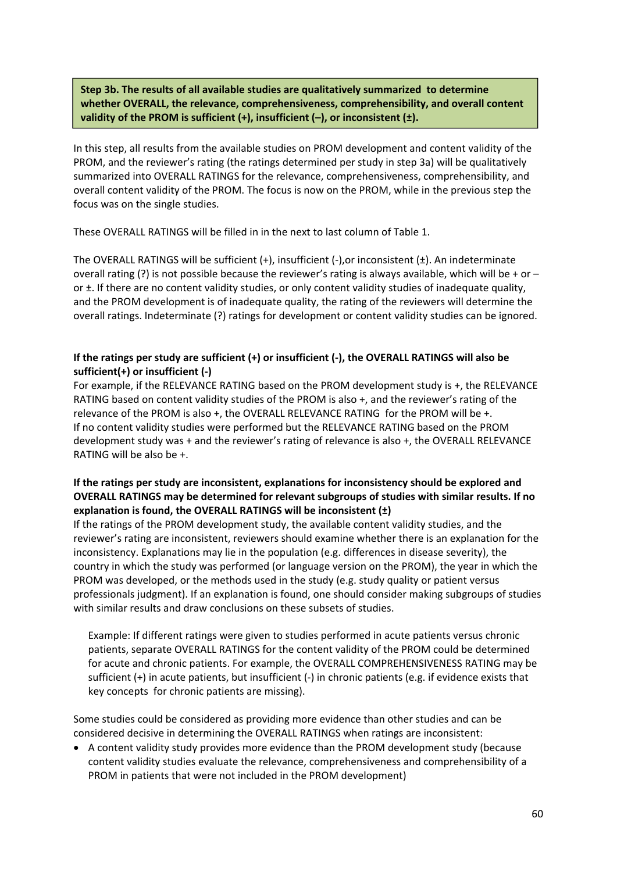**Step 3b. The results of all available studies are qualitatively summarized to determine whether OVERALL, the relevance, comprehensiveness, comprehensibility, and overall content validity of the PROM is sufficient (+), insufficient (–), or inconsistent (±).**

In this step, all results from the available studies on PROM development and content validity of the PROM, and the reviewer's rating (the ratings determined per study in step 3a) will be qualitatively summarized into OVERALL RATINGS for the relevance, comprehensiveness, comprehensibility, and overall content validity of the PROM. The focus is now on the PROM, while in the previous step the focus was on the single studies.

These OVERALL RATINGS will be filled in in the next to last column of Table 1.

The OVERALL RATINGS will be sufficient (+), insufficient (-), or inconsistent (±). An indeterminate overall rating (?) is not possible because the reviewer's rating is always available, which will be + or – or ±. If there are no content validity studies, or only content validity studies of inadequate quality, and the PROM development is of inadequate quality, the rating of the reviewers will determine the overall ratings. Indeterminate (?) ratings for development or content validity studies can be ignored.

## If the ratings per study are sufficient (+) or insufficient (-), the OVERALL RATINGS will also be **sufficient(+) or insufficient (‐)**

For example, if the RELEVANCE RATING based on the PROM development study is +, the RELEVANCE RATING based on content validity studies of the PROM is also +, and the reviewer's rating of the relevance of the PROM is also +, the OVERALL RELEVANCE RATING for the PROM will be +. If no content validity studies were performed but the RELEVANCE RATING based on the PROM development study was + and the reviewer's rating of relevance is also +, the OVERALL RELEVANCE RATING will be also be +.

## **If the ratings per study are inconsistent, explanations for inconsistency should be explored and OVERALL RATINGS may be determined for relevant subgroups of studies with similar results. If no explanation is found, the OVERALL RATINGS will be inconsistent (±)**

If the ratings of the PROM development study, the available content validity studies, and the reviewer's rating are inconsistent, reviewers should examine whether there is an explanation for the inconsistency. Explanations may lie in the population (e.g. differences in disease severity), the country in which the study was performed (or language version on the PROM), the year in which the PROM was developed, or the methods used in the study (e.g. study quality or patient versus professionals judgment). If an explanation is found, one should consider making subgroups of studies with similar results and draw conclusions on these subsets of studies.

Example: If different ratings were given to studies performed in acute patients versus chronic patients, separate OVERALL RATINGS for the content validity of the PROM could be determined for acute and chronic patients. For example, the OVERALL COMPREHENSIVENESS RATING may be sufficient (+) in acute patients, but insufficient (‐) in chronic patients (e.g. if evidence exists that key concepts for chronic patients are missing).

Some studies could be considered as providing more evidence than other studies and can be considered decisive in determining the OVERALL RATINGS when ratings are inconsistent:

• A content validity study provides more evidence than the PROM development study (because content validity studies evaluate the relevance, comprehensiveness and comprehensibility of a PROM in patients that were not included in the PROM development)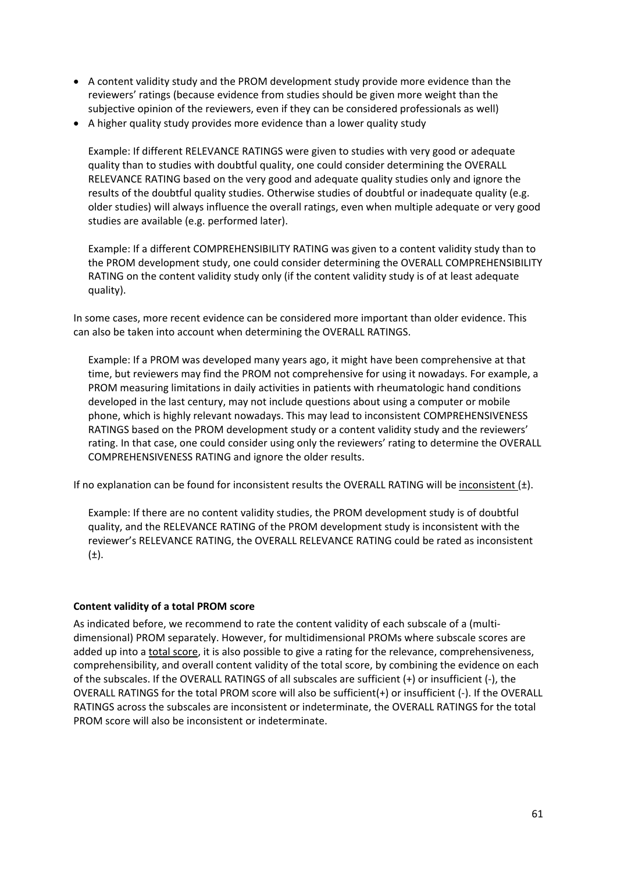- A content validity study and the PROM development study provide more evidence than the reviewers' ratings (because evidence from studies should be given more weight than the subjective opinion of the reviewers, even if they can be considered professionals as well)
- A higher quality study provides more evidence than a lower quality study

Example: If different RELEVANCE RATINGS were given to studies with very good or adequate quality than to studies with doubtful quality, one could consider determining the OVERALL RELEVANCE RATING based on the very good and adequate quality studies only and ignore the results of the doubtful quality studies. Otherwise studies of doubtful or inadequate quality (e.g. older studies) will always influence the overall ratings, even when multiple adequate or very good studies are available (e.g. performed later).

Example: If a different COMPREHENSIBILITY RATING was given to a content validity study than to the PROM development study, one could consider determining the OVERALL COMPREHENSIBILITY RATING on the content validity study only (if the content validity study is of at least adequate quality).

In some cases, more recent evidence can be considered more important than older evidence. This can also be taken into account when determining the OVERALL RATINGS.

Example: If a PROM was developed many years ago, it might have been comprehensive at that time, but reviewers may find the PROM not comprehensive for using it nowadays. For example, a PROM measuring limitations in daily activities in patients with rheumatologic hand conditions developed in the last century, may not include questions about using a computer or mobile phone, which is highly relevant nowadays. This may lead to inconsistent COMPREHENSIVENESS RATINGS based on the PROM development study or a content validity study and the reviewers' rating. In that case, one could consider using only the reviewers' rating to determine the OVERALL COMPREHENSIVENESS RATING and ignore the older results.

If no explanation can be found for inconsistent results the OVERALL RATING will be inconsistent  $(\pm)$ .

Example: If there are no content validity studies, the PROM development study is of doubtful quality, and the RELEVANCE RATING of the PROM development study is inconsistent with the reviewer's RELEVANCE RATING, the OVERALL RELEVANCE RATING could be rated as inconsistent  $(\pm).$ 

## **Content validity of a total PROM score**

As indicated before, we recommend to rate the content validity of each subscale of a (multi‐ dimensional) PROM separately. However, for multidimensional PROMs where subscale scores are added up into a total score, it is also possible to give a rating for the relevance, comprehensiveness, comprehensibility, and overall content validity of the total score, by combining the evidence on each of the subscales. If the OVERALL RATINGS of all subscales are sufficient (+) or insufficient (‐), the OVERALL RATINGS for the total PROM score will also be sufficient(+) or insufficient (‐). If the OVERALL RATINGS across the subscales are inconsistent or indeterminate, the OVERALL RATINGS for the total PROM score will also be inconsistent or indeterminate.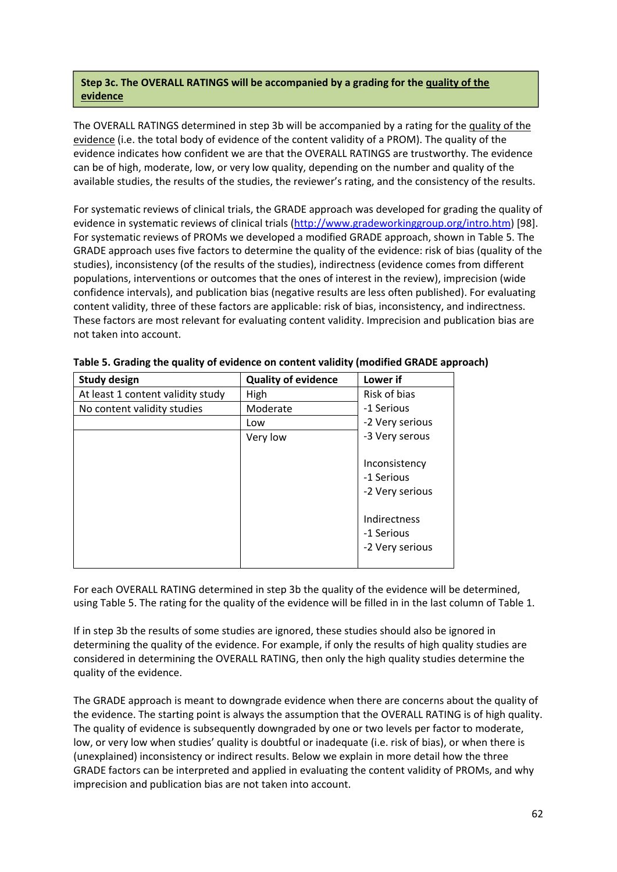## **Step 3c. The OVERALL RATINGS will be accompanied by a grading for the quality of the evidence**

The OVERALL RATINGS determined in step 3b will be accompanied by a rating for the quality of the evidence (i.e. the total body of evidence of the content validity of a PROM). The quality of the evidence indicates how confident we are that the OVERALL RATINGS are trustworthy. The evidence can be of high, moderate, low, or very low quality, depending on the number and quality of the available studies, the results of the studies, the reviewer's rating, and the consistency of the results.

For systematic reviews of clinical trials, the GRADE approach was developed for grading the quality of evidence in systematic reviews of clinical trials (http://www.gradeworkinggroup.org/intro.htm) [98]. For systematic reviews of PROMs we developed a modified GRADE approach, shown in Table 5. The GRADE approach uses five factors to determine the quality of the evidence: risk of bias (quality of the studies), inconsistency (of the results of the studies), indirectness (evidence comes from different populations, interventions or outcomes that the ones of interest in the review), imprecision (wide confidence intervals), and publication bias (negative results are less often published). For evaluating content validity, three of these factors are applicable: risk of bias, inconsistency, and indirectness. These factors are most relevant for evaluating content validity. Imprecision and publication bias are not taken into account.

| <b>Study design</b>               | <b>Quality of evidence</b> | Lower if                                       |
|-----------------------------------|----------------------------|------------------------------------------------|
| At least 1 content validity study | High                       | Risk of bias                                   |
| No content validity studies       | Moderate                   | -1 Serious                                     |
|                                   | Low                        | -2 Very serious                                |
|                                   | Very low                   | -3 Very serous                                 |
|                                   |                            | Inconsistency<br>-1 Serious<br>-2 Very serious |
|                                   |                            | Indirectness<br>-1 Serious<br>-2 Very serious  |

**Table 5. Grading the quality of evidence on content validity (modified GRADE approach)**

For each OVERALL RATING determined in step 3b the quality of the evidence will be determined, using Table 5. The rating for the quality of the evidence will be filled in in the last column of Table 1.

If in step 3b the results of some studies are ignored, these studies should also be ignored in determining the quality of the evidence. For example, if only the results of high quality studies are considered in determining the OVERALL RATING, then only the high quality studies determine the quality of the evidence.

The GRADE approach is meant to downgrade evidence when there are concerns about the quality of the evidence. The starting point is always the assumption that the OVERALL RATING is of high quality. The quality of evidence is subsequently downgraded by one or two levels per factor to moderate, low, or very low when studies' quality is doubtful or inadequate (i.e. risk of bias), or when there is (unexplained) inconsistency or indirect results. Below we explain in more detail how the three GRADE factors can be interpreted and applied in evaluating the content validity of PROMs, and why imprecision and publication bias are not taken into account.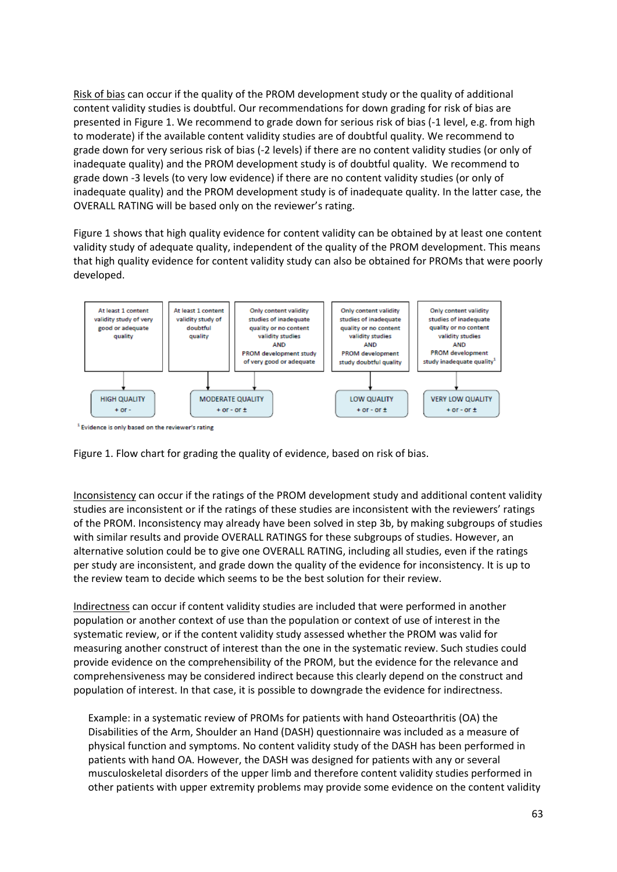Risk of bias can occur if the quality of the PROM development study or the quality of additional content validity studies is doubtful. Our recommendations for down grading for risk of bias are presented in Figure 1. We recommend to grade down for serious risk of bias (‐1 level, e.g. from high to moderate) if the available content validity studies are of doubtful quality. We recommend to grade down for very serious risk of bias (‐2 levels) if there are no content validity studies (or only of inadequate quality) and the PROM development study is of doubtful quality. We recommend to grade down ‐3 levels (to very low evidence) if there are no content validity studies (or only of inadequate quality) and the PROM development study is of inadequate quality. In the latter case, the OVERALL RATING will be based only on the reviewer's rating.

Figure 1 shows that high quality evidence for content validity can be obtained by at least one content validity study of adequate quality, independent of the quality of the PROM development. This means that high quality evidence for content validity study can also be obtained for PROMs that were poorly developed.



<sup>1</sup> Evidence is only based on the reviewer's rating



Inconsistency can occur if the ratings of the PROM development study and additional content validity studies are inconsistent or if the ratings of these studies are inconsistent with the reviewers' ratings of the PROM. Inconsistency may already have been solved in step 3b, by making subgroups of studies with similar results and provide OVERALL RATINGS for these subgroups of studies. However, an alternative solution could be to give one OVERALL RATING, including all studies, even if the ratings per study are inconsistent, and grade down the quality of the evidence for inconsistency. It is up to the review team to decide which seems to be the best solution for their review.

Indirectness can occur if content validity studies are included that were performed in another population or another context of use than the population or context of use of interest in the systematic review, or if the content validity study assessed whether the PROM was valid for measuring another construct of interest than the one in the systematic review. Such studies could provide evidence on the comprehensibility of the PROM, but the evidence for the relevance and comprehensiveness may be considered indirect because this clearly depend on the construct and population of interest. In that case, it is possible to downgrade the evidence for indirectness.

Example: in a systematic review of PROMs for patients with hand Osteoarthritis (OA) the Disabilities of the Arm, Shoulder an Hand (DASH) questionnaire was included as a measure of physical function and symptoms. No content validity study of the DASH has been performed in patients with hand OA. However, the DASH was designed for patients with any or several musculoskeletal disorders of the upper limb and therefore content validity studies performed in other patients with upper extremity problems may provide some evidence on the content validity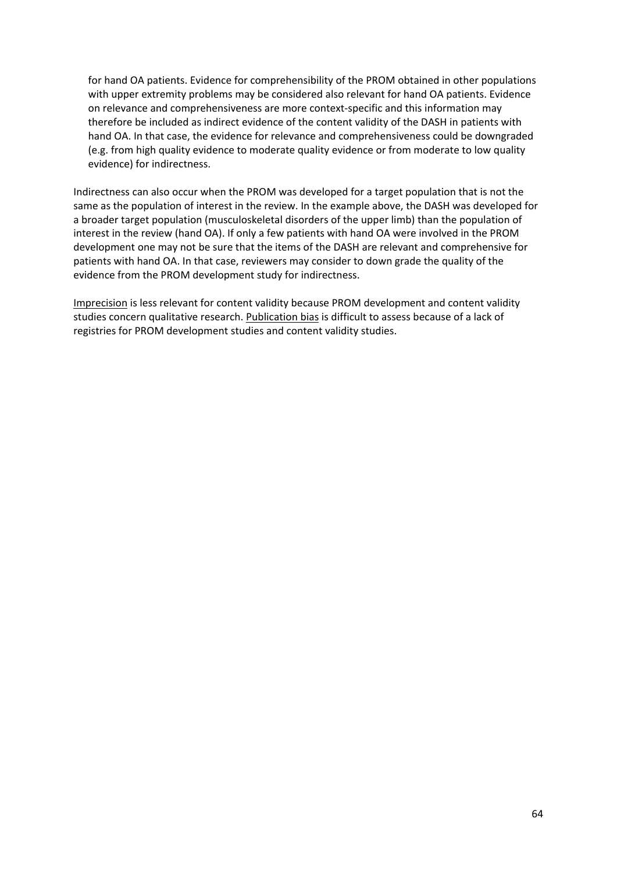for hand OA patients. Evidence for comprehensibility of the PROM obtained in other populations with upper extremity problems may be considered also relevant for hand OA patients. Evidence on relevance and comprehensiveness are more context‐specific and this information may therefore be included as indirect evidence of the content validity of the DASH in patients with hand OA. In that case, the evidence for relevance and comprehensiveness could be downgraded (e.g. from high quality evidence to moderate quality evidence or from moderate to low quality evidence) for indirectness.

Indirectness can also occur when the PROM was developed for a target population that is not the same as the population of interest in the review. In the example above, the DASH was developed for a broader target population (musculoskeletal disorders of the upper limb) than the population of interest in the review (hand OA). If only a few patients with hand OA were involved in the PROM development one may not be sure that the items of the DASH are relevant and comprehensive for patients with hand OA. In that case, reviewers may consider to down grade the quality of the evidence from the PROM development study for indirectness.

Imprecision is less relevant for content validity because PROM development and content validity studies concern qualitative research. Publication bias is difficult to assess because of a lack of registries for PROM development studies and content validity studies.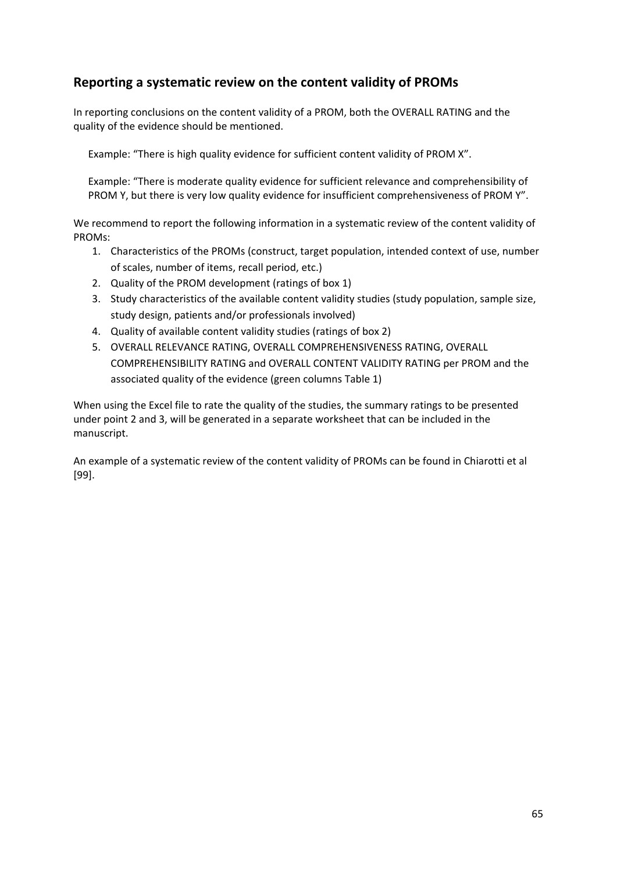## **Reporting a systematic review on the content validity of PROMs**

In reporting conclusions on the content validity of a PROM, both the OVERALL RATING and the quality of the evidence should be mentioned.

Example: "There is high quality evidence for sufficient content validity of PROM X".

Example: "There is moderate quality evidence for sufficient relevance and comprehensibility of PROM Y, but there is very low quality evidence for insufficient comprehensiveness of PROM Y".

We recommend to report the following information in a systematic review of the content validity of PROMs:

- 1. Characteristics of the PROMs (construct, target population, intended context of use, number of scales, number of items, recall period, etc.)
- 2. Quality of the PROM development (ratings of box 1)
- 3. Study characteristics of the available content validity studies (study population, sample size, study design, patients and/or professionals involved)
- 4. Quality of available content validity studies (ratings of box 2)
- 5. OVERALL RELEVANCE RATING, OVERALL COMPREHENSIVENESS RATING, OVERALL COMPREHENSIBILITY RATING and OVERALL CONTENT VALIDITY RATING per PROM and the associated quality of the evidence (green columns Table 1)

When using the Excel file to rate the quality of the studies, the summary ratings to be presented under point 2 and 3, will be generated in a separate worksheet that can be included in the manuscript.

An example of a systematic review of the content validity of PROMs can be found in Chiarotti et al [99].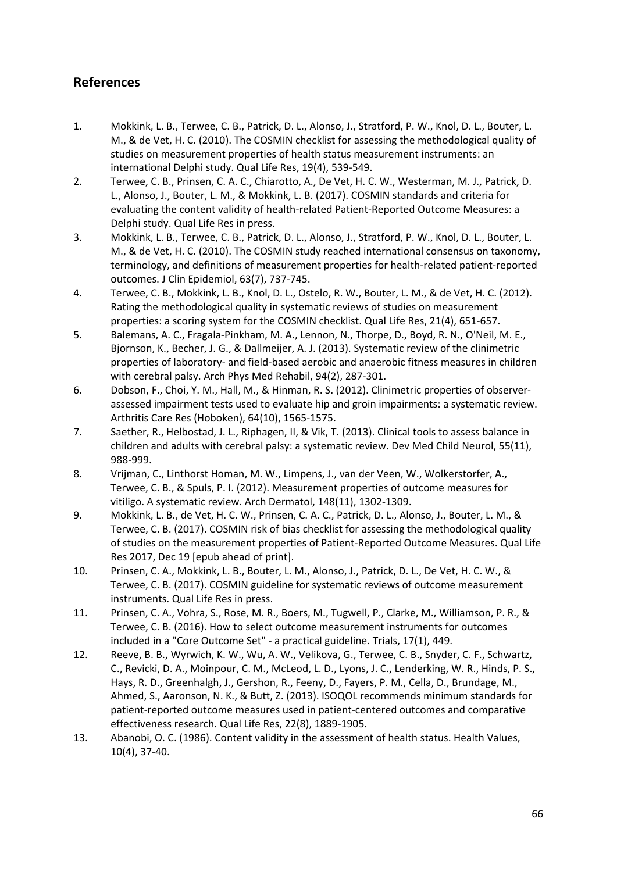## **References**

- 1. Mokkink, L. B., Terwee, C. B., Patrick, D. L., Alonso, J., Stratford, P. W., Knol, D. L., Bouter, L. M., & de Vet, H. C. (2010). The COSMIN checklist for assessing the methodological quality of studies on measurement properties of health status measurement instruments: an international Delphi study. Qual Life Res, 19(4), 539‐549.
- 2. Terwee, C. B., Prinsen, C. A. C., Chiarotto, A., De Vet, H. C. W., Westerman, M. J., Patrick, D. L., Alonso, J., Bouter, L. M., & Mokkink, L. B. (2017). COSMIN standards and criteria for evaluating the content validity of health‐related Patient‐Reported Outcome Measures: a Delphi study. Qual Life Res in press.
- 3. Mokkink, L. B., Terwee, C. B., Patrick, D. L., Alonso, J., Stratford, P. W., Knol, D. L., Bouter, L. M., & de Vet, H. C. (2010). The COSMIN study reached international consensus on taxonomy, terminology, and definitions of measurement properties for health‐related patient‐reported outcomes. J Clin Epidemiol, 63(7), 737‐745.
- 4. Terwee, C. B., Mokkink, L. B., Knol, D. L., Ostelo, R. W., Bouter, L. M., & de Vet, H. C. (2012). Rating the methodological quality in systematic reviews of studies on measurement properties: a scoring system for the COSMIN checklist. Qual Life Res, 21(4), 651‐657.
- 5. Balemans, A. C., Fragala‐Pinkham, M. A., Lennon, N., Thorpe, D., Boyd, R. N., O'Neil, M. E., Bjornson, K., Becher, J. G., & Dallmeijer, A. J. (2013). Systematic review of the clinimetric properties of laboratory‐ and field‐based aerobic and anaerobic fitness measures in children with cerebral palsy. Arch Phys Med Rehabil, 94(2), 287‐301.
- 6. Dobson, F., Choi, Y. M., Hall, M., & Hinman, R. S. (2012). Clinimetric properties of observer‐ assessed impairment tests used to evaluate hip and groin impairments: a systematic review. Arthritis Care Res (Hoboken), 64(10), 1565‐1575.
- 7. Saether, R., Helbostad, J. L., Riphagen, II, & Vik, T. (2013). Clinical tools to assess balance in children and adults with cerebral palsy: a systematic review. Dev Med Child Neurol, 55(11), 988‐999.
- 8. Vrijman, C., Linthorst Homan, M. W., Limpens, J., van der Veen, W., Wolkerstorfer, A., Terwee, C. B., & Spuls, P. I. (2012). Measurement properties of outcome measures for vitiligo. A systematic review. Arch Dermatol, 148(11), 1302‐1309.
- 9. Mokkink, L. B., de Vet, H. C. W., Prinsen, C. A. C., Patrick, D. L., Alonso, J., Bouter, L. M., & Terwee, C. B. (2017). COSMIN risk of bias checklist for assessing the methodological quality of studies on the measurement properties of Patient‐Reported Outcome Measures. Qual Life Res 2017, Dec 19 [epub ahead of print].
- 10. Prinsen, C. A., Mokkink, L. B., Bouter, L. M., Alonso, J., Patrick, D. L., De Vet, H. C. W., & Terwee, C. B. (2017). COSMIN guideline for systematic reviews of outcome measurement instruments. Qual Life Res in press.
- 11. Prinsen, C. A., Vohra, S., Rose, M. R., Boers, M., Tugwell, P., Clarke, M., Williamson, P. R., & Terwee, C. B. (2016). How to select outcome measurement instruments for outcomes included in a "Core Outcome Set" ‐ a practical guideline. Trials, 17(1), 449.
- 12. Reeve, B. B., Wyrwich, K. W., Wu, A. W., Velikova, G., Terwee, C. B., Snyder, C. F., Schwartz, C., Revicki, D. A., Moinpour, C. M., McLeod, L. D., Lyons, J. C., Lenderking, W. R., Hinds, P. S., Hays, R. D., Greenhalgh, J., Gershon, R., Feeny, D., Fayers, P. M., Cella, D., Brundage, M., Ahmed, S., Aaronson, N. K., & Butt, Z. (2013). ISOQOL recommends minimum standards for patient-reported outcome measures used in patient-centered outcomes and comparative effectiveness research. Qual Life Res, 22(8), 1889‐1905.
- 13. Abanobi, O. C. (1986). Content validity in the assessment of health status. Health Values, 10(4), 37‐40.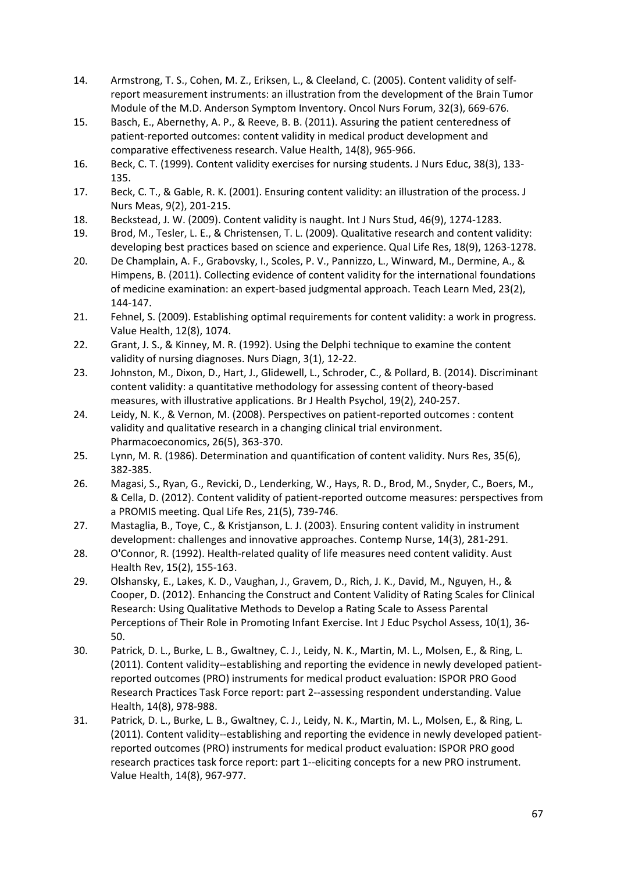- 14. Armstrong, T. S., Cohen, M. Z., Eriksen, L., & Cleeland, C. (2005). Content validity of self‐ report measurement instruments: an illustration from the development of the Brain Tumor Module of the M.D. Anderson Symptom Inventory. Oncol Nurs Forum, 32(3), 669‐676.
- 15. Basch, E., Abernethy, A. P., & Reeve, B. B. (2011). Assuring the patient centeredness of patient‐reported outcomes: content validity in medical product development and comparative effectiveness research. Value Health, 14(8), 965‐966.
- 16. Beck, C. T. (1999). Content validity exercises for nursing students. J Nurs Educ, 38(3), 133‐ 135.
- 17. Beck, C. T., & Gable, R. K. (2001). Ensuring content validity: an illustration of the process. J Nurs Meas, 9(2), 201‐215.
- 18. Beckstead, J. W. (2009). Content validity is naught. Int J Nurs Stud, 46(9), 1274‐1283.
- 19. Brod, M., Tesler, L. E., & Christensen, T. L. (2009). Qualitative research and content validity: developing best practices based on science and experience. Qual Life Res, 18(9), 1263-1278.
- 20. De Champlain, A. F., Grabovsky, I., Scoles, P. V., Pannizzo, L., Winward, M., Dermine, A., & Himpens, B. (2011). Collecting evidence of content validity for the international foundations of medicine examination: an expert‐based judgmental approach. Teach Learn Med, 23(2), 144‐147.
- 21. Fehnel, S. (2009). Establishing optimal requirements for content validity: a work in progress. Value Health, 12(8), 1074.
- 22. Grant, J. S., & Kinney, M. R. (1992). Using the Delphi technique to examine the content validity of nursing diagnoses. Nurs Diagn, 3(1), 12‐22.
- 23. Johnston, M., Dixon, D., Hart, J., Glidewell, L., Schroder, C., & Pollard, B. (2014). Discriminant content validity: a quantitative methodology for assessing content of theory‐based measures, with illustrative applications. Br J Health Psychol, 19(2), 240‐257.
- 24. Leidy, N. K., & Vernon, M. (2008). Perspectives on patient-reported outcomes : content validity and qualitative research in a changing clinical trial environment. Pharmacoeconomics, 26(5), 363‐370.
- 25. Lynn, M. R. (1986). Determination and quantification of content validity. Nurs Res, 35(6), 382‐385.
- 26. Magasi, S., Ryan, G., Revicki, D., Lenderking, W., Hays, R. D., Brod, M., Snyder, C., Boers, M., & Cella, D. (2012). Content validity of patient‐reported outcome measures: perspectives from a PROMIS meeting. Qual Life Res, 21(5), 739‐746.
- 27. Mastaglia, B., Toye, C., & Kristjanson, L. J. (2003). Ensuring content validity in instrument development: challenges and innovative approaches. Contemp Nurse, 14(3), 281‐291.
- 28. O'Connor, R. (1992). Health-related quality of life measures need content validity. Aust Health Rev, 15(2), 155‐163.
- 29. Olshansky, E., Lakes, K. D., Vaughan, J., Gravem, D., Rich, J. K., David, M., Nguyen, H., & Cooper, D. (2012). Enhancing the Construct and Content Validity of Rating Scales for Clinical Research: Using Qualitative Methods to Develop a Rating Scale to Assess Parental Perceptions of Their Role in Promoting Infant Exercise. Int J Educ Psychol Assess, 10(1), 36‐ 50.
- 30. Patrick, D. L., Burke, L. B., Gwaltney, C. J., Leidy, N. K., Martin, M. L., Molsen, E., & Ring, L. (2011). Content validity--establishing and reporting the evidence in newly developed patientreported outcomes (PRO) instruments for medical product evaluation: ISPOR PRO Good Research Practices Task Force report: part 2‐‐assessing respondent understanding. Value Health, 14(8), 978‐988.
- 31. Patrick, D. L., Burke, L. B., Gwaltney, C. J., Leidy, N. K., Martin, M. L., Molsen, E., & Ring, L. (2011). Content validity--establishing and reporting the evidence in newly developed patientreported outcomes (PRO) instruments for medical product evaluation: ISPOR PRO good research practices task force report: part 1‐‐eliciting concepts for a new PRO instrument. Value Health, 14(8), 967‐977.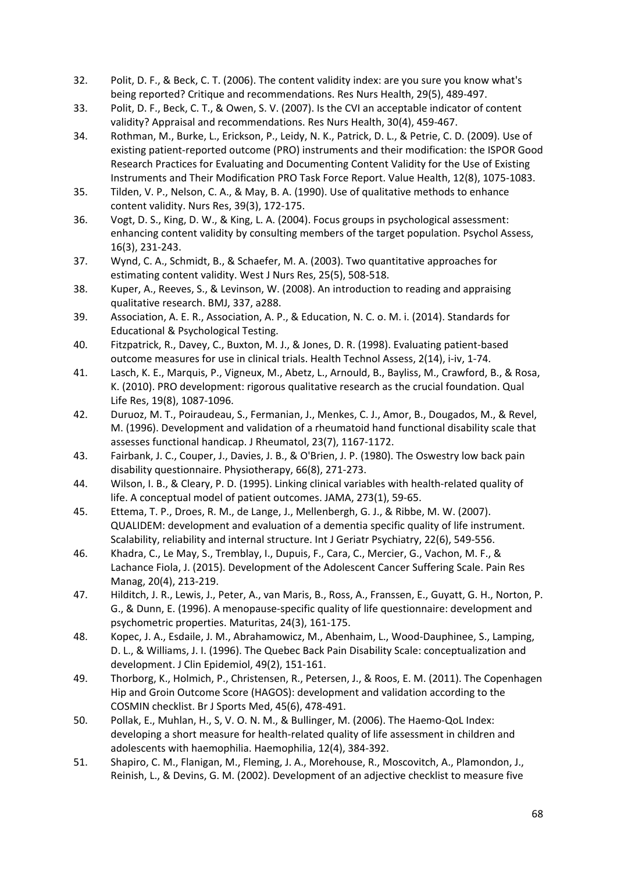- 32. Polit, D. F., & Beck, C. T. (2006). The content validity index: are you sure you know what's being reported? Critique and recommendations. Res Nurs Health, 29(5), 489‐497.
- 33. Polit, D. F., Beck, C. T., & Owen, S. V. (2007). Is the CVI an acceptable indicator of content validity? Appraisal and recommendations. Res Nurs Health, 30(4), 459‐467.
- 34. Rothman, M., Burke, L., Erickson, P., Leidy, N. K., Patrick, D. L., & Petrie, C. D. (2009). Use of existing patient‐reported outcome (PRO) instruments and their modification: the ISPOR Good Research Practices for Evaluating and Documenting Content Validity for the Use of Existing Instruments and Their Modification PRO Task Force Report. Value Health, 12(8), 1075‐1083.
- 35. Tilden, V. P., Nelson, C. A., & May, B. A. (1990). Use of qualitative methods to enhance content validity. Nurs Res, 39(3), 172‐175.
- 36. Vogt, D. S., King, D. W., & King, L. A. (2004). Focus groups in psychological assessment: enhancing content validity by consulting members of the target population. Psychol Assess, 16(3), 231‐243.
- 37. Wynd, C. A., Schmidt, B., & Schaefer, M. A. (2003). Two quantitative approaches for estimating content validity. West J Nurs Res, 25(5), 508‐518.
- 38. Kuper, A., Reeves, S., & Levinson, W. (2008). An introduction to reading and appraising qualitative research. BMJ, 337, a288.
- 39. Association, A. E. R., Association, A. P., & Education, N. C. o. M. i. (2014). Standards for Educational & Psychological Testing.
- 40. Fitzpatrick, R., Davey, C., Buxton, M. J., & Jones, D. R. (1998). Evaluating patient‐based outcome measures for use in clinical trials. Health Technol Assess, 2(14), i‐iv, 1‐74.
- 41. Lasch, K. E., Marquis, P., Vigneux, M., Abetz, L., Arnould, B., Bayliss, M., Crawford, B., & Rosa, K. (2010). PRO development: rigorous qualitative research as the crucial foundation. Qual Life Res, 19(8), 1087‐1096.
- 42. Duruoz, M. T., Poiraudeau, S., Fermanian, J., Menkes, C. J., Amor, B., Dougados, M., & Revel, M. (1996). Development and validation of a rheumatoid hand functional disability scale that assesses functional handicap. J Rheumatol, 23(7), 1167‐1172.
- 43. Fairbank, J. C., Couper, J., Davies, J. B., & O'Brien, J. P. (1980). The Oswestry low back pain disability questionnaire. Physiotherapy, 66(8), 271‐273.
- 44. Wilson, I. B., & Cleary, P. D. (1995). Linking clinical variables with health-related quality of life. A conceptual model of patient outcomes. JAMA, 273(1), 59‐65.
- 45. Ettema, T. P., Droes, R. M., de Lange, J., Mellenbergh, G. J., & Ribbe, M. W. (2007). QUALIDEM: development and evaluation of a dementia specific quality of life instrument. Scalability, reliability and internal structure. Int J Geriatr Psychiatry, 22(6), 549‐556.
- 46. Khadra, C., Le May, S., Tremblay, I., Dupuis, F., Cara, C., Mercier, G., Vachon, M. F., & Lachance Fiola, J. (2015). Development of the Adolescent Cancer Suffering Scale. Pain Res Manag, 20(4), 213‐219.
- 47. Hilditch, J. R., Lewis, J., Peter, A., van Maris, B., Ross, A., Franssen, E., Guyatt, G. H., Norton, P. G., & Dunn, E. (1996). A menopause‐specific quality of life questionnaire: development and psychometric properties. Maturitas, 24(3), 161‐175.
- 48. Kopec, J. A., Esdaile, J. M., Abrahamowicz, M., Abenhaim, L., Wood‐Dauphinee, S., Lamping, D. L., & Williams, J. I. (1996). The Quebec Back Pain Disability Scale: conceptualization and development. J Clin Epidemiol, 49(2), 151‐161.
- 49. Thorborg, K., Holmich, P., Christensen, R., Petersen, J., & Roos, E. M. (2011). The Copenhagen Hip and Groin Outcome Score (HAGOS): development and validation according to the COSMIN checklist. Br J Sports Med, 45(6), 478‐491.
- 50. Pollak, E., Muhlan, H., S, V. O. N. M., & Bullinger, M. (2006). The Haemo‐QoL Index: developing a short measure for health‐related quality of life assessment in children and adolescents with haemophilia. Haemophilia, 12(4), 384‐392.
- 51. Shapiro, C. M., Flanigan, M., Fleming, J. A., Morehouse, R., Moscovitch, A., Plamondon, J., Reinish, L., & Devins, G. M. (2002). Development of an adjective checklist to measure five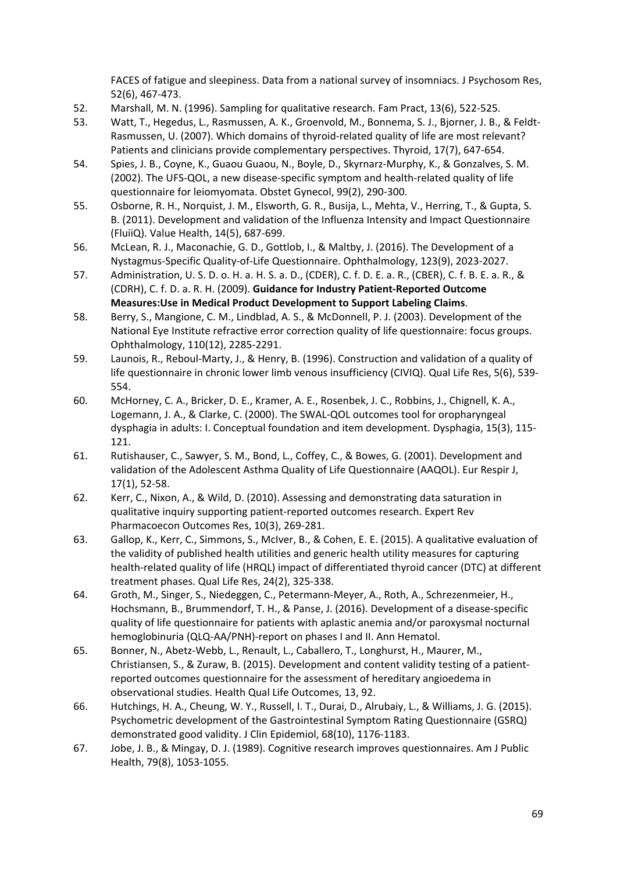FACES of fatigue and sleepiness. Data from a national survey of insomniacs. J Psychosom Res, 52(6), 467‐473.

- 52. Marshall, M. N. (1996). Sampling for qualitative research. Fam Pract, 13(6), 522‐525.
- 53. Watt, T., Hegedus, L., Rasmussen, A. K., Groenvold, M., Bonnema, S. J., Bjorner, J. B., & Feldt‐ Rasmussen, U. (2007). Which domains of thyroid-related quality of life are most relevant? Patients and clinicians provide complementary perspectives. Thyroid, 17(7), 647‐654.
- 54. Spies, J. B., Coyne, K., Guaou Guaou, N., Boyle, D., Skyrnarz‐Murphy, K., & Gonzalves, S. M. (2002). The UFS‐QOL, a new disease‐specific symptom and health‐related quality of life questionnaire for leiomyomata. Obstet Gynecol, 99(2), 290‐300.
- 55. Osborne, R. H., Norquist, J. M., Elsworth, G. R., Busija, L., Mehta, V., Herring, T., & Gupta, S. B. (2011). Development and validation of the Influenza Intensity and Impact Questionnaire (FluiiQ). Value Health, 14(5), 687‐699.
- 56. McLean, R. J., Maconachie, G. D., Gottlob, I., & Maltby, J. (2016). The Development of a Nystagmus‐Specific Quality‐of‐Life Questionnaire. Ophthalmology, 123(9), 2023‐2027.
- 57. Administration, U. S. D. o. H. a. H. S. a. D., (CDER), C. f. D. E. a. R., (CBER), C. f. B. E. a. R., & (CDRH), C. f. D. a. R. H. (2009). **Guidance for Industry Patient‐Reported Outcome Measures:Use in Medical Product Development to Support Labeling Claims**.
- 58. Berry, S., Mangione, C. M., Lindblad, A. S., & McDonnell, P. J. (2003). Development of the National Eye Institute refractive error correction quality of life questionnaire: focus groups. Ophthalmology, 110(12), 2285‐2291.
- 59. Launois, R., Reboul‐Marty, J., & Henry, B. (1996). Construction and validation of a quality of life questionnaire in chronic lower limb venous insufficiency (CIVIQ). Qual Life Res, 5(6), 539‐ 554.
- 60. McHorney, C. A., Bricker, D. E., Kramer, A. E., Rosenbek, J. C., Robbins, J., Chignell, K. A., Logemann, J. A., & Clarke, C. (2000). The SWAL‐QOL outcomes tool for oropharyngeal dysphagia in adults: I. Conceptual foundation and item development. Dysphagia, 15(3), 115‐ 121.
- 61. Rutishauser, C., Sawyer, S. M., Bond, L., Coffey, C., & Bowes, G. (2001). Development and validation of the Adolescent Asthma Quality of Life Questionnaire (AAQOL). Eur Respir J, 17(1), 52‐58.
- 62. Kerr, C., Nixon, A., & Wild, D. (2010). Assessing and demonstrating data saturation in qualitative inquiry supporting patient‐reported outcomes research. Expert Rev Pharmacoecon Outcomes Res, 10(3), 269‐281.
- 63. Gallop, K., Kerr, C., Simmons, S., McIver, B., & Cohen, E. E. (2015). A qualitative evaluation of the validity of published health utilities and generic health utility measures for capturing health-related quality of life (HRQL) impact of differentiated thyroid cancer (DTC) at different treatment phases. Qual Life Res, 24(2), 325‐338.
- 64. Groth, M., Singer, S., Niedeggen, C., Petermann‐Meyer, A., Roth, A., Schrezenmeier, H., Hochsmann, B., Brummendorf, T. H., & Panse, J. (2016). Development of a disease-specific quality of life questionnaire for patients with aplastic anemia and/or paroxysmal nocturnal hemoglobinuria (QLQ‐AA/PNH)‐report on phases I and II. Ann Hematol.
- 65. Bonner, N., Abetz‐Webb, L., Renault, L., Caballero, T., Longhurst, H., Maurer, M., Christiansen, S., & Zuraw, B. (2015). Development and content validity testing of a patient‐ reported outcomes questionnaire for the assessment of hereditary angioedema in observational studies. Health Qual Life Outcomes, 13, 92.
- 66. Hutchings, H. A., Cheung, W. Y., Russell, I. T., Durai, D., Alrubaiy, L., & Williams, J. G. (2015). Psychometric development of the Gastrointestinal Symptom Rating Questionnaire (GSRQ) demonstrated good validity. J Clin Epidemiol, 68(10), 1176‐1183.
- 67. Jobe, J. B., & Mingay, D. J. (1989). Cognitive research improves questionnaires. Am J Public Health, 79(8), 1053‐1055.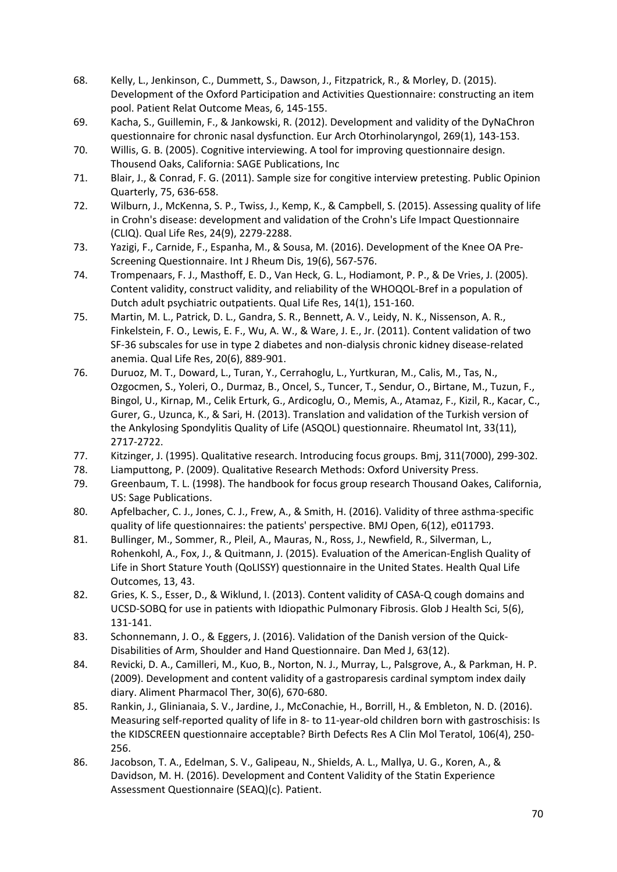- 68. Kelly, L., Jenkinson, C., Dummett, S., Dawson, J., Fitzpatrick, R., & Morley, D. (2015). Development of the Oxford Participation and Activities Questionnaire: constructing an item pool. Patient Relat Outcome Meas, 6, 145‐155.
- 69. Kacha, S., Guillemin, F., & Jankowski, R. (2012). Development and validity of the DyNaChron questionnaire for chronic nasal dysfunction. Eur Arch Otorhinolaryngol, 269(1), 143‐153.
- 70. Willis, G. B. (2005). Cognitive interviewing. A tool for improving questionnaire design. Thousend Oaks, California: SAGE Publications, Inc
- 71. Blair, J., & Conrad, F. G. (2011). Sample size for congitive interview pretesting. Public Opinion Quarterly, 75, 636‐658.
- 72. Wilburn, J., McKenna, S. P., Twiss, J., Kemp, K., & Campbell, S. (2015). Assessing quality of life in Crohn's disease: development and validation of the Crohn's Life Impact Questionnaire (CLIQ). Qual Life Res, 24(9), 2279‐2288.
- 73. Yazigi, F., Carnide, F., Espanha, M., & Sousa, M. (2016). Development of the Knee OA Pre‐ Screening Questionnaire. Int J Rheum Dis, 19(6), 567‐576.
- 74. Trompenaars, F. J., Masthoff, E. D., Van Heck, G. L., Hodiamont, P. P., & De Vries, J. (2005). Content validity, construct validity, and reliability of the WHOQOL‐Bref in a population of Dutch adult psychiatric outpatients. Qual Life Res, 14(1), 151‐160.
- 75. Martin, M. L., Patrick, D. L., Gandra, S. R., Bennett, A. V., Leidy, N. K., Nissenson, A. R., Finkelstein, F. O., Lewis, E. F., Wu, A. W., & Ware, J. E., Jr. (2011). Content validation of two SF-36 subscales for use in type 2 diabetes and non-dialysis chronic kidney disease-related anemia. Qual Life Res, 20(6), 889‐901.
- 76. Duruoz, M. T., Doward, L., Turan, Y., Cerrahoglu, L., Yurtkuran, M., Calis, M., Tas, N., Ozgocmen, S., Yoleri, O., Durmaz, B., Oncel, S., Tuncer, T., Sendur, O., Birtane, M., Tuzun, F., Bingol, U., Kirnap, M., Celik Erturk, G., Ardicoglu, O., Memis, A., Atamaz, F., Kizil, R., Kacar, C., Gurer, G., Uzunca, K., & Sari, H. (2013). Translation and validation of the Turkish version of the Ankylosing Spondylitis Quality of Life (ASQOL) questionnaire. Rheumatol Int, 33(11), 2717‐2722.
- 77. Kitzinger, J. (1995). Qualitative research. Introducing focus groups. Bmj, 311(7000), 299‐302.
- 78. Liamputtong, P. (2009). Qualitative Research Methods: Oxford University Press.
- 79. Greenbaum, T. L. (1998). The handbook for focus group research Thousand Oakes, California, US: Sage Publications.
- 80. Apfelbacher, C. J., Jones, C. J., Frew, A., & Smith, H. (2016). Validity of three asthma-specific quality of life questionnaires: the patients' perspective. BMJ Open, 6(12), e011793.
- 81. Bullinger, M., Sommer, R., Pleil, A., Mauras, N., Ross, J., Newfield, R., Silverman, L., Rohenkohl, A., Fox, J., & Quitmann, J. (2015). Evaluation of the American‐English Quality of Life in Short Stature Youth (QoLISSY) questionnaire in the United States. Health Qual Life Outcomes, 13, 43.
- 82. Gries, K. S., Esser, D., & Wiklund, I. (2013). Content validity of CASA-Q cough domains and UCSD-SOBQ for use in patients with Idiopathic Pulmonary Fibrosis. Glob J Health Sci, 5(6), 131‐141.
- 83. Schonnemann, J. O., & Eggers, J. (2016). Validation of the Danish version of the Quick-Disabilities of Arm, Shoulder and Hand Questionnaire. Dan Med J, 63(12).
- 84. Revicki, D. A., Camilleri, M., Kuo, B., Norton, N. J., Murray, L., Palsgrove, A., & Parkman, H. P. (2009). Development and content validity of a gastroparesis cardinal symptom index daily diary. Aliment Pharmacol Ther, 30(6), 670‐680.
- 85. Rankin, J., Glinianaia, S. V., Jardine, J., McConachie, H., Borrill, H., & Embleton, N. D. (2016). Measuring self-reported quality of life in 8- to 11-year-old children born with gastroschisis: Is the KIDSCREEN questionnaire acceptable? Birth Defects Res A Clin Mol Teratol, 106(4), 250‐ 256.
- 86. Jacobson, T. A., Edelman, S. V., Galipeau, N., Shields, A. L., Mallya, U. G., Koren, A., & Davidson, M. H. (2016). Development and Content Validity of the Statin Experience Assessment Questionnaire (SEAQ)(c). Patient.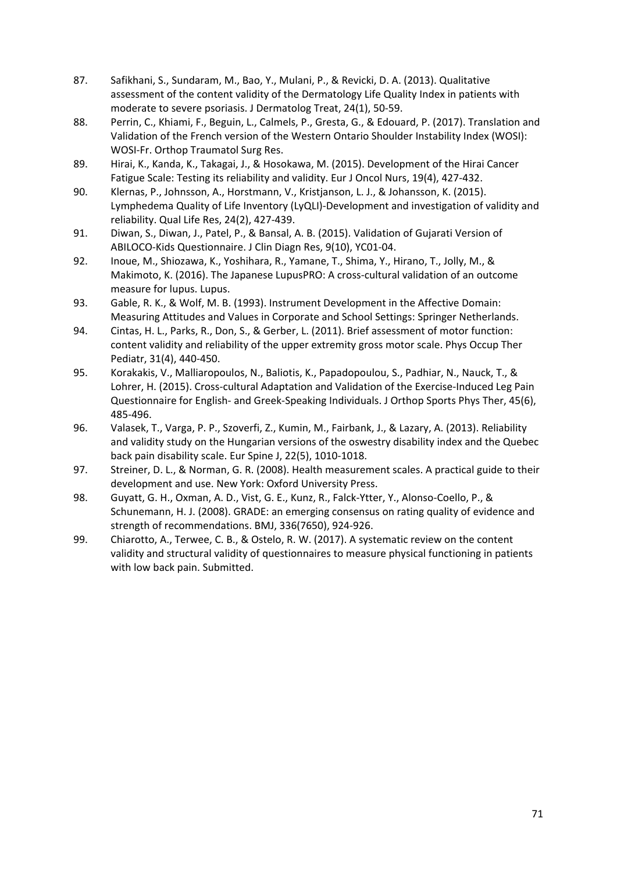- 87. Safikhani, S., Sundaram, M., Bao, Y., Mulani, P., & Revicki, D. A. (2013). Qualitative assessment of the content validity of the Dermatology Life Quality Index in patients with moderate to severe psoriasis. J Dermatolog Treat, 24(1), 50‐59.
- 88. Perrin, C., Khiami, F., Beguin, L., Calmels, P., Gresta, G., & Edouard, P. (2017). Translation and Validation of the French version of the Western Ontario Shoulder Instability Index (WOSI): WOSI‐Fr. Orthop Traumatol Surg Res.
- 89. Hirai, K., Kanda, K., Takagai, J., & Hosokawa, M. (2015). Development of the Hirai Cancer Fatigue Scale: Testing its reliability and validity. Eur J Oncol Nurs, 19(4), 427‐432.
- 90. Klernas, P., Johnsson, A., Horstmann, V., Kristjanson, L. J., & Johansson, K. (2015). Lymphedema Quality of Life Inventory (LyQLI)‐Development and investigation of validity and reliability. Qual Life Res, 24(2), 427‐439.
- 91. Diwan, S., Diwan, J., Patel, P., & Bansal, A. B. (2015). Validation of Gujarati Version of ABILOCO‐Kids Questionnaire. J Clin Diagn Res, 9(10), YC01‐04.
- 92. Inoue, M., Shiozawa, K., Yoshihara, R., Yamane, T., Shima, Y., Hirano, T., Jolly, M., & Makimoto, K. (2016). The Japanese LupusPRO: A cross‐cultural validation of an outcome measure for lupus. Lupus.
- 93. Gable, R. K., & Wolf, M. B. (1993). Instrument Development in the Affective Domain: Measuring Attitudes and Values in Corporate and School Settings: Springer Netherlands.
- 94. Cintas, H. L., Parks, R., Don, S., & Gerber, L. (2011). Brief assessment of motor function: content validity and reliability of the upper extremity gross motor scale. Phys Occup Ther Pediatr, 31(4), 440‐450.
- 95. Korakakis, V., Malliaropoulos, N., Baliotis, K., Papadopoulou, S., Padhiar, N., Nauck, T., & Lohrer, H. (2015). Cross-cultural Adaptation and Validation of the Exercise-Induced Leg Pain Questionnaire for English- and Greek-Speaking Individuals. J Orthop Sports Phys Ther, 45(6), 485‐496.
- 96. Valasek, T., Varga, P. P., Szoverfi, Z., Kumin, M., Fairbank, J., & Lazary, A. (2013). Reliability and validity study on the Hungarian versions of the oswestry disability index and the Quebec back pain disability scale. Eur Spine J, 22(5), 1010‐1018.
- 97. Streiner, D. L., & Norman, G. R. (2008). Health measurement scales. A practical guide to their development and use. New York: Oxford University Press.
- 98. Guyatt, G. H., Oxman, A. D., Vist, G. E., Kunz, R., Falck-Ytter, Y., Alonso-Coello, P., & Schunemann, H. J. (2008). GRADE: an emerging consensus on rating quality of evidence and strength of recommendations. BMJ, 336(7650), 924‐926.
- 99. Chiarotto, A., Terwee, C. B., & Ostelo, R. W. (2017). A systematic review on the content validity and structural validity of questionnaires to measure physical functioning in patients with low back pain. Submitted.